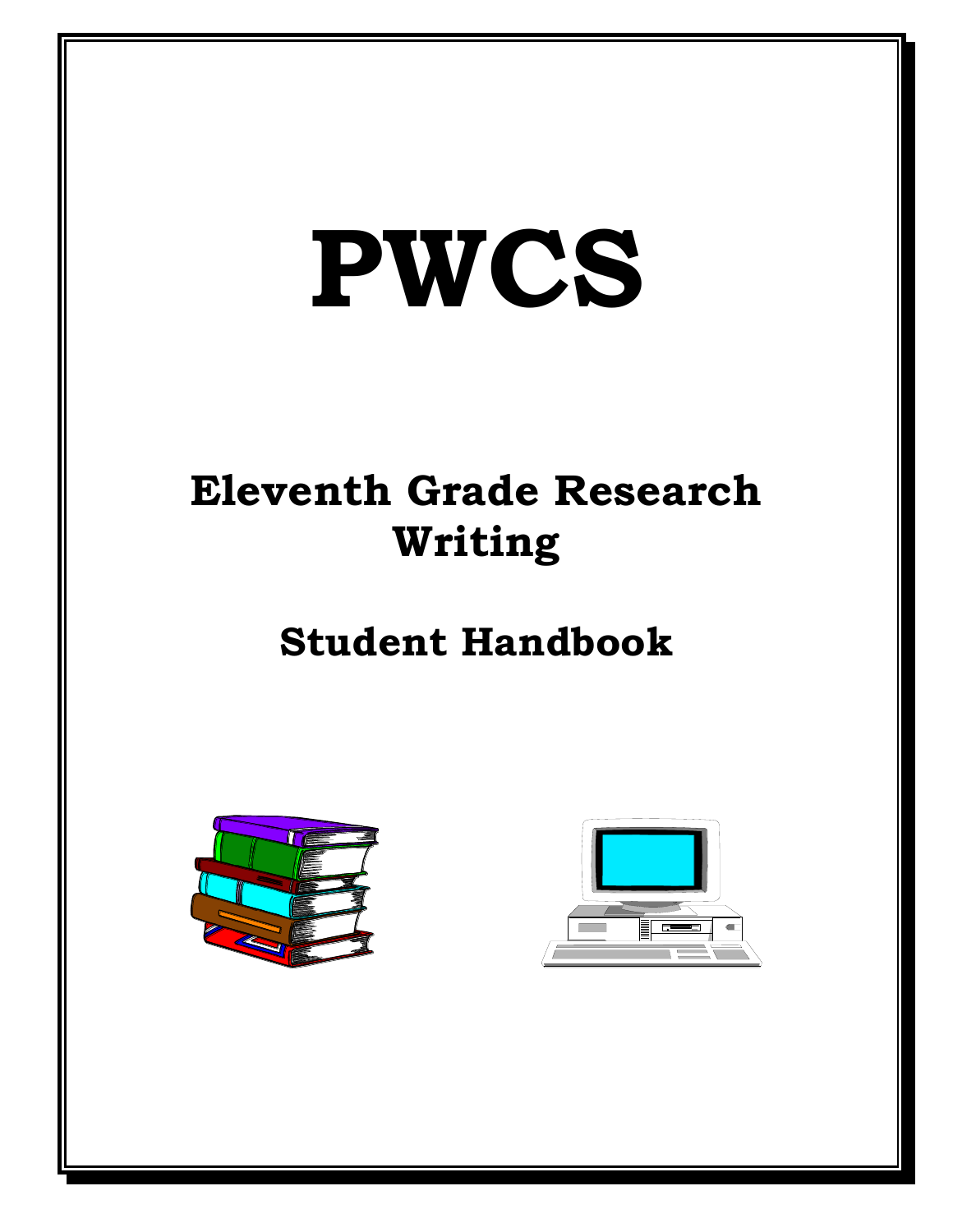# **PWCS**

# **Eleventh Grade Research Writing**

# **Student Handbook**



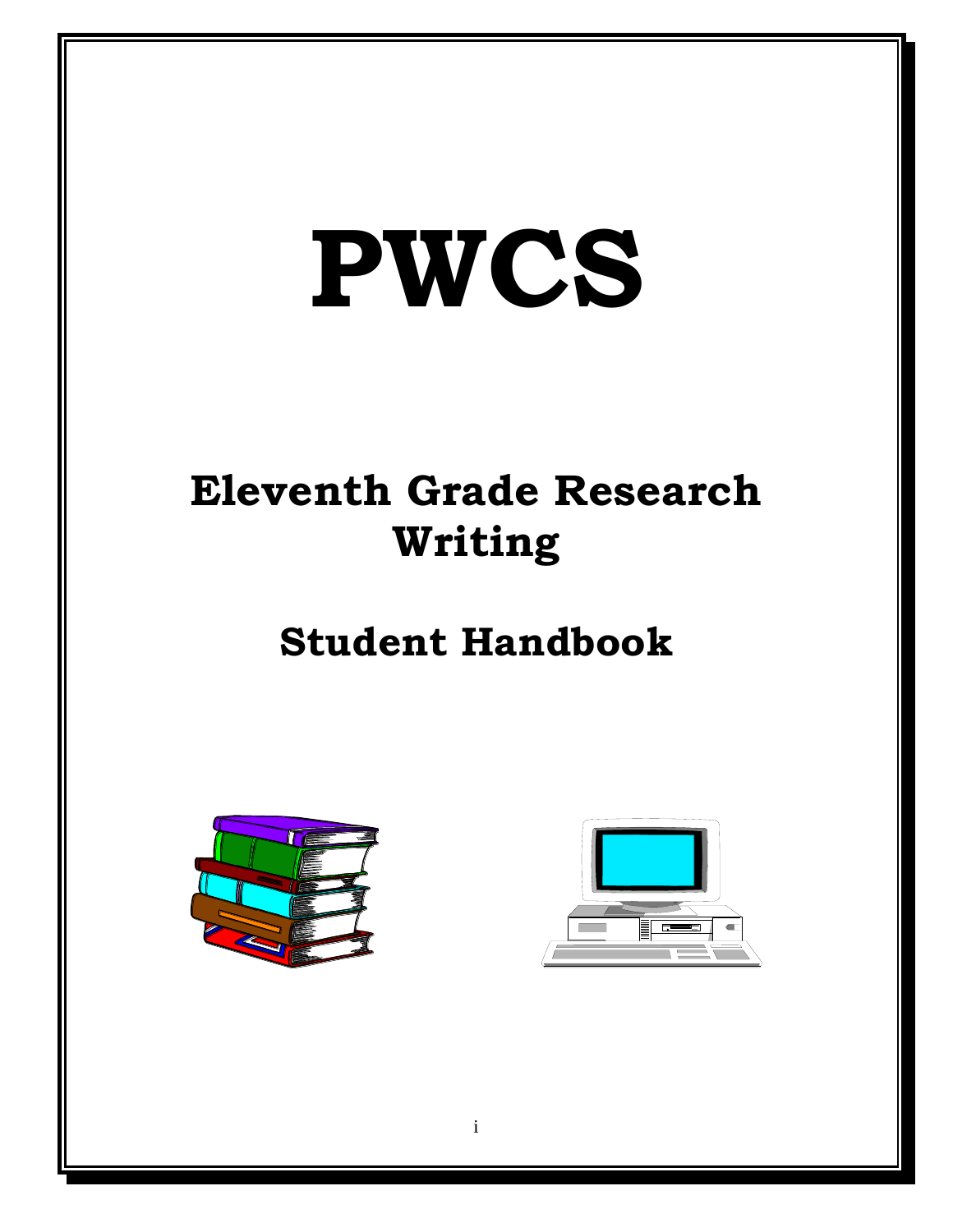# **PWCS**

# **Eleventh Grade Research Writing**

# **Student Handbook**



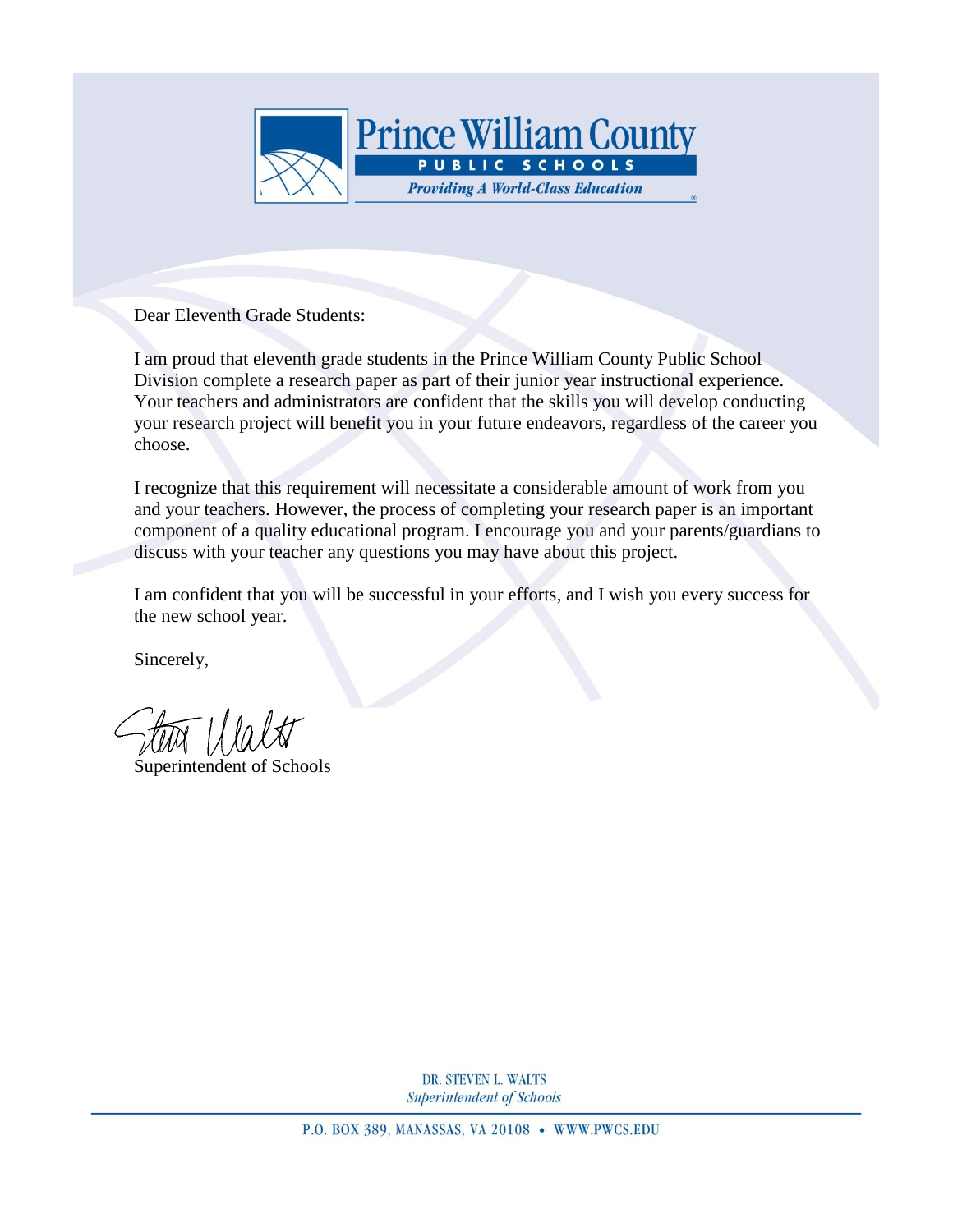

Dear Eleventh Grade Students:

I am proud that eleventh grade students in the Prince William County Public School Division complete a research paper as part of their junior year instructional experience. Your teachers and administrators are confident that the skills you will develop conducting your research project will benefit you in your future endeavors, regardless of the career you choose.

I recognize that this requirement will necessitate a considerable amount of work from you and your teachers. However, the process of completing your research paper is an important component of a quality educational program. I encourage you and your parents/guardians to discuss with your teacher any questions you may have about this project.

I am confident that you will be successful in your efforts, and I wish you every success for the new school year.

Sincerely,

Steven L. Walts

Superintendent of Schools

DR. STEVEN L. WALTS Superintendent of Schools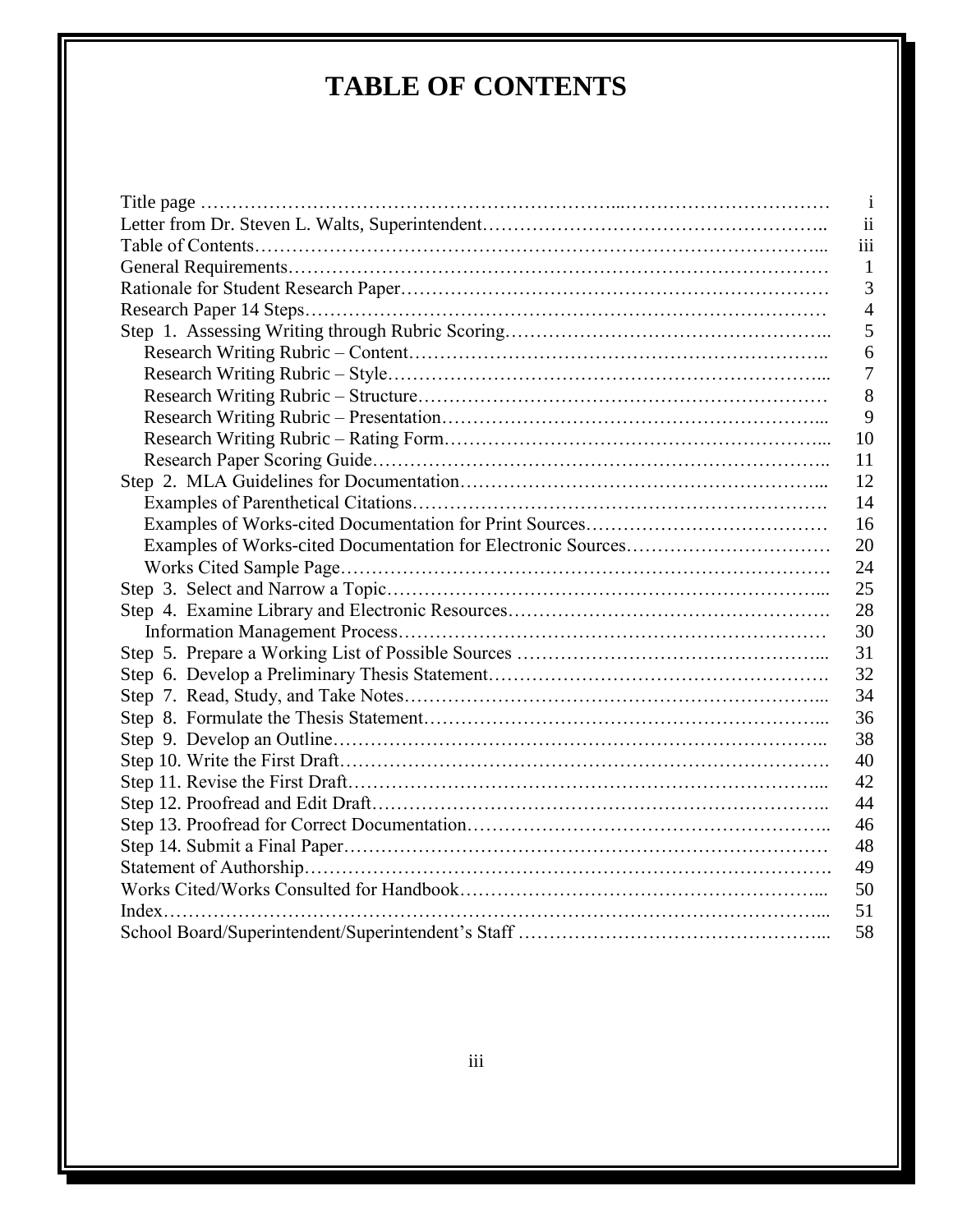# **TABLE OF CONTENTS**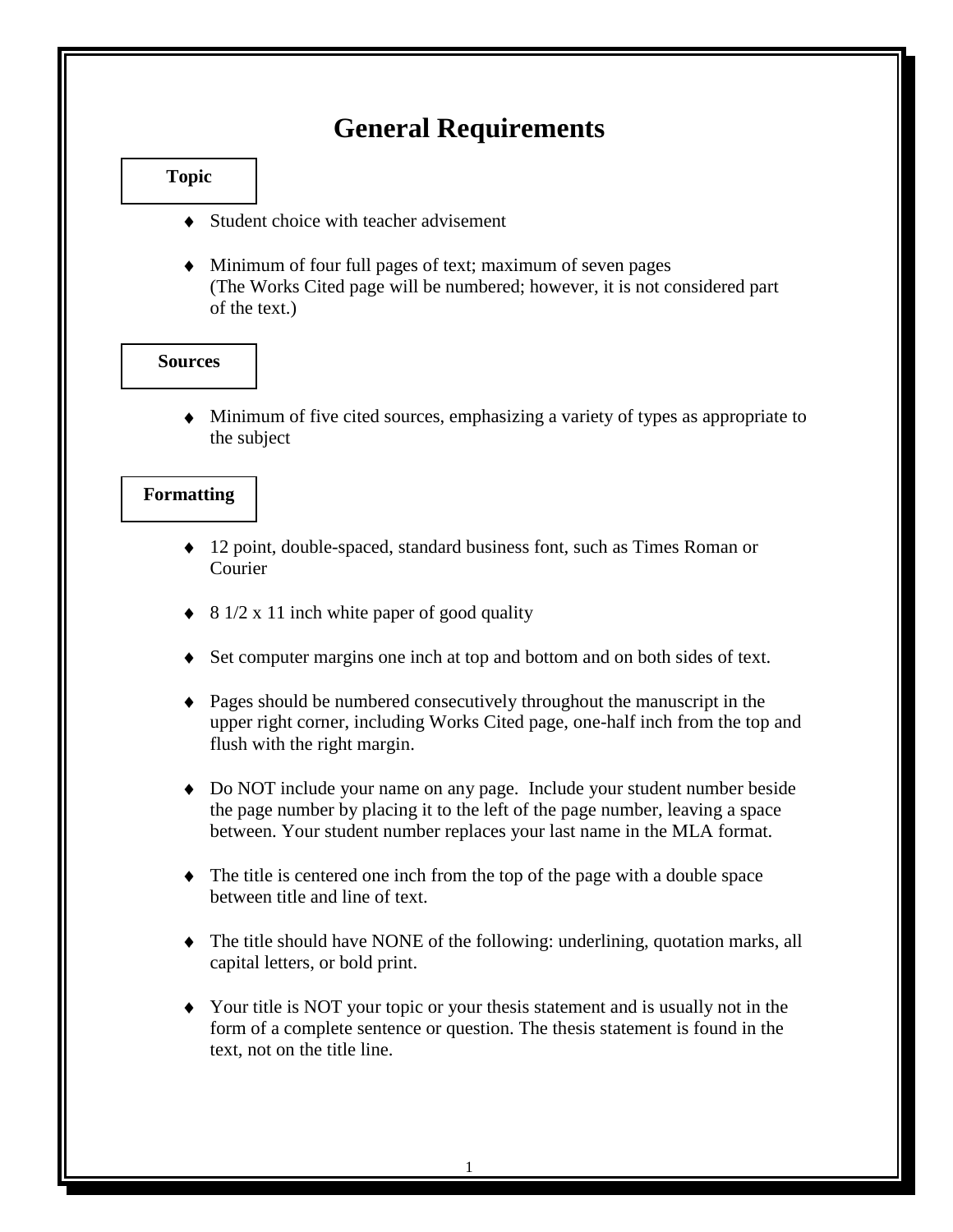# **General Requirements**

# **Topic**

- Student choice with teacher advisement
- Minimum of four full pages of text; maximum of seven pages (The Works Cited page will be numbered; however, it is not considered part of the text.)

# **Sources**

Minimum of five cited sources, emphasizing a variety of types as appropriate to the subject

### **Formatting**

- ◆ 12 point, double-spaced, standard business font, such as Times Roman or Courier
- 8 1/2 x 11 inch white paper of good quality
- Set computer margins one inch at top and bottom and on both sides of text.
- Pages should be numbered consecutively throughout the manuscript in the upper right corner, including Works Cited page, one-half inch from the top and flush with the right margin.
- Do NOT include your name on any page. Include your student number beside the page number by placing it to the left of the page number, leaving a space between. Your student number replaces your last name in the MLA format.
- The title is centered one inch from the top of the page with a double space between title and line of text.
- The title should have NONE of the following: underlining, quotation marks, all capital letters, or bold print.
- Your title is NOT your topic or your thesis statement and is usually not in the form of a complete sentence or question. The thesis statement is found in the text, not on the title line.

1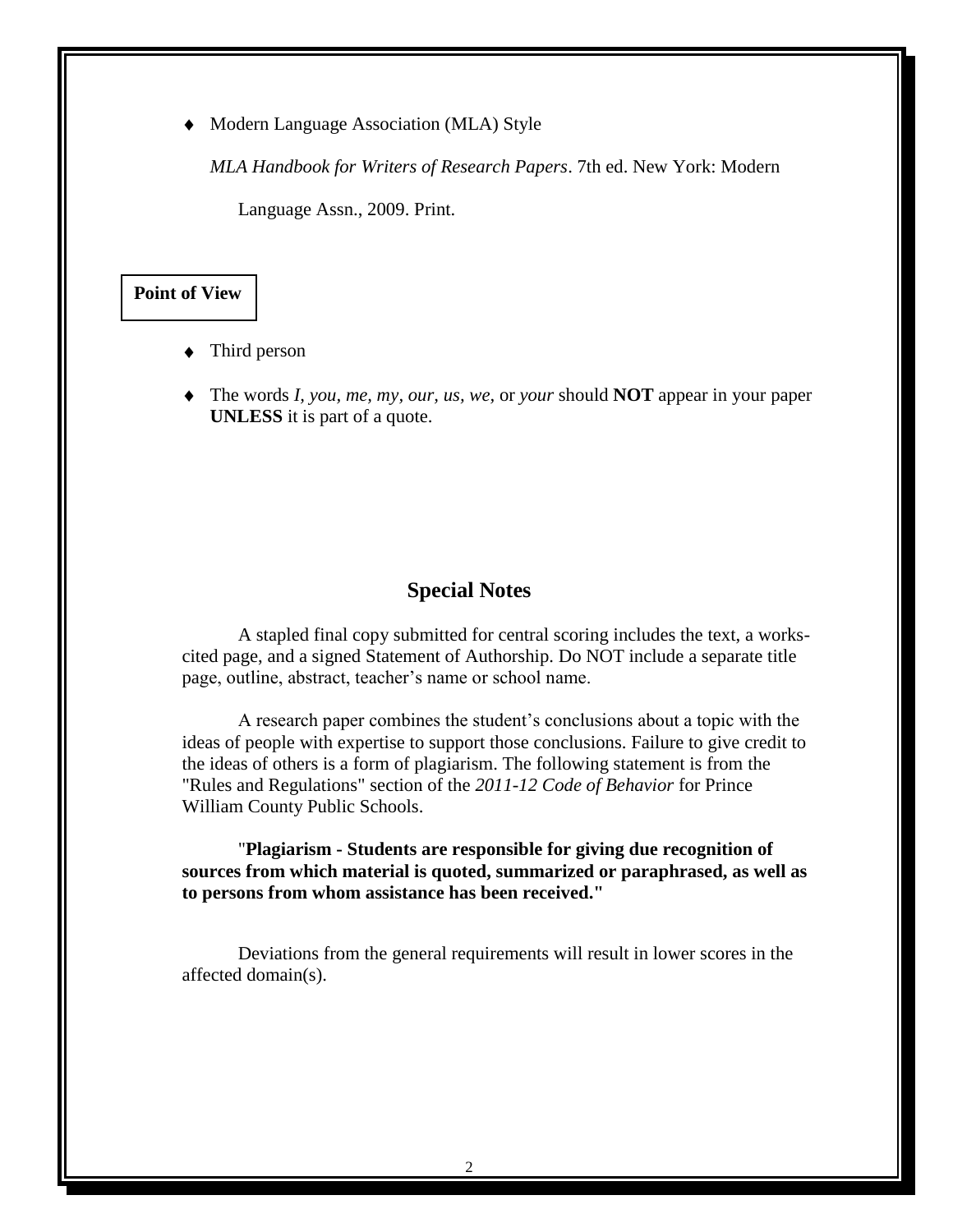Modern Language Association (MLA) Style

*MLA Handbook for Writers of Research Papers*. 7th ed. New York: Modern

Language Assn., 2009. Print.

# **Point of View**

- Third person
- The words *I, you, me, my, our, us, we,* or *your* should **NOT** appear in your paper **UNLESS** it is part of a quote.

# **Special Notes**

A stapled final copy submitted for central scoring includes the text, a workscited page, and a signed Statement of Authorship. Do NOT include a separate title page, outline, abstract, teacher's name or school name.

A research paper combines the student's conclusions about a topic with the ideas of people with expertise to support those conclusions. Failure to give credit to the ideas of others is a form of plagiarism. The following statement is from the "Rules and Regulations" section of the *2011-12 Code of Behavior* for Prince William County Public Schools.

"**Plagiarism - Students are responsible for giving due recognition of sources from which material is quoted, summarized or paraphrased, as well as to persons from whom assistance has been received."**

Deviations from the general requirements will result in lower scores in the affected domain(s).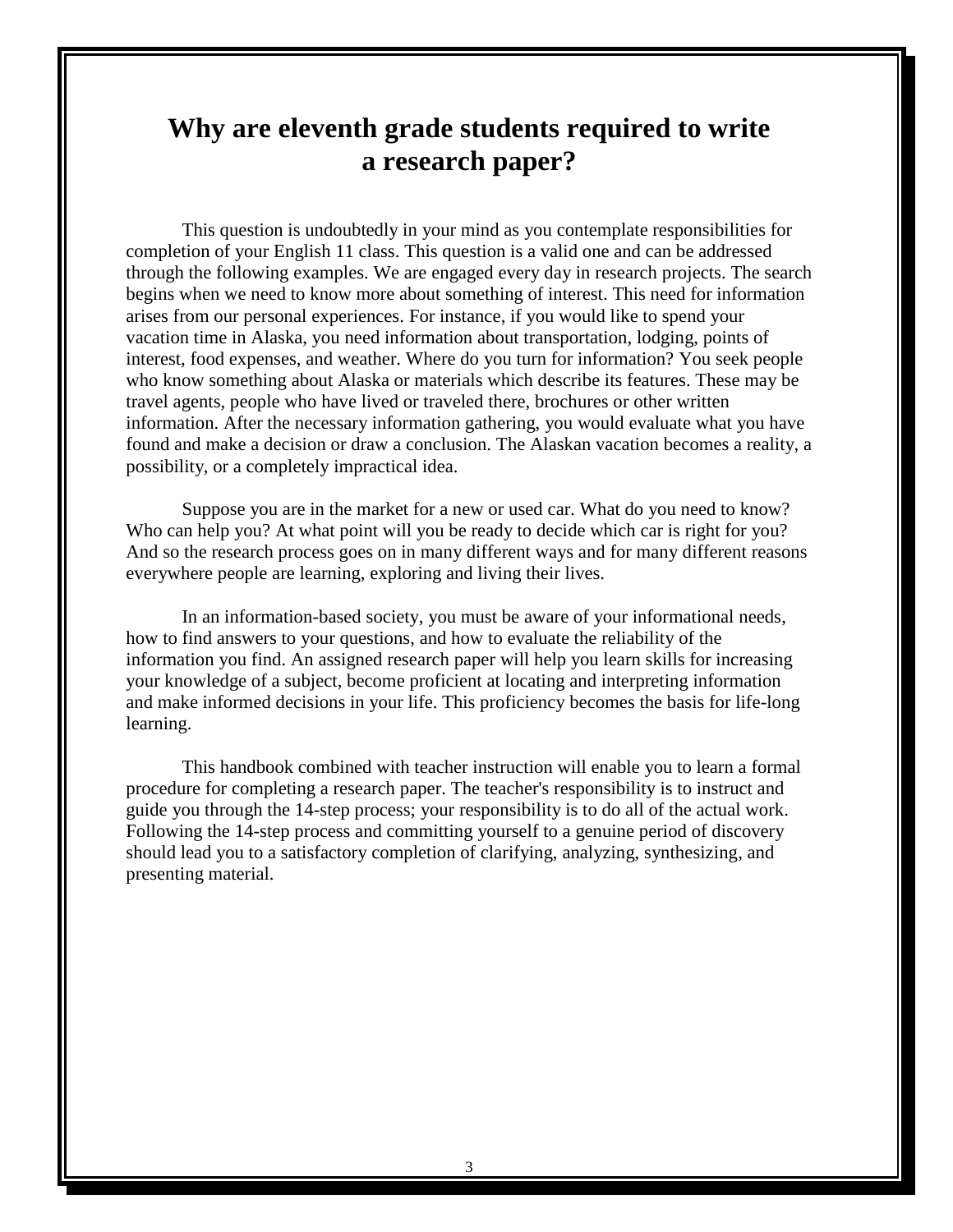# **Why are eleventh grade students required to write a research paper?**

This question is undoubtedly in your mind as you contemplate responsibilities for completion of your English 11 class. This question is a valid one and can be addressed through the following examples. We are engaged every day in research projects. The search begins when we need to know more about something of interest. This need for information arises from our personal experiences. For instance, if you would like to spend your vacation time in Alaska, you need information about transportation, lodging, points of interest, food expenses, and weather. Where do you turn for information? You seek people who know something about Alaska or materials which describe its features. These may be travel agents, people who have lived or traveled there, brochures or other written information. After the necessary information gathering, you would evaluate what you have found and make a decision or draw a conclusion. The Alaskan vacation becomes a reality, a possibility, or a completely impractical idea.

Suppose you are in the market for a new or used car. What do you need to know? Who can help you? At what point will you be ready to decide which car is right for you? And so the research process goes on in many different ways and for many different reasons everywhere people are learning, exploring and living their lives.

In an information-based society, you must be aware of your informational needs, how to find answers to your questions, and how to evaluate the reliability of the information you find. An assigned research paper will help you learn skills for increasing your knowledge of a subject, become proficient at locating and interpreting information and make informed decisions in your life. This proficiency becomes the basis for life-long learning.

This handbook combined with teacher instruction will enable you to learn a formal procedure for completing a research paper. The teacher's responsibility is to instruct and guide you through the 14-step process; your responsibility is to do all of the actual work. Following the 14-step process and committing yourself to a genuine period of discovery should lead you to a satisfactory completion of clarifying, analyzing, synthesizing, and presenting material.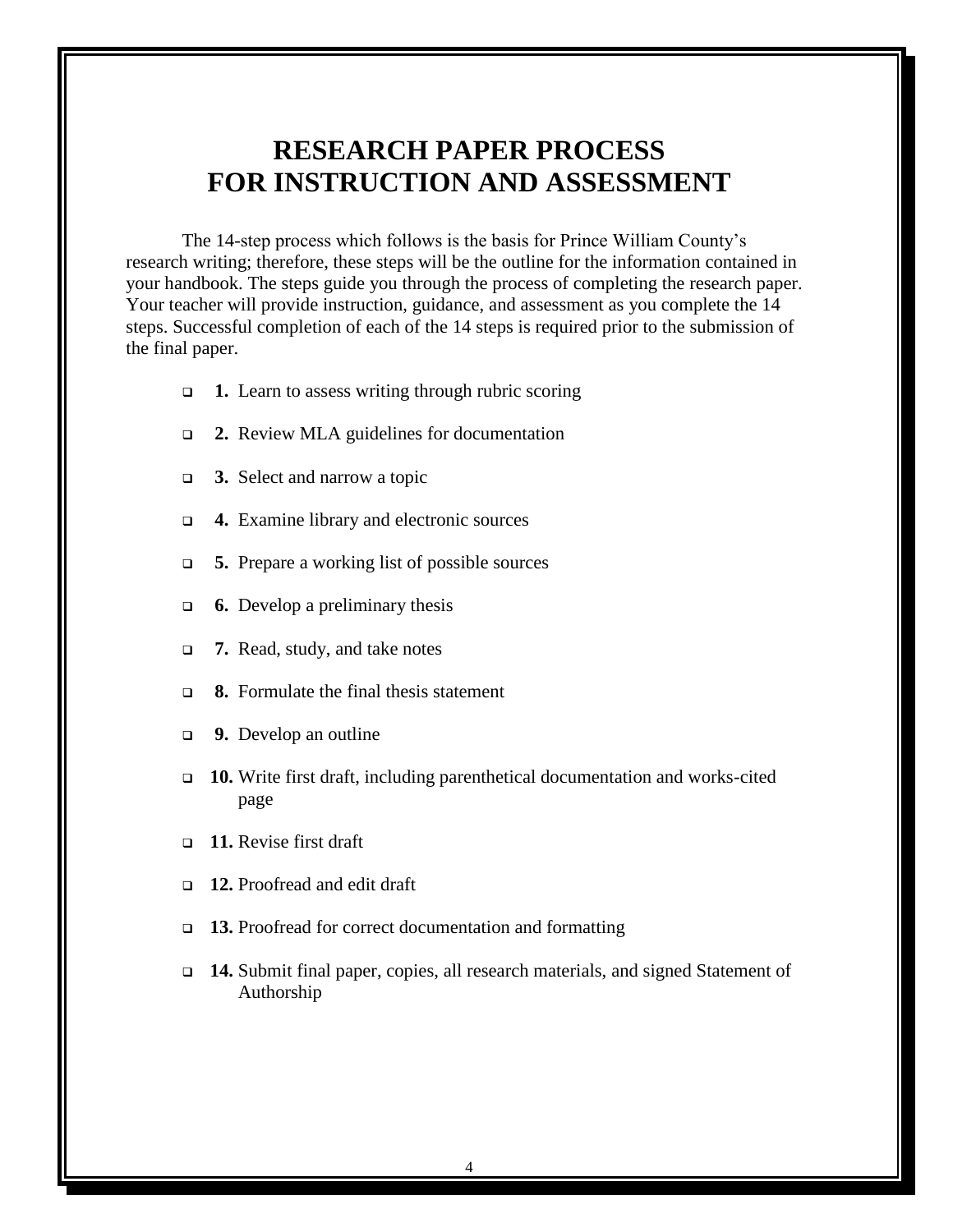# **RESEARCH PAPER PROCESS FOR INSTRUCTION AND ASSESSMENT**

The 14-step process which follows is the basis for Prince William County's research writing; therefore, these steps will be the outline for the information contained in your handbook. The steps guide you through the process of completing the research paper. Your teacher will provide instruction, guidance, and assessment as you complete the 14 steps. Successful completion of each of the 14 steps is required prior to the submission of the final paper.

- **1.** Learn to assess writing through rubric scoring
- **2.** Review MLA guidelines for documentation
- **3.** Select and narrow a topic
- **4.** Examine library and electronic sources
- **5.** Prepare a working list of possible sources
- **6.** Develop a preliminary thesis
- **7.** Read, study, and take notes
- **8.** Formulate the final thesis statement
- **9.** Develop an outline
- **10.** Write first draft, including parenthetical documentation and works-cited page
- **11.** Revise first draft
- **12.** Proofread and edit draft
- **13.** Proofread for correct documentation and formatting
- **14.** Submit final paper, copies, all research materials, and signed Statement of Authorship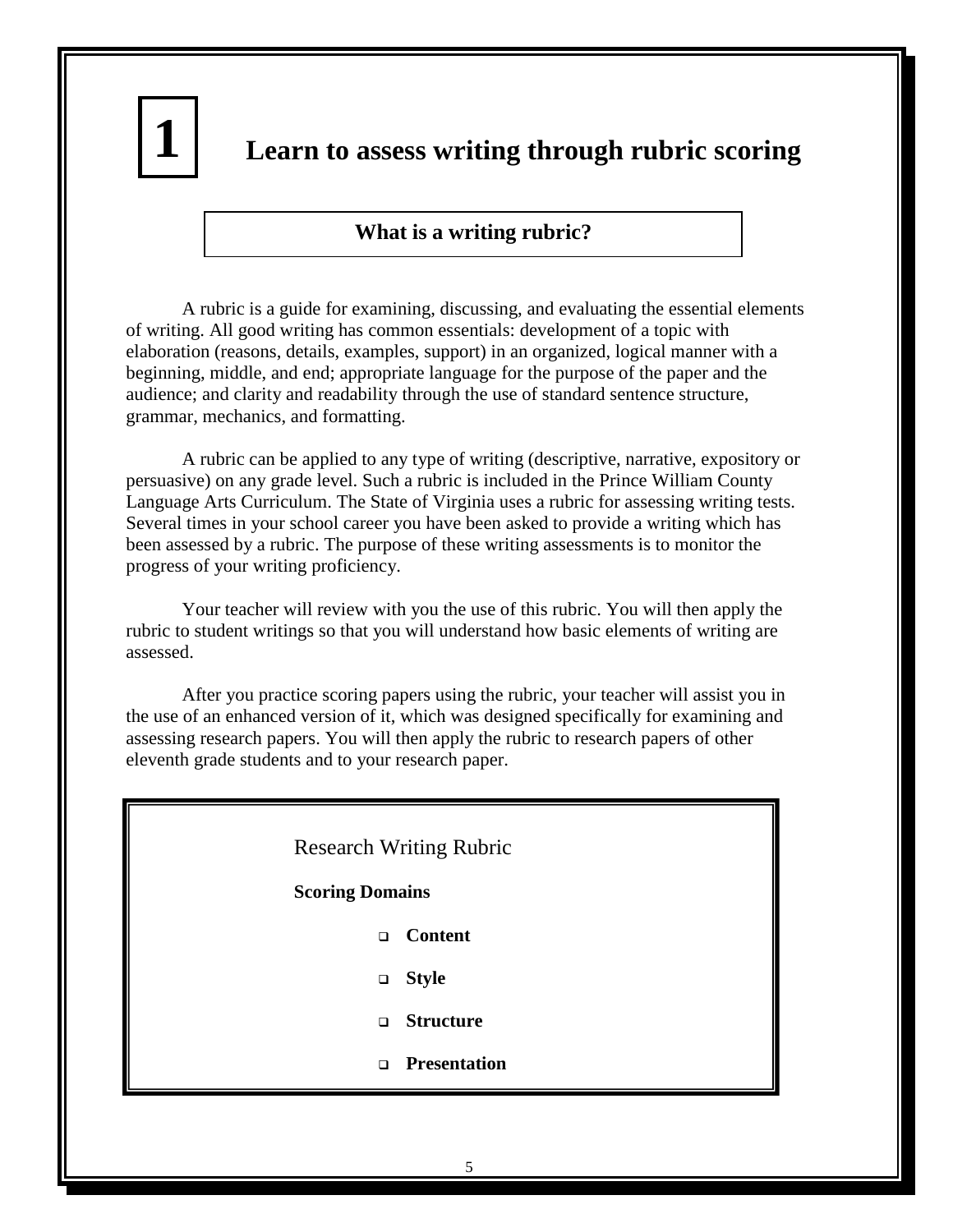

# **Learn to assess writing through rubric scoring**

# **What is a writing rubric?**

A rubric is a guide for examining, discussing, and evaluating the essential elements of writing. All good writing has common essentials: development of a topic with elaboration (reasons, details, examples, support) in an organized, logical manner with a beginning, middle, and end; appropriate language for the purpose of the paper and the audience; and clarity and readability through the use of standard sentence structure, grammar, mechanics, and formatting.

A rubric can be applied to any type of writing (descriptive, narrative, expository or persuasive) on any grade level. Such a rubric is included in the Prince William County Language Arts Curriculum. The State of Virginia uses a rubric for assessing writing tests. Several times in your school career you have been asked to provide a writing which has been assessed by a rubric. The purpose of these writing assessments is to monitor the progress of your writing proficiency.

Your teacher will review with you the use of this rubric. You will then apply the rubric to student writings so that you will understand how basic elements of writing are assessed.

After you practice scoring papers using the rubric, your teacher will assist you in the use of an enhanced version of it, which was designed specifically for examining and assessing research papers. You will then apply the rubric to research papers of other eleventh grade students and to your research paper.

# Research Writing Rubric

#### **Scoring Domains**

- **Content**
- **Style**
- **Structure**
- **Presentation**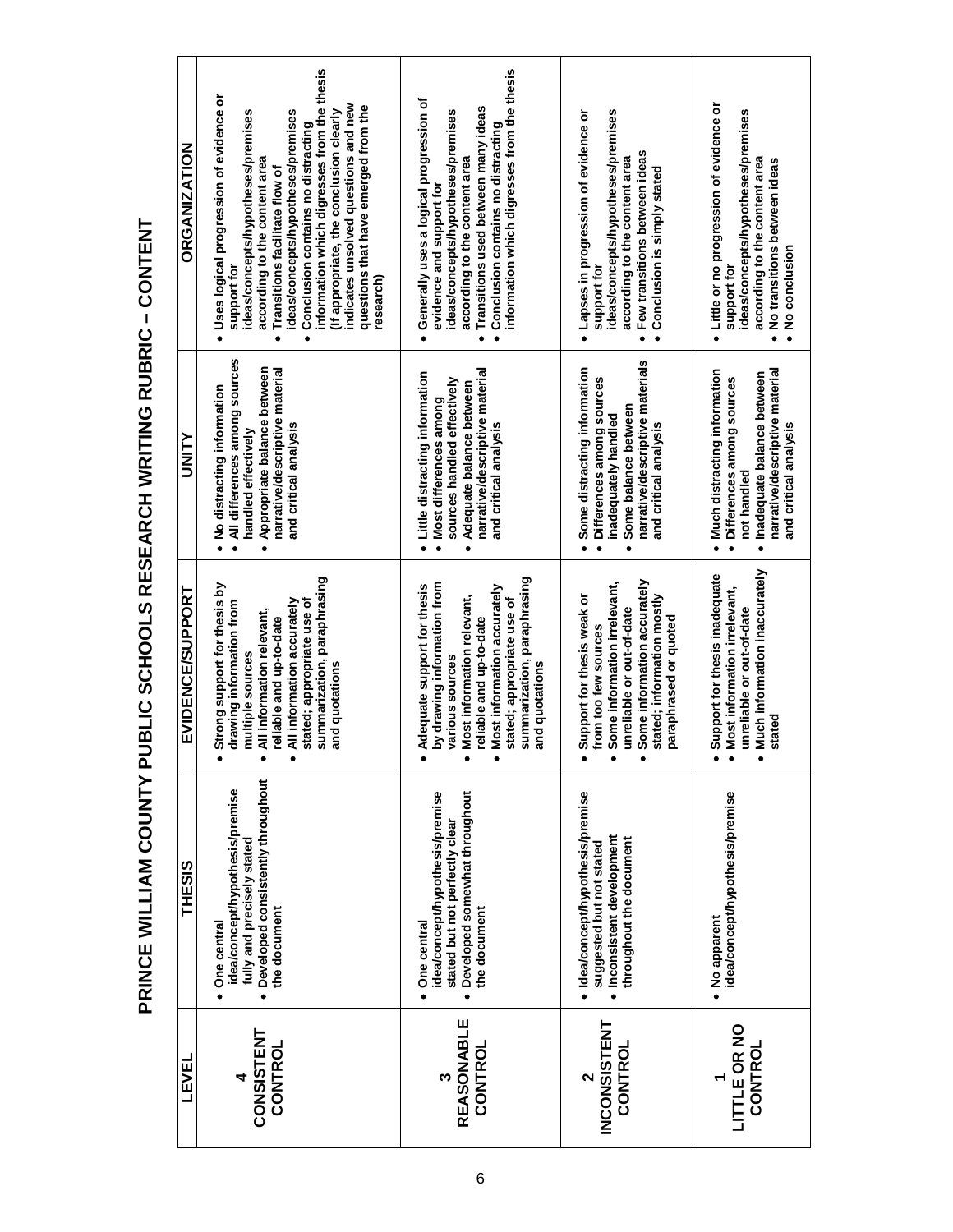| <b>ORGANIZATION</b>     | information which digresses from the thesis<br>· Uses logical progression of evidence or<br>indicates unsolved questions and new<br>questions that have emerged from the<br>ideas/concepts/hypotheses/premises<br>(If appropriate, the conclusion clearly<br>ideas/concepts/hypotheses/premises<br>Conclusion contains no distracting<br>according to the content area<br>Transitions facilitate flow of<br>support for<br>research) | information which digresses from the thesis<br>· Generally uses a logical progression of<br>Transitions used between many ideas<br>ideas/concepts/hypotheses/premises<br>Conclusion contains no distracting<br>according to the content area<br>evidence and support for | ideas/concepts/hypotheses/premises<br>· Lapses in progression of evidence or<br>· Few transitions between ideas<br>according to the content area<br>Conclusion is simply stated<br>support for        | • Little or no progression of evidence or<br>ideas/concepts/hypotheses/premises<br>according to the content area<br>No transitions between ideas<br>No conclusion<br>support for<br>$\bullet$<br>$\bullet$ |
|-------------------------|--------------------------------------------------------------------------------------------------------------------------------------------------------------------------------------------------------------------------------------------------------------------------------------------------------------------------------------------------------------------------------------------------------------------------------------|--------------------------------------------------------------------------------------------------------------------------------------------------------------------------------------------------------------------------------------------------------------------------|-------------------------------------------------------------------------------------------------------------------------------------------------------------------------------------------------------|------------------------------------------------------------------------------------------------------------------------------------------------------------------------------------------------------------|
| <b>NILKID</b>           | All differences among sources<br>Appropriate balance between<br>narrative/descriptive material<br>No distracting information<br>and critical analysis<br>handled effectively<br>$\bullet$<br>$\bullet$<br>$\bullet$                                                                                                                                                                                                                  | narrative/descriptive material<br>• Little distracting information<br>sources handled effectively<br>Adequate balance between<br>Most differences among<br>and critical analysis<br>$\bullet$<br>$\bullet$                                                               | narrative/descriptive materials<br>Some distracting information<br>Differences among sources<br>Some balance between<br>inadequately handled<br>and critical analysis<br>$\bullet$<br>$\bullet$       | Much distracting information<br>narrative/descriptive material<br>Inadequate balance between<br>Differences among sources<br>and critical analysis<br>not handled<br>$\bullet$<br>$\bullet$<br>$\bullet$   |
| <b>EVIDENCE/SUPPORT</b> | summarization, paraphrasing<br>Strong support for thesis by<br>stated; appropriate use of<br>All information accurately<br>drawing information from<br>All information relevant,<br>reliable and up-to-date<br>multiple sources<br>and quotations                                                                                                                                                                                    | summarization, paraphrasing<br>by drawing information from<br>Adequate support for thesis<br>Most information accurately<br>Most information relevant,<br>stated; appropriate use of<br>reliable and up-to-date<br>various sources<br>and quotations                     | Some information accurately<br>Some information irrelevant,<br>Support for thesis weak or<br>stated; information mostly<br>unreliable or out-of-date<br>paraphrased or quoted<br>from too few sources | Much information inaccurately<br>Support for thesis inadequate<br>Most information irrelevant,<br>unreliable or out-of-date<br>stated                                                                      |
| <b>THESIS</b>           | Developed consistently throughout<br>idea/concept/hypothesis/premise<br>fully and precisely stated<br>the document<br>One central                                                                                                                                                                                                                                                                                                    | Developed somewhat throughout<br>idea/concept/hypothesis/premise<br>stated but not perfectly clear<br>the document<br>One central                                                                                                                                        | · Idea/concept/hypothesis/premise<br>· Inconsistent development<br>throughout the document<br>suggested but not stated                                                                                | idea/concept/hypothesis/premise<br>· No apparent                                                                                                                                                           |
| LEVEI                   | <b>CONSISTENT</b><br>CONTROL                                                                                                                                                                                                                                                                                                                                                                                                         | <b>REASONABLE</b><br>CONTROL                                                                                                                                                                                                                                             | <b>INCONSISTENT</b><br>CONTROL                                                                                                                                                                        | LITTLE OR NO<br>CONTROL                                                                                                                                                                                    |

PRINCE WILLIAM COUNTY PUBLIC SCHOOLS RESEARCH WRITING RUBRIC - CONTENT **PRINCE WILLIAM COUNTY PUBLIC SCHOOLS RESEARCH WRITING RUBRIC – CONTENT**

L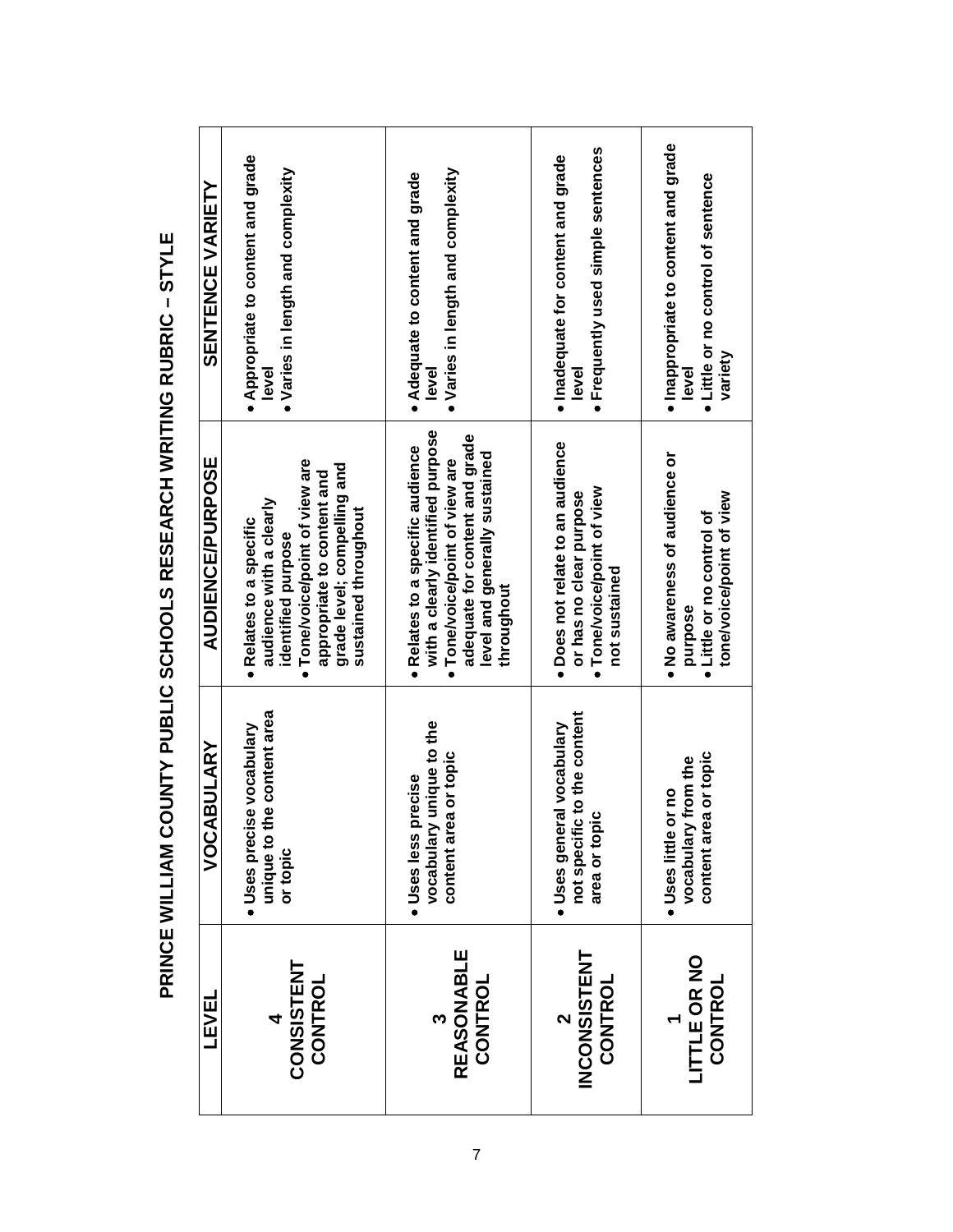| <b>SENTENCE VARIETY</b> | . Appropriate to content and grade<br>· Varies in length and complexity<br>level                                                                                                              | • Varies in length and complexity<br>• Adequate to content and grade<br>level                                                                                                        | · Frequently used simple sentences<br>· Inadequate for content and grade<br>level                        | · Inappropriate to content and grade<br>· Little or no control of sentence<br>variety<br>level    |
|-------------------------|-----------------------------------------------------------------------------------------------------------------------------------------------------------------------------------------------|--------------------------------------------------------------------------------------------------------------------------------------------------------------------------------------|----------------------------------------------------------------------------------------------------------|---------------------------------------------------------------------------------------------------|
| <b>AUDIENCE/PURPOSE</b> | Tone/voice/point of view are<br>grade level; compelling and<br>appropriate to content and<br>audience with a clearly<br>sustained throughout<br>· Relates to a specific<br>identified purpose | with a clearly identified purpose<br>adequate for content and grade<br>Relates to a specific audience<br>level and generally sustained<br>Tone/voice/point of view are<br>throughout | · Does not relate to an audience<br>Tone/voice/point of view<br>or has no clear purpose<br>not sustained | . No awareness of audience or<br>tone/voice/point of view<br>• Little or no control of<br>purpose |
| VOCABULARY              | unique to the content area<br>Uses precise vocabulary<br>or topic                                                                                                                             | vocabulary unique to the<br>content area or topic<br>Uses less precise                                                                                                               | not specific to the content<br>Uses general vocabulary<br>$\overline{a}$<br>area or topi                 | content area or topic<br>vocabulary from the<br>· Uses little or no                               |
| <b>TEAET</b>            | <b>CONSISTENT</b><br>CONTROL                                                                                                                                                                  | <b>REASONABLE</b><br>CONTROL                                                                                                                                                         | <b>INCONSISTENT</b><br>CONTROL                                                                           | LITTLE OR NO<br>CONTROL                                                                           |

PRINCE WILLIAM COUNTY PUBLIC SCHOOLS RESEARCH WRITING RUBRIC - STYLE **PRINCE WILLIAM COUNTY PUBLIC SCHOOLS RESEARCH WRITING RUBRIC – STYLE**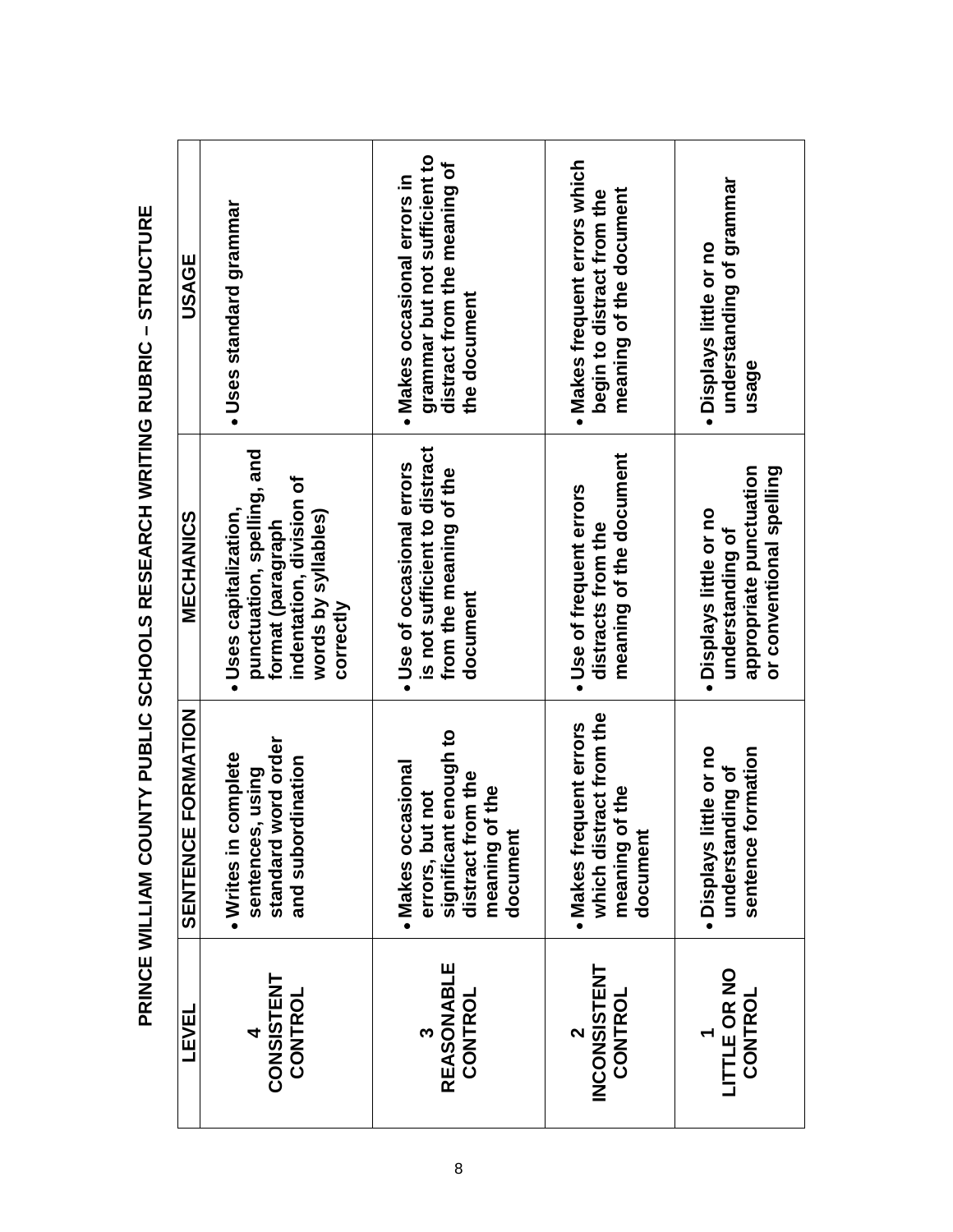| USAGE              | Uses standard grammar                                                                                                                     | grammar but not sufficient to<br>distract from the meaning of<br>· Makes occasional errors in<br>the document            | · Makes frequent errors which<br>meaning of the document<br>begin to distract from the | understanding of grammar<br>. Displays little or no<br>usage                                       |
|--------------------|-------------------------------------------------------------------------------------------------------------------------------------------|--------------------------------------------------------------------------------------------------------------------------|----------------------------------------------------------------------------------------|----------------------------------------------------------------------------------------------------|
| <b>MECHANICS</b>   | punctuation, spelling, and<br>indentation, division of<br>· Uses capitalization,<br>words by syllables)<br>format (paragraph<br>correctly | is not sufficient to distract<br>Use of occasional errors<br>from the meaning of the<br>document                         | meaning of the document<br>· Use of frequent errors<br>distracts from the              | appropriate punctuation<br>or conventional spelling<br>. Displays little or no<br>understanding of |
| SENTENCE FORMATION | word order<br>complete<br>rdination<br>sentences, using<br>and subo<br>standard<br>. Writes in                                            | significant enough to<br>· Makes occasional<br>om the<br>of the<br>errors, but not<br>document<br>distract fi<br>meaning | which distract from the<br>. Makes frequent errors<br>of the<br>document<br>meaning    | little or no<br>formation<br>nding of<br>understal<br>sentence<br>· Displays                       |
| LEVEL              | <b>CONSISTENT</b><br>CONTROL                                                                                                              | <b>REASONABLE</b><br>CONTROL                                                                                             | <b>INCONSISTENT</b><br>CONTROL                                                         | LITTLE OR NO<br><b>CONTROL</b>                                                                     |

PRINCE WILLIAM COUNTY PUBLIC SCHOOLS RESEARCH WRITING RUBRIC - STRUCTURE **PRINCE WILLIAM COUNTY PUBLIC SCHOOLS RESEARCH WRITING RUBRIC – STRUCTURE**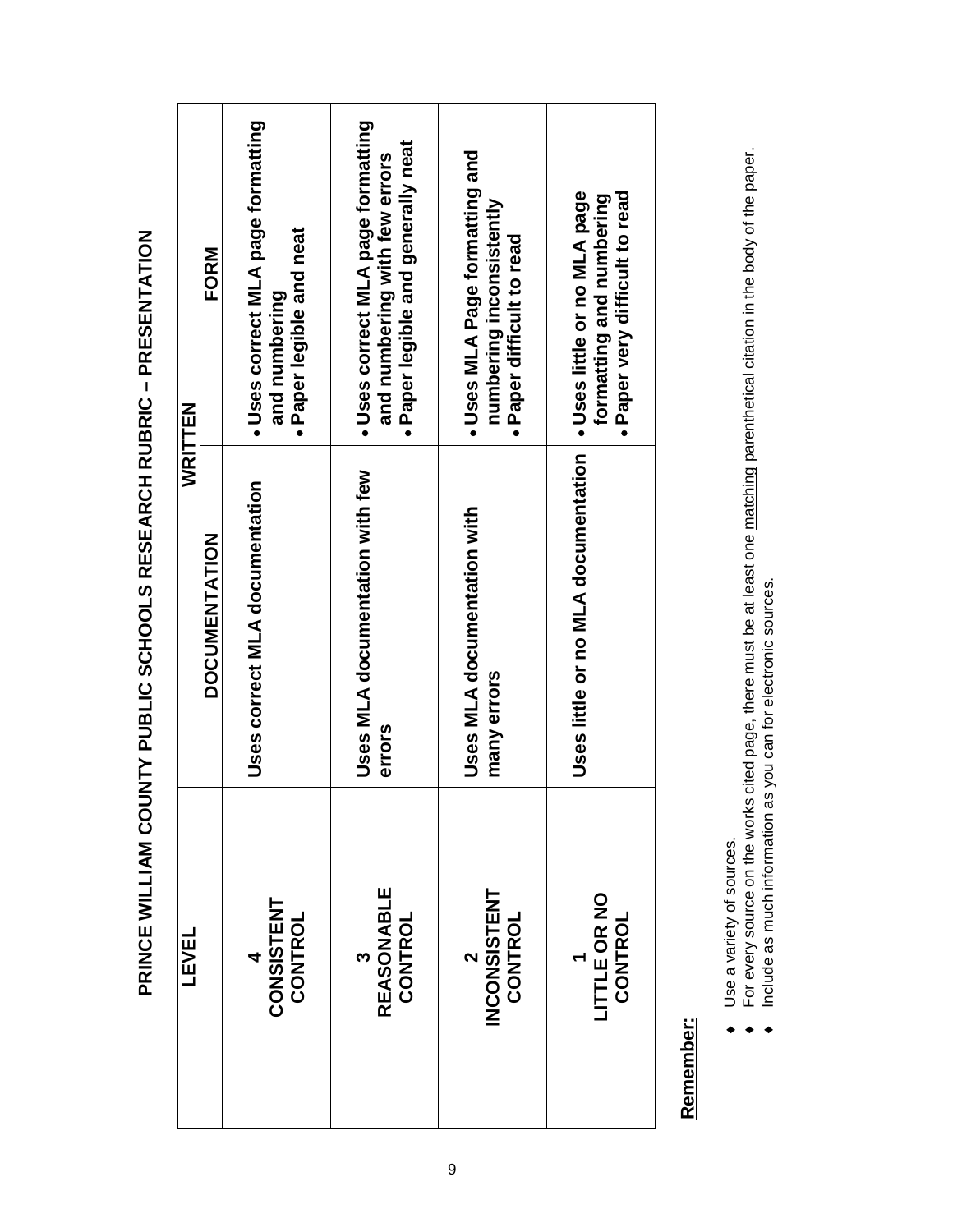| FORM<br>WRITTEN      | Uses correct MLA page formatting<br>· Paper legible and neat<br>and numbering | · Uses correct MLA page formatting<br>· Paper legible and generally neat<br>and numbering with few errors | - Uses MLA Page formatting and<br>numbering inconsistently<br>· Paper difficult to read | Uses little or no MLA page<br>· Paper very difficult to read<br>formatting and numbering |
|----------------------|-------------------------------------------------------------------------------|-----------------------------------------------------------------------------------------------------------|-----------------------------------------------------------------------------------------|------------------------------------------------------------------------------------------|
| <b>DOCUMENTATION</b> | Uses correct MLA documentation                                                | Uses MLA documentation with few<br>errors                                                                 | Uses MLA documentation with<br>many errors                                              | Uses little or no MLA documentation                                                      |
| <b>TEAET</b>         | 4<br>CONSISTENT<br>CONTROL                                                    | <b>REASONABLE</b><br>CONTROL<br>ო                                                                         | <b>INCONSISTENT</b><br>CONTROL<br>$\mathbf{\hat{z}}$                                    | LITTLE OR NO<br>CONTROL                                                                  |

# PRINCE WILLIAM COUNTY PUBLIC SCHOOLS RESEARCH RUBRIC - PRESENTATION **PRINCE WILLIAM COUNTY PUBLIC SCHOOLS RESEARCH RUBRIC – PRESENTATION**

# Remember: **Remember:**

- Use a variety of sources. ♦ Use a variety of sources.
- For every source on the works cited page, there must be at least one matching parenthetical citation in the body of the paper.<br>Include as much information as you can for electronic sources. ♦ For every source on the works cited page, there must be at least one matching parenthetical citation in the body of the paper.
	- ♦ Include as much information as you can for electronic sources. $\bullet$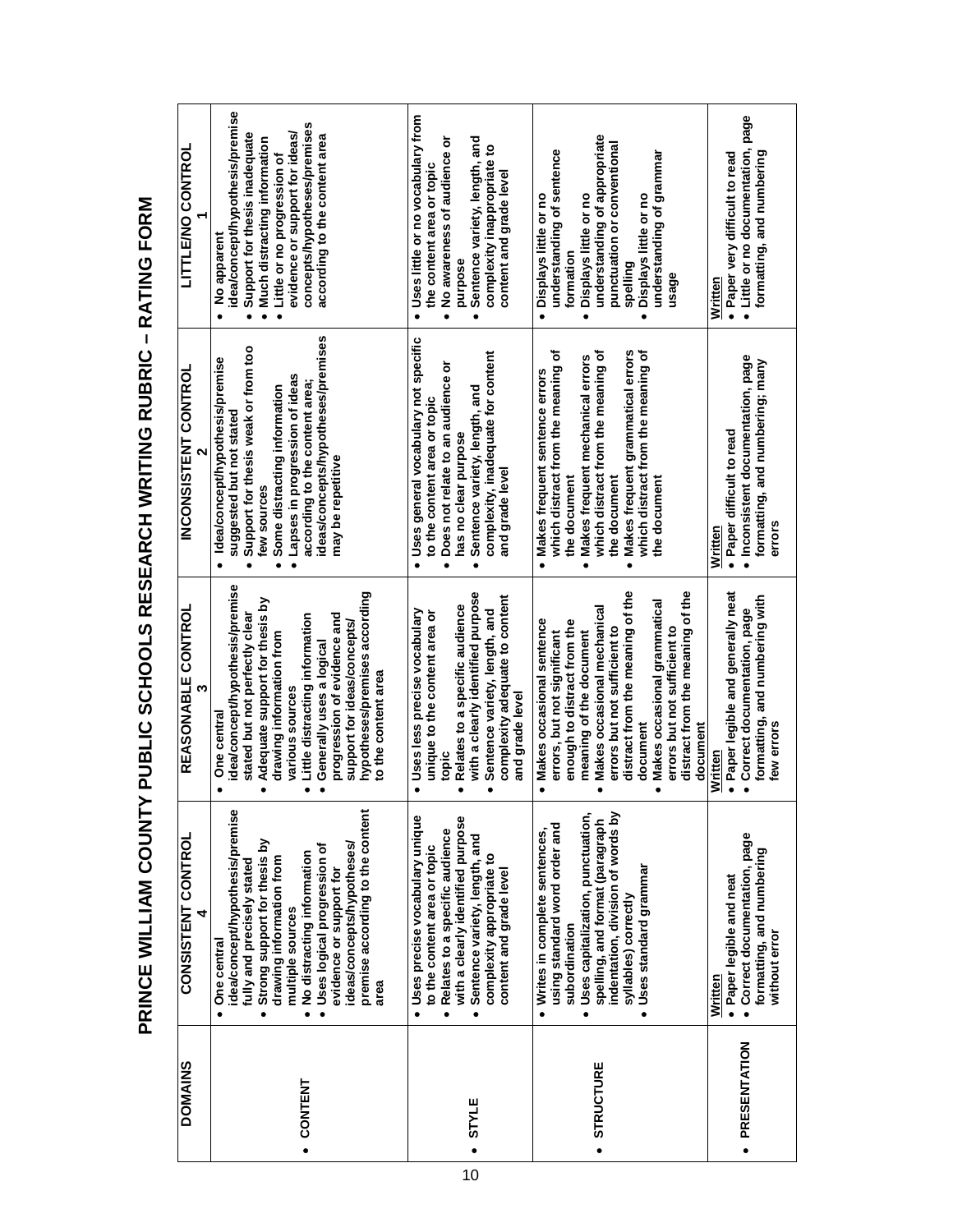**PRINCE WILLIAM COUNTY PUBLIC SCHOOLS RESEARCH WRITING RUBRIC - RATING FORM PRINCE WILLIAM COUNTY PUBLIC SCHOOLS RESEARCH WRITING RUBRIC – RATING FORM**

| <b>DOMAINS</b>   | <b>CONSISTENT CONTROL</b>                                                                                                                                                                                                                                                                                                                         | <b>REASONABLE CONTROL</b><br>w                                                                                                                                                                                                                                                                                                                        | <b>INCONSISTENT CONTROL</b>                                                                                                                                                                                                                                                                   | <b><i>LITTENO CONTROL</i></b>                                                                                                                                                                                                                                  |
|------------------|---------------------------------------------------------------------------------------------------------------------------------------------------------------------------------------------------------------------------------------------------------------------------------------------------------------------------------------------------|-------------------------------------------------------------------------------------------------------------------------------------------------------------------------------------------------------------------------------------------------------------------------------------------------------------------------------------------------------|-----------------------------------------------------------------------------------------------------------------------------------------------------------------------------------------------------------------------------------------------------------------------------------------------|----------------------------------------------------------------------------------------------------------------------------------------------------------------------------------------------------------------------------------------------------------------|
| . CONTENT        | idea/concept/hypothesis/premise<br>premise according to the content<br>Strong support for thesis by<br>ideas/concepts/hypotheses/<br>· Uses logical progression of<br>. No distracting information<br>drawing information from<br>fully and precisely stated<br>evidence or support for<br>multiple sources<br>· One central<br>area<br>$\bullet$ | idea/concept/hypothesis/premise<br>hypotheses/premises according<br>Adequate support for thesis by<br>stated but not perfectly clear<br>Little distracting information<br>progression of evidence and<br>support for ideas/concepts/<br>drawing information from<br>Generally uses a logical<br>to the content area<br>various sources<br>One central | ideas/concepts/hypotheses/premises<br>Support for thesis weak or from too<br>Idea/concept/hypothesis/premise<br>Lapses in progression of ideas<br>according to the content area;<br>Some distracting information<br>suggested but not stated<br>may be repetitive<br>few sources<br>$\bullet$ | idea/concept/hypothesis/premise<br>concepts/hypotheses/premises<br>evidence or support for ideas/<br>Support for thesis inadequate<br>according to the content area<br>Much distracting information<br>Little or no progression of<br>No apparent<br>$\bullet$ |
| STYLE            | · Uses precise vocabulary unique<br>with a clearly identified purpose<br>· Relates to a specific audience<br>· Sentence variety, length, and<br>to the content area or topic<br>complexity appropriate to<br>content and grade level                                                                                                              | with a clearly identified purpose<br>complexity adequate to content<br>Relates to a specific audience<br>Uses less precise vocabulary<br>Sentence variety, length, and<br>unique to the content area or<br>and grade level<br>topic                                                                                                                   | Uses general vocabulary not specific<br>complexity, inadequate for content<br>Does not relate to an audience or<br>Sentence variety, length, and<br>to the content area or topic<br>has no clear purpose<br>and grade level                                                                   | Uses little or no vocabulary from<br>No awareness of audience or<br>Sentence variety, length, and<br>complexity inappropriate to<br>the content area or topic<br>content and grade level<br>purpose                                                            |
| <b>STRUCTURE</b> | indentation, division of words by<br>· Uses capitalization, punctuation,<br>spelling, and format (paragraph<br>using standard word order and<br>· Writes in complete sentences,<br>· Uses standard grammar<br>syllables) correctly<br>subordination                                                                                               | distract from the meaning of the<br>distract from the meaning of the<br>Makes occasional grammatical<br>Makes occasional mechanical<br>Makes occasional sentence<br>enough to distract from the<br>errors but not sufficient to<br>errors but not sufficient to<br>errors, but not significant<br>meaning of the document<br>document<br>document     | Makes frequent grammatical errors<br>which distract from the meaning of<br>which distract from the meaning of<br>which distract from the meaning of<br>Makes frequent mechanical errors<br>· Makes frequent sentence errors<br>the document<br>the document<br>the document                   | understanding of appropriate<br>punctuation or conventional<br>understanding of sentence<br>understanding of grammar<br>Displays little or no<br>Displays little or no<br>· Displays little or no<br>formation<br>spelling<br>usage                            |
| · PRESENTATION   | • Correct documentation, page<br>formatting, and numbering<br>· Paper legible and neat<br>without error<br>Written                                                                                                                                                                                                                                | Paper legible and generally neat<br>formatting, and numbering with<br>Correct documentation, page<br>few errors<br>Written                                                                                                                                                                                                                            | · Inconsistent documentation, page<br>formatting, and numbering; many<br>Paper difficult to read<br>errors<br>Written                                                                                                                                                                         | • Little or no documentation, page<br>formatting, and numbering<br>· Paper very difficult to read<br>Written                                                                                                                                                   |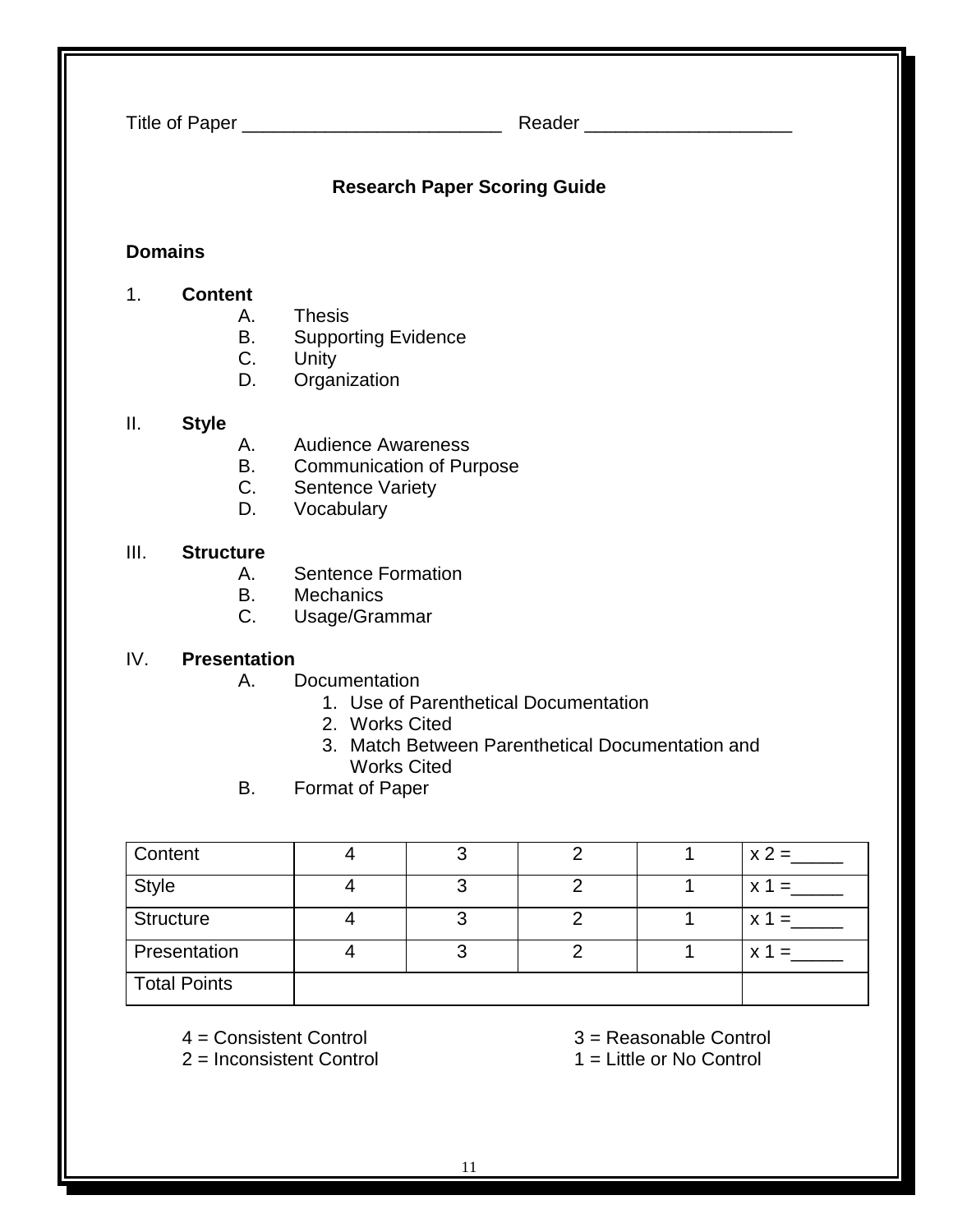| Title of Paper __________________________________                                                                                                                                                               |                                     |                      |                                                                                                       |                | Reader ________________________ |             |         |
|-----------------------------------------------------------------------------------------------------------------------------------------------------------------------------------------------------------------|-------------------------------------|----------------------|-------------------------------------------------------------------------------------------------------|----------------|---------------------------------|-------------|---------|
| <b>Research Paper Scoring Guide</b>                                                                                                                                                                             |                                     |                      |                                                                                                       |                |                                 |             |         |
|                                                                                                                                                                                                                 | <b>Domains</b>                      |                      |                                                                                                       |                |                                 |             |         |
| 1.                                                                                                                                                                                                              | <b>Content</b>                      | А.<br>В.<br>C.<br>D. | <b>Thesis</b><br><b>Supporting Evidence</b><br>Unity<br>Organization                                  |                |                                 |             |         |
| Ш.                                                                                                                                                                                                              | <b>Style</b>                        | А.<br>В.<br>C.<br>D. | <b>Audience Awareness</b><br><b>Communication of Purpose</b><br><b>Sentence Variety</b><br>Vocabulary |                |                                 |             |         |
| III.                                                                                                                                                                                                            | <b>Structure</b>                    | А.<br>В.<br>C.       | <b>Sentence Formation</b><br>Mechanics<br>Usage/Grammar                                               |                |                                 |             |         |
| IV.<br><b>Presentation</b><br>Documentation<br>А.<br>1. Use of Parenthetical Documentation<br>2. Works Cited<br>3. Match Between Parenthetical Documentation and<br><b>Works Cited</b><br>В.<br>Format of Paper |                                     |                      |                                                                                                       |                |                                 |             |         |
|                                                                                                                                                                                                                 | Content                             |                      | $\overline{4}$                                                                                        | 3              | $\overline{2}$                  | 1           |         |
| <b>Style</b>                                                                                                                                                                                                    |                                     |                      | 4                                                                                                     | 3              | 2                               | 1           | $x 1 =$ |
|                                                                                                                                                                                                                 | <b>Structure</b>                    |                      | $\overline{4}$                                                                                        | 3              | $\overline{2}$                  | 1           | $x 1 =$ |
|                                                                                                                                                                                                                 | Presentation<br><b>Total Points</b> |                      | $\overline{4}$                                                                                        | $\mathfrak{S}$ | $\overline{2}$                  | $\mathbf 1$ | $x 1 =$ |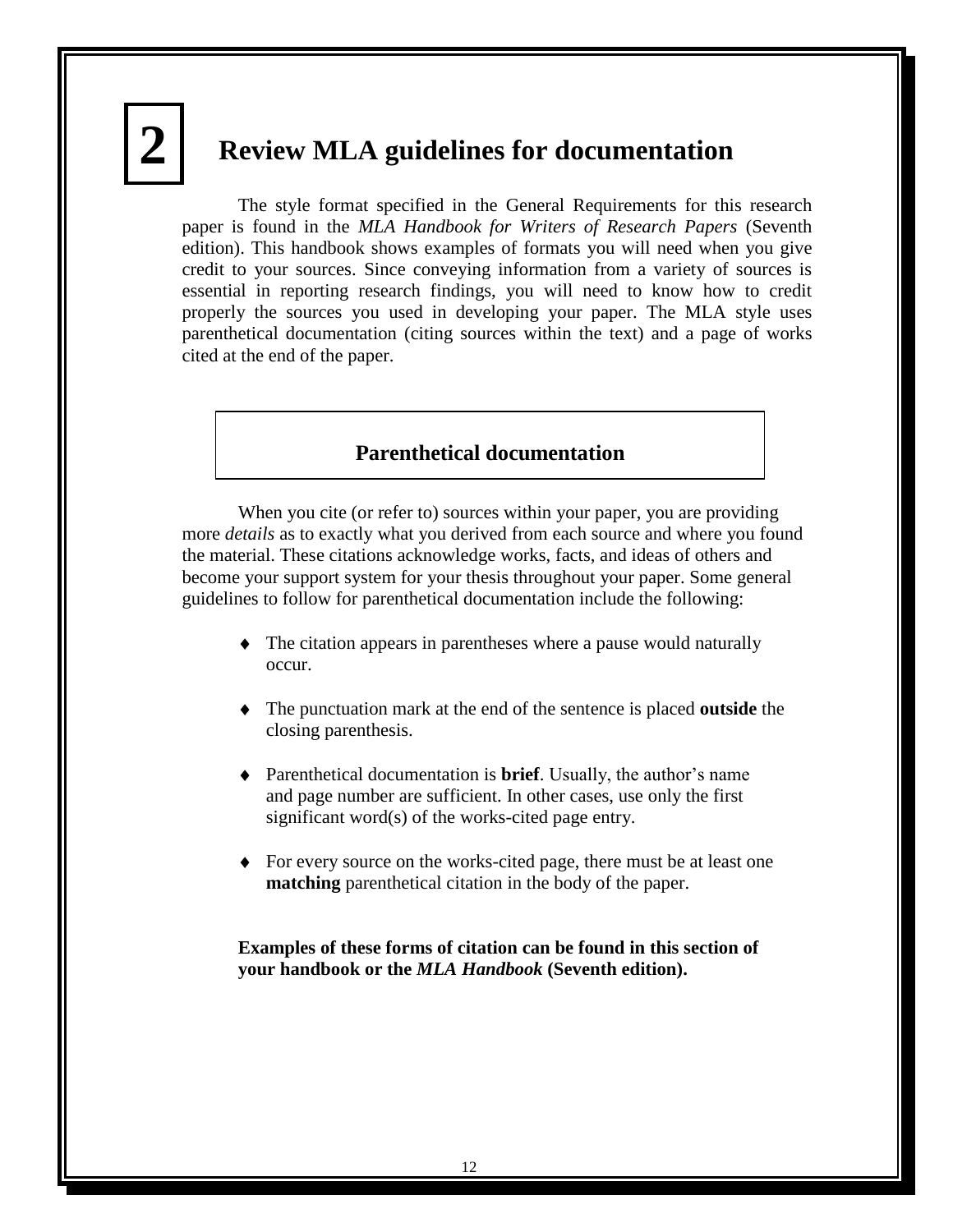# **2 4**

# **Review MLA guidelines for documentation**

The style format specified in the General Requirements for this research paper is found in the *MLA Handbook for Writers of Research Papers* (Seventh edition). This handbook shows examples of formats you will need when you give credit to your sources. Since conveying information from a variety of sources is essential in reporting research findings, you will need to know how to credit properly the sources you used in developing your paper. The MLA style uses parenthetical documentation (citing sources within the text) and a page of works cited at the end of the paper.

# **Parenthetical documentation**

When you cite (or refer to) sources within your paper, you are providing more *details* as to exactly what you derived from each source and where you found the material. These citations acknowledge works, facts, and ideas of others and become your support system for your thesis throughout your paper. Some general guidelines to follow for parenthetical documentation include the following:

- The citation appears in parentheses where a pause would naturally occur.
- The punctuation mark at the end of the sentence is placed **outside** the closing parenthesis.
- Parenthetical documentation is **brief**. Usually, the author's name and page number are sufficient. In other cases, use only the first significant word(s) of the works-cited page entry.
- For every source on the works-cited page, there must be at least one **matching** parenthetical citation in the body of the paper.

**Examples of these forms of citation can be found in this section of your handbook or the** *MLA Handbook* **(Seventh edition).**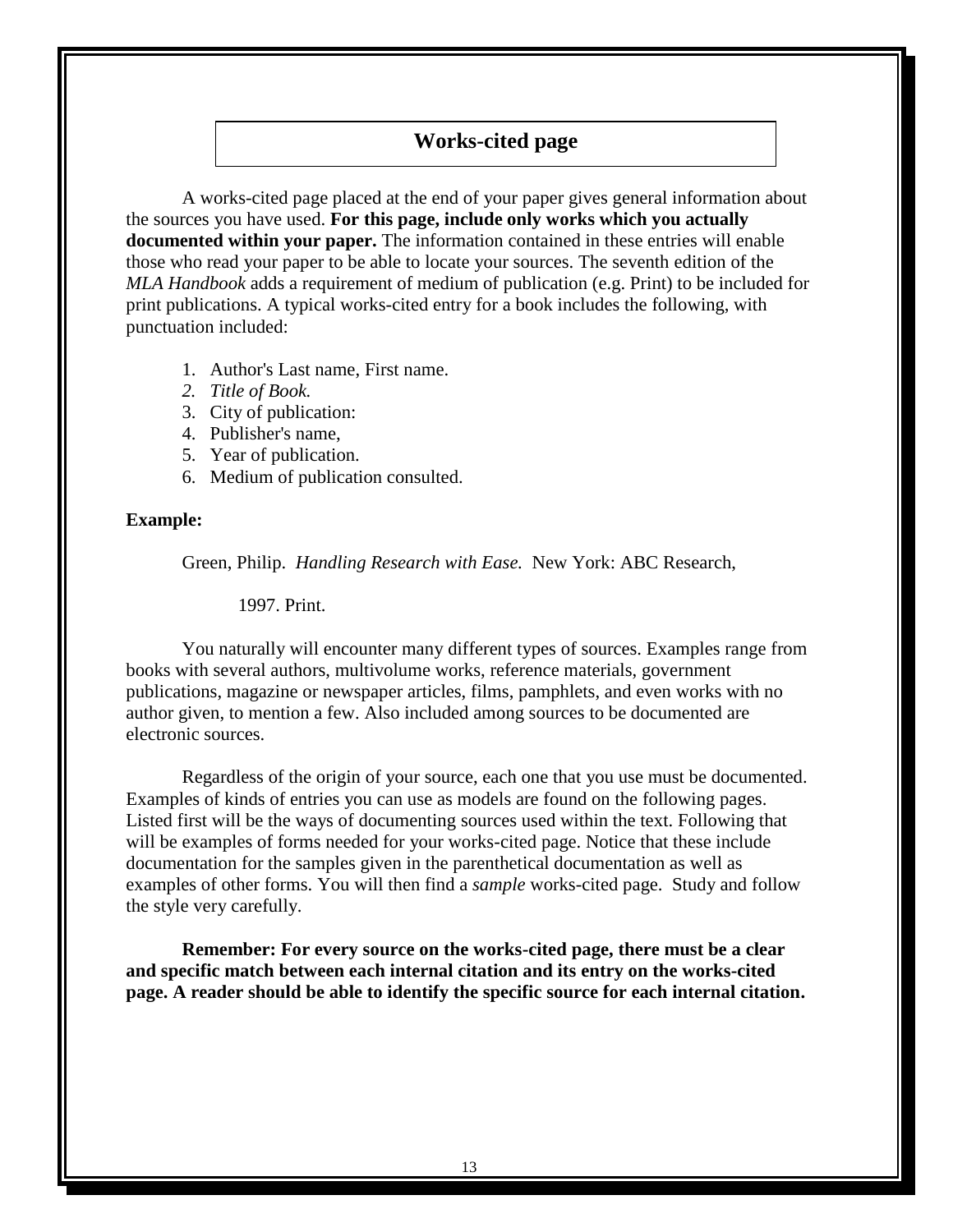# **Works-cited page**

A works-cited page placed at the end of your paper gives general information about the sources you have used. **For this page, include only works which you actually documented within your paper.** The information contained in these entries will enable those who read your paper to be able to locate your sources. The seventh edition of the *MLA Handbook* adds a requirement of medium of publication (e.g. Print) to be included for print publications. A typical works-cited entry for a book includes the following, with punctuation included:

- 1. Author's Last name, First name.
- *2. Title of Book.*
- 3. City of publication:
- 4. Publisher's name,
- 5. Year of publication.
- 6. Medium of publication consulted.

#### **Example:**

Green, Philip. *Handling Research with Ease.* New York: ABC Research,

1997. Print.

You naturally will encounter many different types of sources. Examples range from books with several authors, multivolume works, reference materials, government publications, magazine or newspaper articles, films, pamphlets, and even works with no author given, to mention a few. Also included among sources to be documented are electronic sources.

Regardless of the origin of your source, each one that you use must be documented. Examples of kinds of entries you can use as models are found on the following pages. Listed first will be the ways of documenting sources used within the text. Following that will be examples of forms needed for your works-cited page. Notice that these include documentation for the samples given in the parenthetical documentation as well as examples of other forms. You will then find a *sample* works-cited page. Study and follow the style very carefully.

**Remember: For every source on the works-cited page, there must be a clear and specific match between each internal citation and its entry on the works-cited page. A reader should be able to identify the specific source for each internal citation.**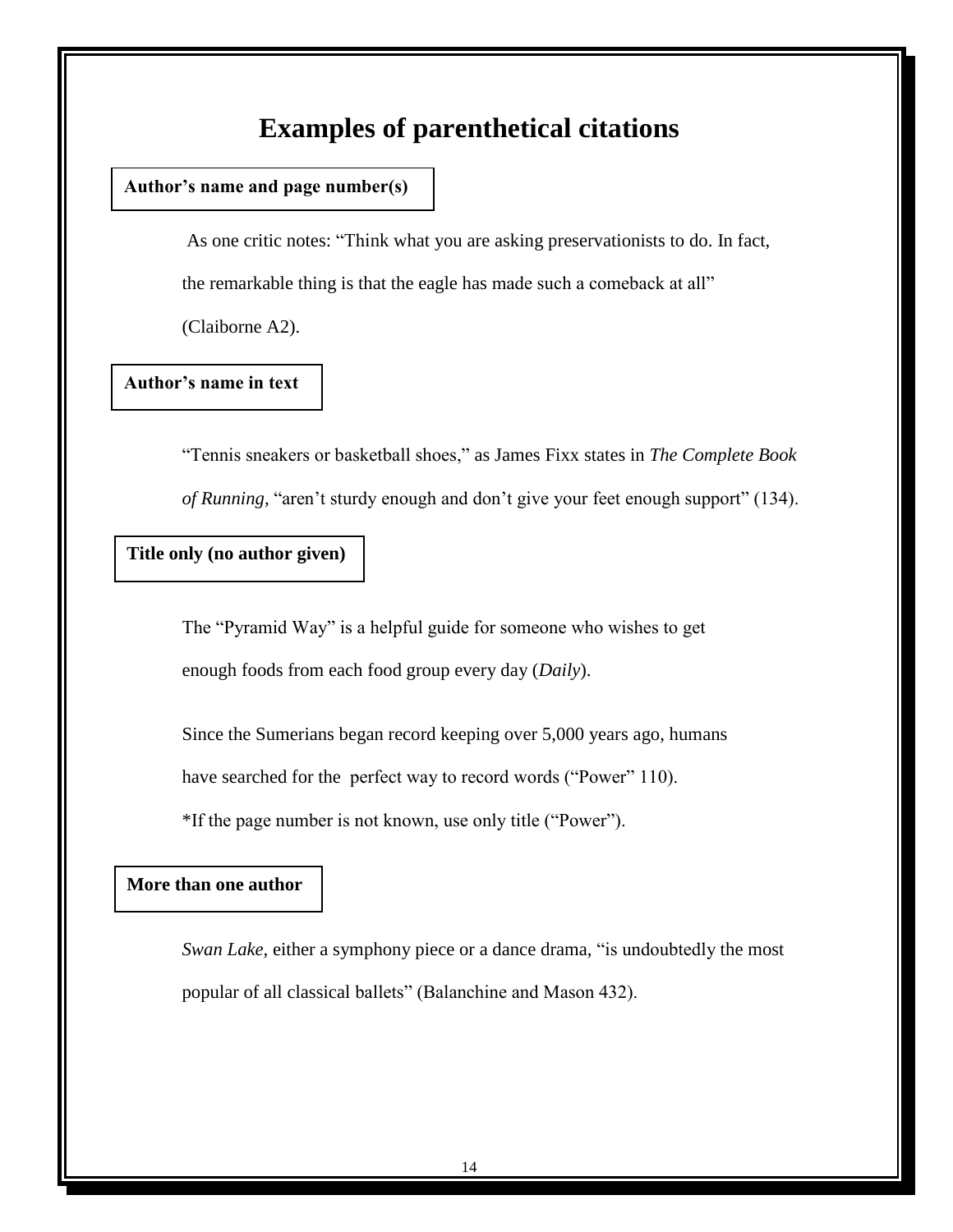# **Examples of parenthetical citations**

# **Author's name and page number(s)**

As one critic notes: "Think what you are asking preservationists to do. In fact, the remarkable thing is that the eagle has made such a comeback at all"

(Claiborne A2).

# **Author's name in text**

―Tennis sneakers or basketball shoes,‖ as James Fixx states in *The Complete Book of Running,* "aren't sturdy enough and don't give your feet enough support" (134).

# **Title only (no author given)**

The "Pyramid Way" is a helpful guide for someone who wishes to get enough foods from each food group every day (*Daily*).

Since the Sumerians began record keeping over 5,000 years ago, humans

have searched for the perfect way to record words ("Power" 110).

\*If the page number is not known, use only title ("Power").

# **More than one author**

*Swan Lake,* either a symphony piece or a dance drama, "is undoubtedly the most popular of all classical ballets" (Balanchine and Mason 432).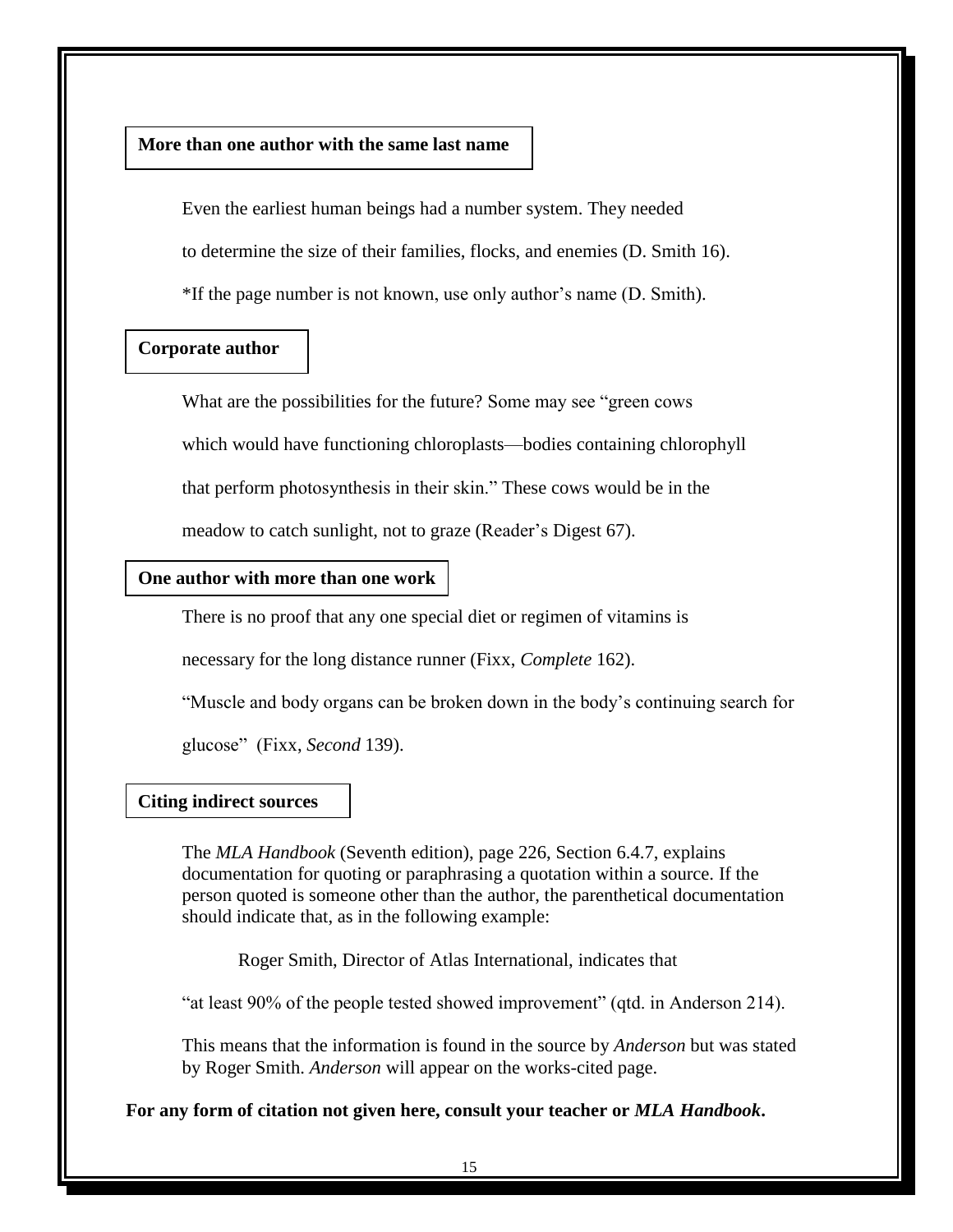### **More than one author with the same last name**

Even the earliest human beings had a number system. They needed to determine the size of their families, flocks, and enemies (D. Smith 16). \*If the page number is not known, use only author's name (D. Smith).

# **Corporate author**

What are the possibilities for the future? Some may see "green cows" which would have functioning chloroplasts—bodies containing chlorophyll that perform photosynthesis in their skin." These cows would be in the meadow to catch sunlight, not to graze (Reader's Digest 67).

#### **One author with more than one work**

There is no proof that any one special diet or regimen of vitamins is

necessary for the long distance runner (Fixx, *Complete* 162).

―Muscle and body organs can be broken down in the body's continuing search for

glucose‖ (Fixx, *Second* 139).

#### **Citing indirect sources**

The *MLA Handbook* (Seventh edition), page 226, Section 6.4.7, explains documentation for quoting or paraphrasing a quotation within a source. If the person quoted is someone other than the author, the parenthetical documentation should indicate that, as in the following example:

Roger Smith, Director of Atlas International, indicates that

―at least 90% of the people tested showed improvement‖ (qtd. in Anderson 214).

This means that the information is found in the source by *Anderson* but was stated by Roger Smith. *Anderson* will appear on the works-cited page.

**For any form of citation not given here, consult your teacher or** *MLA Handbook***.**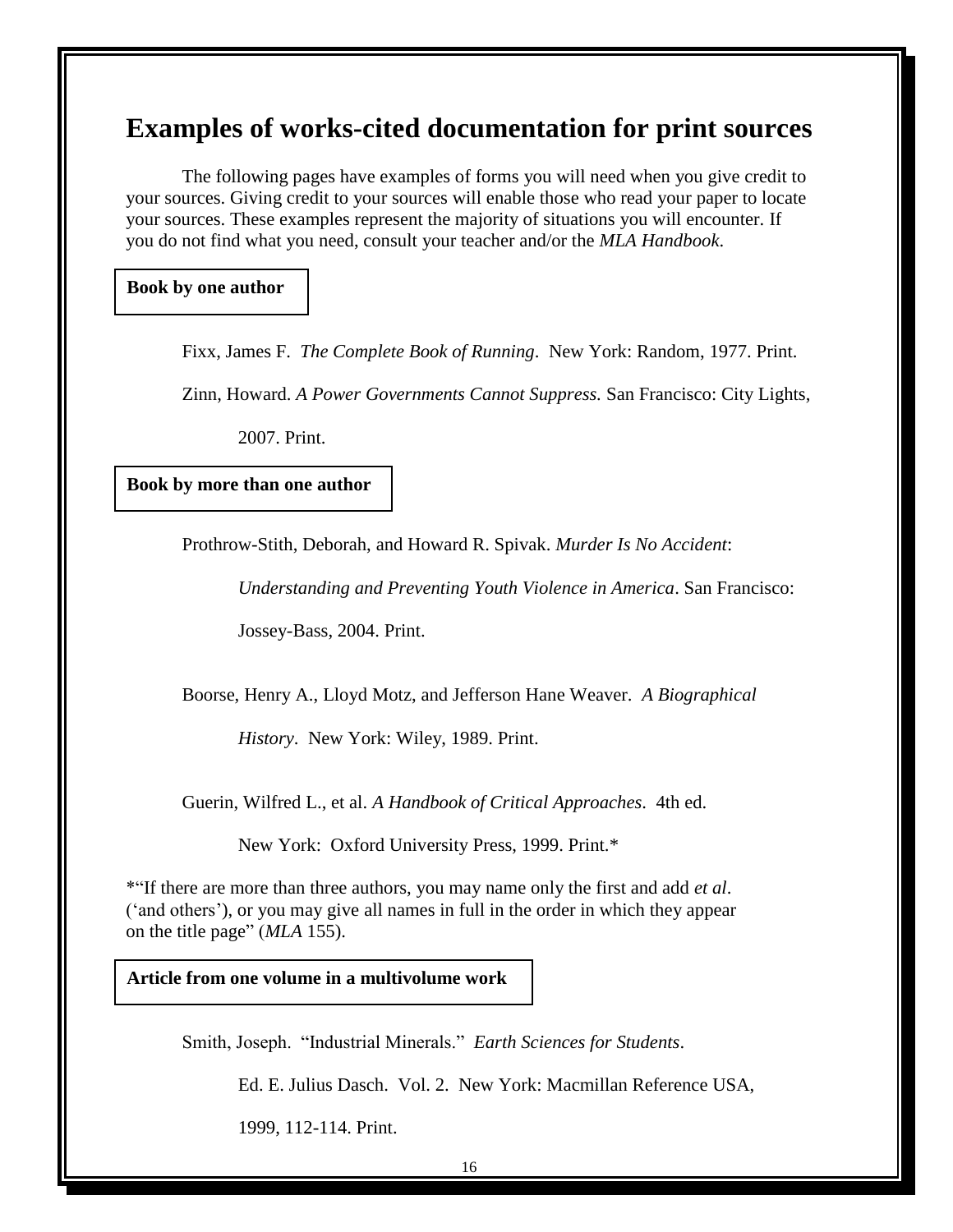# **Examples of works-cited documentation for print sources**

The following pages have examples of forms you will need when you give credit to your sources. Giving credit to your sources will enable those who read your paper to locate your sources. These examples represent the majority of situations you will encounter. If you do not find what you need, consult your teacher and/or the *MLA Handbook*.

**Book by one author**

Fixx, James F. *The Complete Book of Running*. New York: Random, 1977. Print.

Zinn, Howard. *A Power Governments Cannot Suppress.* San Francisco: City Lights,

2007. Print.

**Book by more than one author**

Prothrow-Stith, Deborah, and Howard R. Spivak. *Murder Is No Accident*:

*Understanding and Preventing Youth Violence in America*. San Francisco:

Jossey-Bass, 2004. Print.

Boorse, Henry A., Lloyd Motz, and Jefferson Hane Weaver. *A Biographical*

*History*. New York: Wiley, 1989. Print.

Guerin, Wilfred L., et al. *A Handbook of Critical Approaches*. 4th ed.

New York: Oxford University Press, 1999. Print.\*

\*―If there are more than three authors, you may name only the first and add *et al*. (‗and others'), or you may give all names in full in the order in which they appear on the title page" (*MLA* 155).

**Article from one volume in a multivolume work**

Smith, Joseph. "Industrial Minerals." Earth Sciences for Students.

Ed. E. Julius Dasch. Vol. 2. New York: Macmillan Reference USA,

1999, 112-114. Print.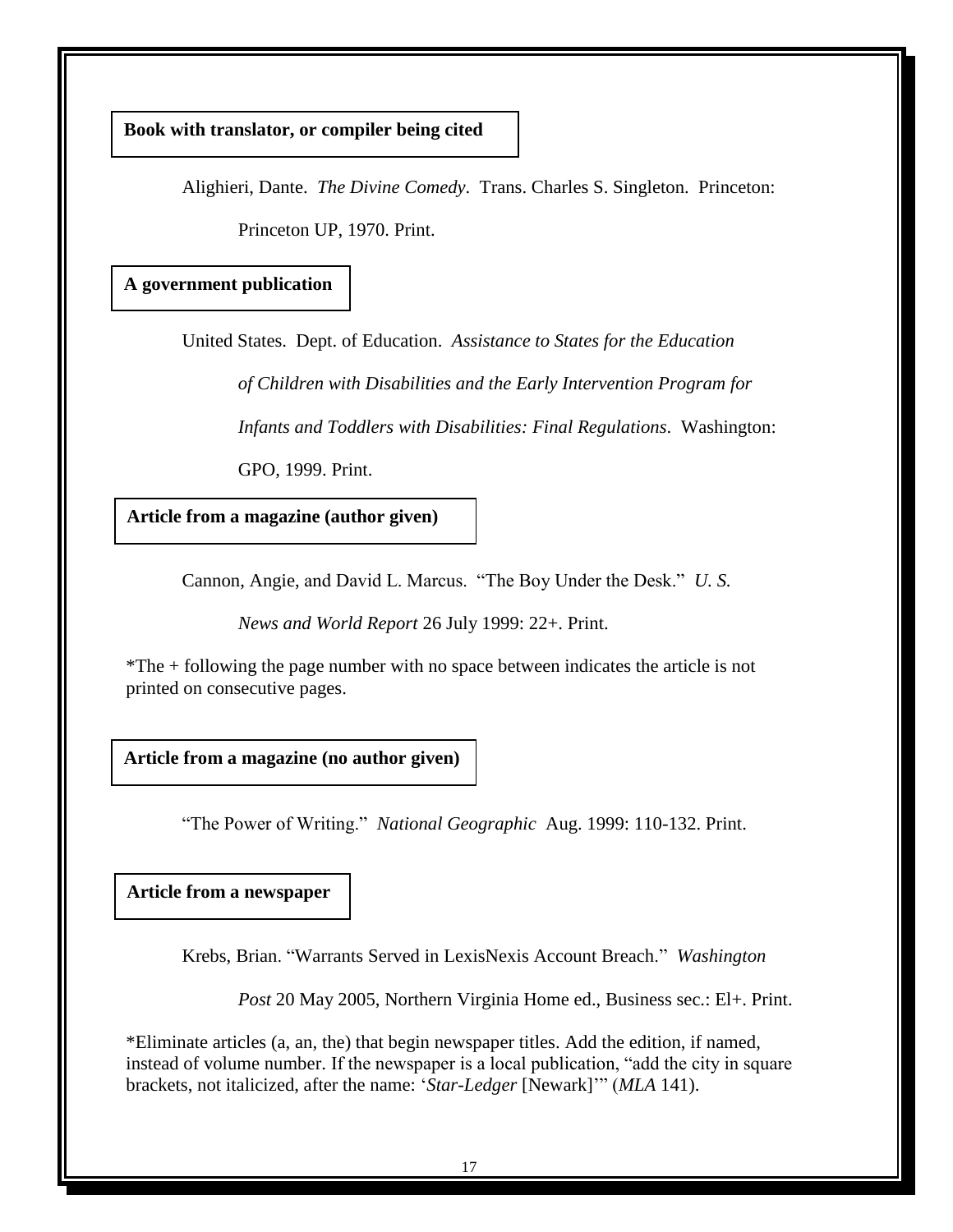**Book with translator, or compiler being cited**

Alighieri, Dante. *The Divine Comedy*. Trans. Charles S. Singleton. Princeton: Princeton UP, 1970. Print.

**A government publication**

United States. Dept. of Education. *Assistance to States for the Education*

*of Children with Disabilities and the Early Intervention Program for*

*Infants and Toddlers with Disabilities: Final Regulations*. Washington:

GPO, 1999. Print.

**Article from a magazine (author given)**

Cannon, Angie, and David L. Marcus. "The Boy Under the Desk." U. S.

*News and World Report* 26 July 1999: 22+. Print.

\*The + following the page number with no space between indicates the article is not printed on consecutive pages.

**Article from a magazine (no author given)**

―The Power of Writing.‖ *National Geographic* Aug. 1999: 110-132. Print.

**Article from a newspaper**

Krebs, Brian. ―Warrants Served in LexisNexis Account Breach.‖ *Washington* 

*Post* 20 May 2005, Northern Virginia Home ed., Business sec.: El+. Print.

\*Eliminate articles (a, an, the) that begin newspaper titles. Add the edition, if named, instead of volume number. If the newspaper is a local publication, "add the city in square brackets, not italicized, after the name: '*Star-Ledger* [Newark]'" (*MLA* 141).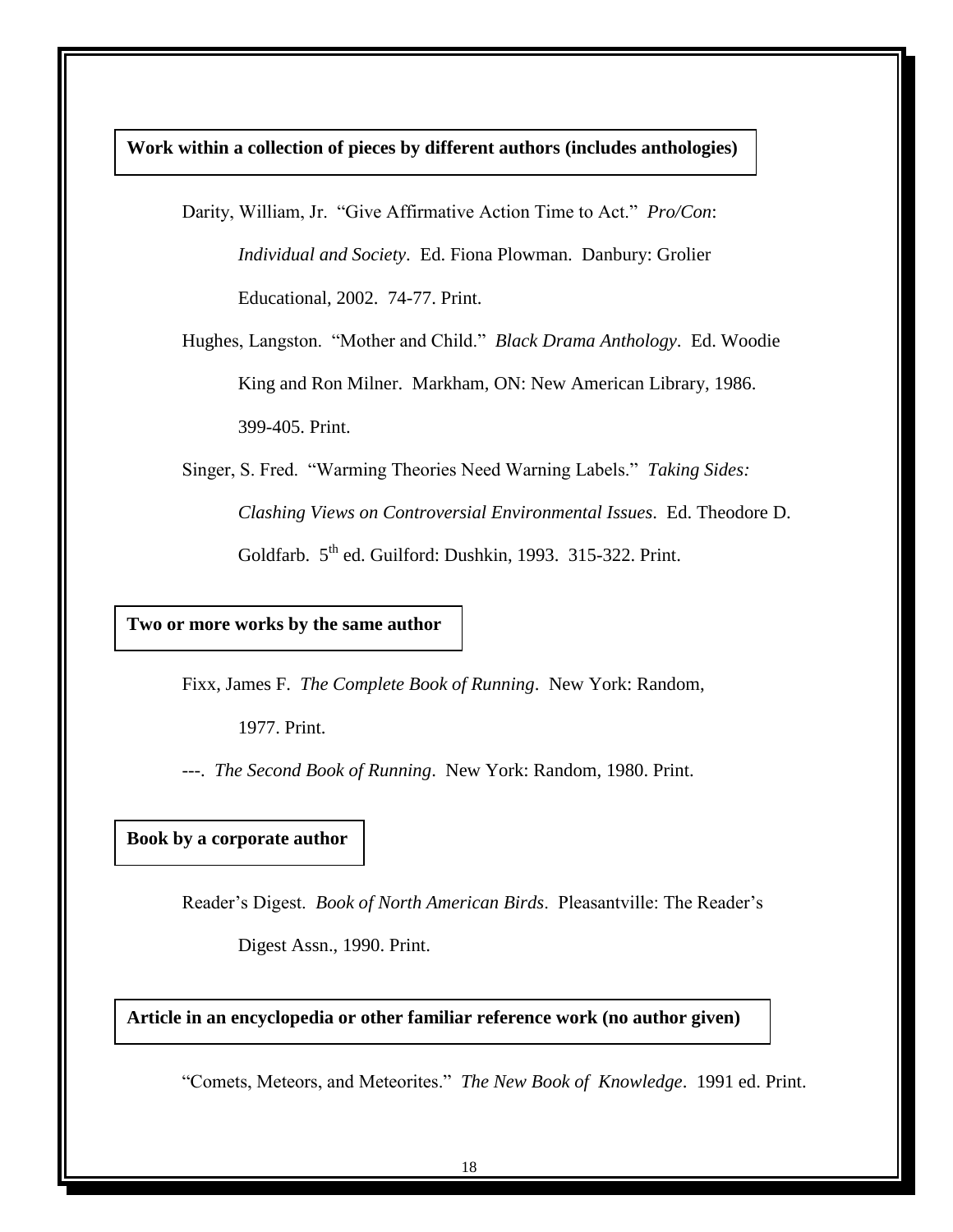**Work within a collection of pieces by different authors (includes anthologies)**

Darity, William, Jr. "Give Affirmative Action Time to Act." *Pro/Con*: *Individual and Society*. Ed. Fiona Plowman. Danbury: Grolier Educational, 2002. 74-77. Print.

Hughes, Langston. "Mother and Child." *Black Drama Anthology*. Ed. Woodie King and Ron Milner. Markham, ON: New American Library, 1986. 399-405. Print.

Singer, S. Fred. "Warming Theories Need Warning Labels." Taking Sides: *Clashing Views on Controversial Environmental Issues*. Ed. Theodore D. Goldfarb. 5<sup>th</sup> ed. Guilford: Dushkin, 1993. 315-322. Print.

**Two or more works by the same author**

Fixx, James F. *The Complete Book of Running*. New York: Random,

1977. Print.

---. *The Second Book of Running*. New York: Random, 1980. Print.

### **Book by a corporate author**

Reader's Digest. *Book of North American Birds*. Pleasantville: The Reader's

Digest Assn., 1990. Print.

**Article in an encyclopedia or other familiar reference work (no author given)**

―Comets, Meteors, and Meteorites.‖ *The New Book of Knowledge*. 1991 ed. Print.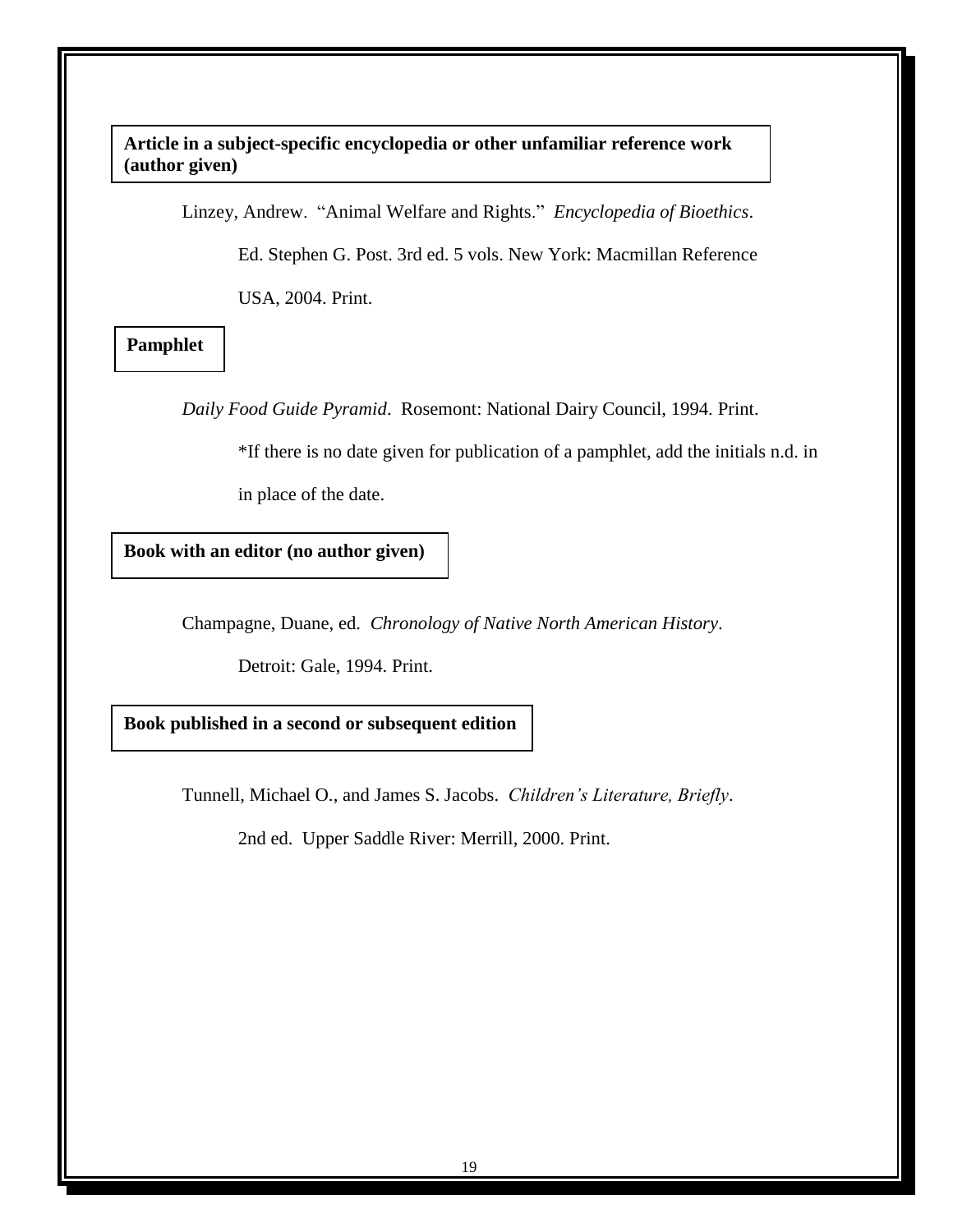**Article in a subject-specific encyclopedia or other unfamiliar reference work (author given)**

Linzey, Andrew. "Animal Welfare and Rights." *Encyclopedia of Bioethics*.

Ed. Stephen G. Post. 3rd ed. 5 vols. New York: Macmillan Reference

USA, 2004. Print.

**Pamphlet**

*Daily Food Guide Pyramid*. Rosemont: National Dairy Council, 1994. Print.

\*If there is no date given for publication of a pamphlet, add the initials n.d. in

in place of the date.

**Book with an editor (no author given)**

Champagne, Duane, ed. *Chronology of Native North American History*.

Detroit: Gale, 1994. Print.

**Book published in a second or subsequent edition**

Tunnell, Michael O., and James S. Jacobs. *Children's Literature, Briefly*.

2nd ed. Upper Saddle River: Merrill, 2000. Print.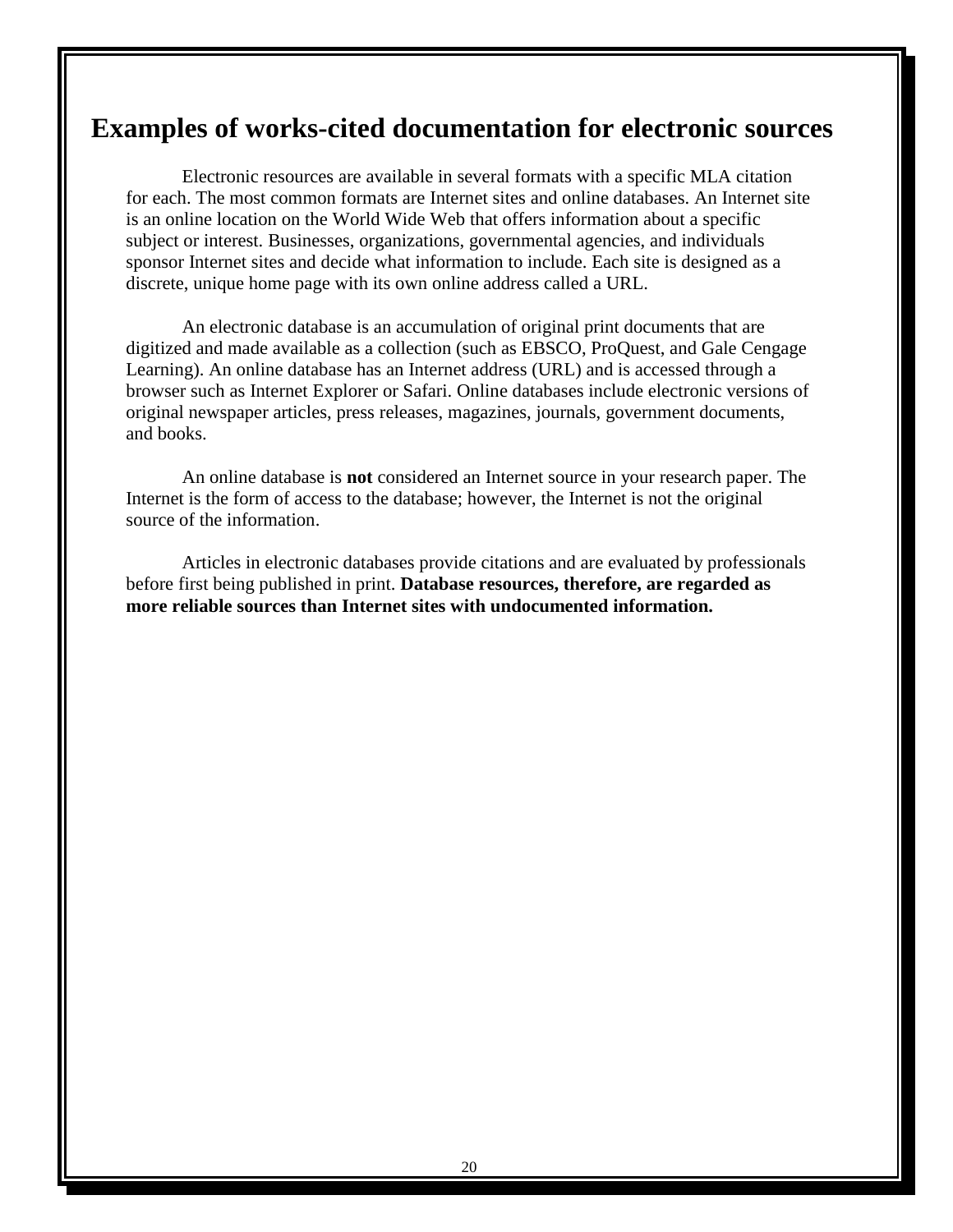# **Examples of works-cited documentation for electronic sources**

Electronic resources are available in several formats with a specific MLA citation for each. The most common formats are Internet sites and online databases. An Internet site is an online location on the World Wide Web that offers information about a specific subject or interest. Businesses, organizations, governmental agencies, and individuals sponsor Internet sites and decide what information to include. Each site is designed as a discrete, unique home page with its own online address called a URL.

An electronic database is an accumulation of original print documents that are digitized and made available as a collection (such as EBSCO, ProQuest, and Gale Cengage Learning). An online database has an Internet address (URL) and is accessed through a browser such as Internet Explorer or Safari. Online databases include electronic versions of original newspaper articles, press releases, magazines, journals, government documents, and books.

An online database is **not** considered an Internet source in your research paper. The Internet is the form of access to the database; however, the Internet is not the original source of the information.

Articles in electronic databases provide citations and are evaluated by professionals before first being published in print. **Database resources, therefore, are regarded as more reliable sources than Internet sites with undocumented information.**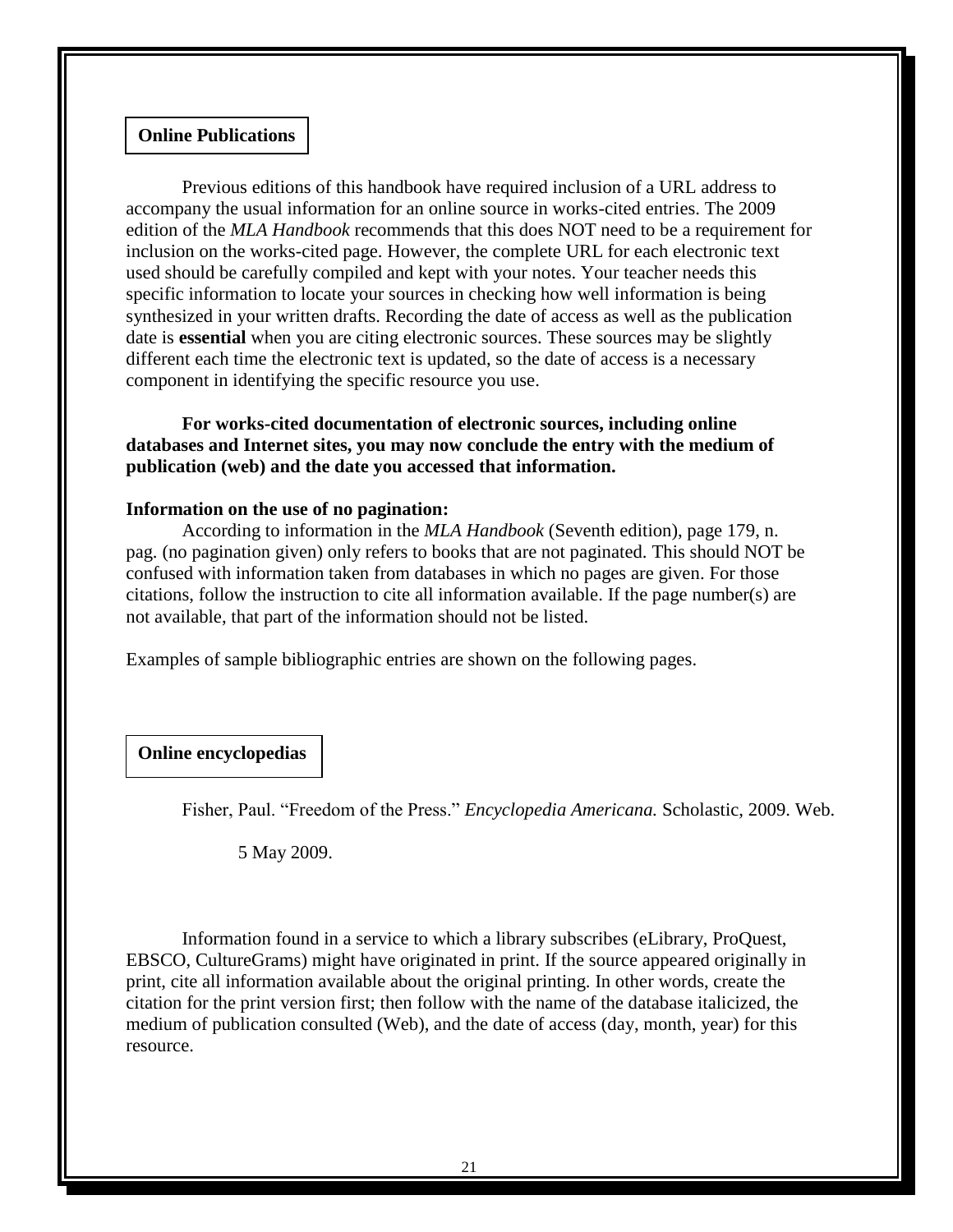#### **Online Publications**

Previous editions of this handbook have required inclusion of a URL address to accompany the usual information for an online source in works-cited entries. The 2009 edition of the *MLA Handbook* recommends that this does NOT need to be a requirement for inclusion on the works-cited page. However, the complete URL for each electronic text used should be carefully compiled and kept with your notes. Your teacher needs this specific information to locate your sources in checking how well information is being synthesized in your written drafts. Recording the date of access as well as the publication date is **essential** when you are citing electronic sources. These sources may be slightly different each time the electronic text is updated, so the date of access is a necessary component in identifying the specific resource you use.

# **For works-cited documentation of electronic sources, including online databases and Internet sites, you may now conclude the entry with the medium of publication (web) and the date you accessed that information.**

#### **Information on the use of no pagination:**

According to information in the *MLA Handbook* (Seventh edition), page 179, n. pag. (no pagination given) only refers to books that are not paginated. This should NOT be confused with information taken from databases in which no pages are given. For those citations, follow the instruction to cite all information available. If the page number(s) are not available, that part of the information should not be listed.

Examples of sample bibliographic entries are shown on the following pages.

#### **Online encyclopedias**

Fisher, Paul. "Freedom of the Press." *Encyclopedia Americana*. Scholastic, 2009. Web.

5 May 2009.

Information found in a service to which a library subscribes (eLibrary, ProQuest, EBSCO, CultureGrams) might have originated in print. If the source appeared originally in print, cite all information available about the original printing. In other words, create the citation for the print version first; then follow with the name of the database italicized, the medium of publication consulted (Web), and the date of access (day, month, year) for this resource.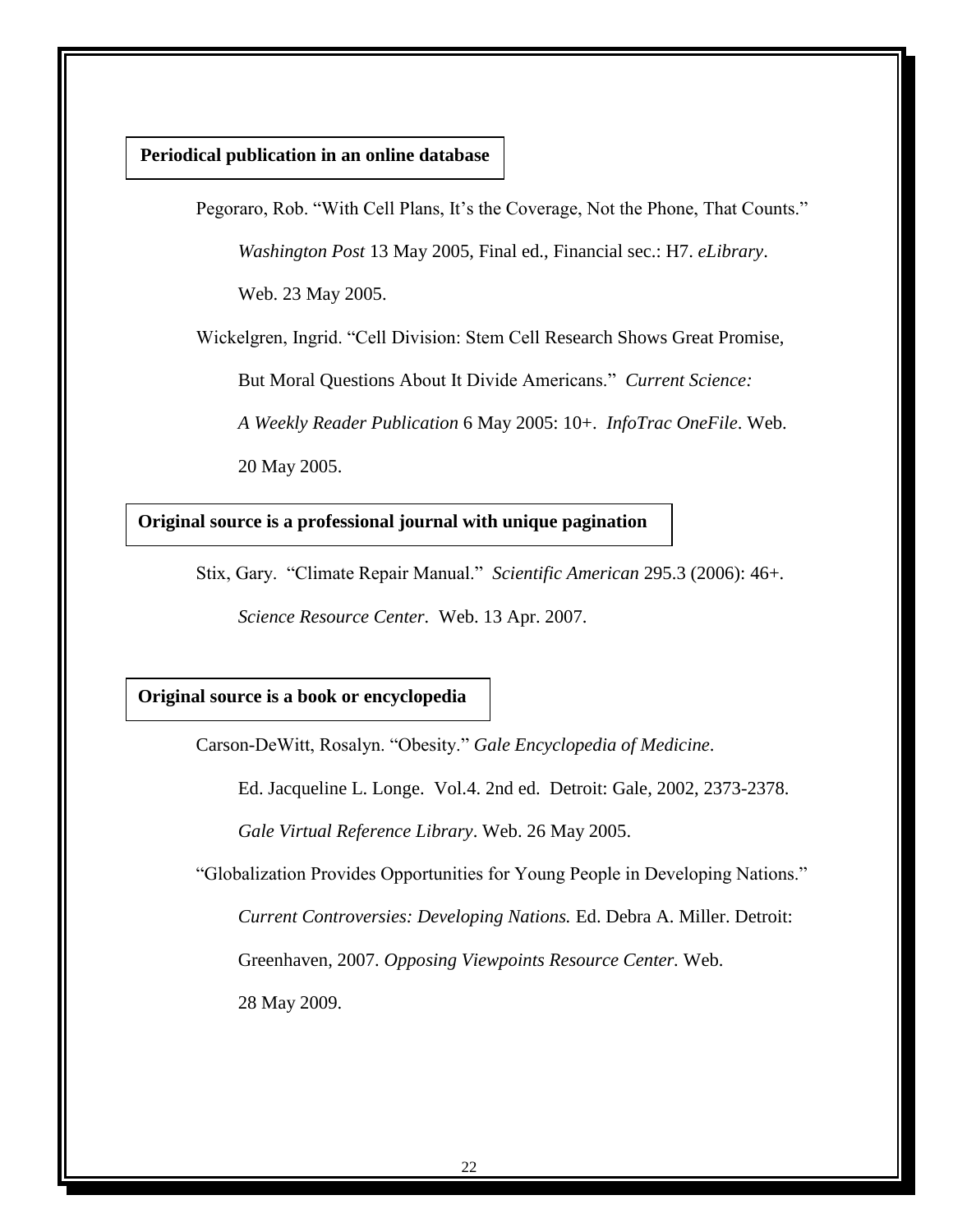### **Periodical publication in an online database**

Pegoraro, Rob. "With Cell Plans, It's the Coverage, Not the Phone, That Counts." *Washington Post* 13 May 2005, Final ed., Financial sec.: H7. *eLibrary*.

Web. 23 May 2005.

Wickelgren, Ingrid. "Cell Division: Stem Cell Research Shows Great Promise,

But Moral Questions About It Divide Americans." *Current Science:* 

*A Weekly Reader Publication* 6 May 2005: 10+. *InfoTrac OneFile*. Web.

20 May 2005.

### **Original source is a professional journal with unique pagination**

Stix, Gary. "Climate Repair Manual." Scientific American 295.3 (2006): 46+.

*Science Resource Center.* Web. 13 Apr. 2007.

#### **Original source is a book or encyclopedia**

Carson-DeWitt, Rosalyn. "Obesity." Gale Encyclopedia of Medicine.

Ed. Jacqueline L. Longe. Vol.4. 2nd ed. Detroit: Gale, 2002, 2373-2378.

*Gale Virtual Reference Library*. Web. 26 May 2005.

"Globalization Provides Opportunities for Young People in Developing Nations." *Current Controversies: Developing Nations.* Ed. Debra A. Miller. Detroit: Greenhaven, 2007. *Opposing Viewpoints Resource Center.* Web. 28 May 2009.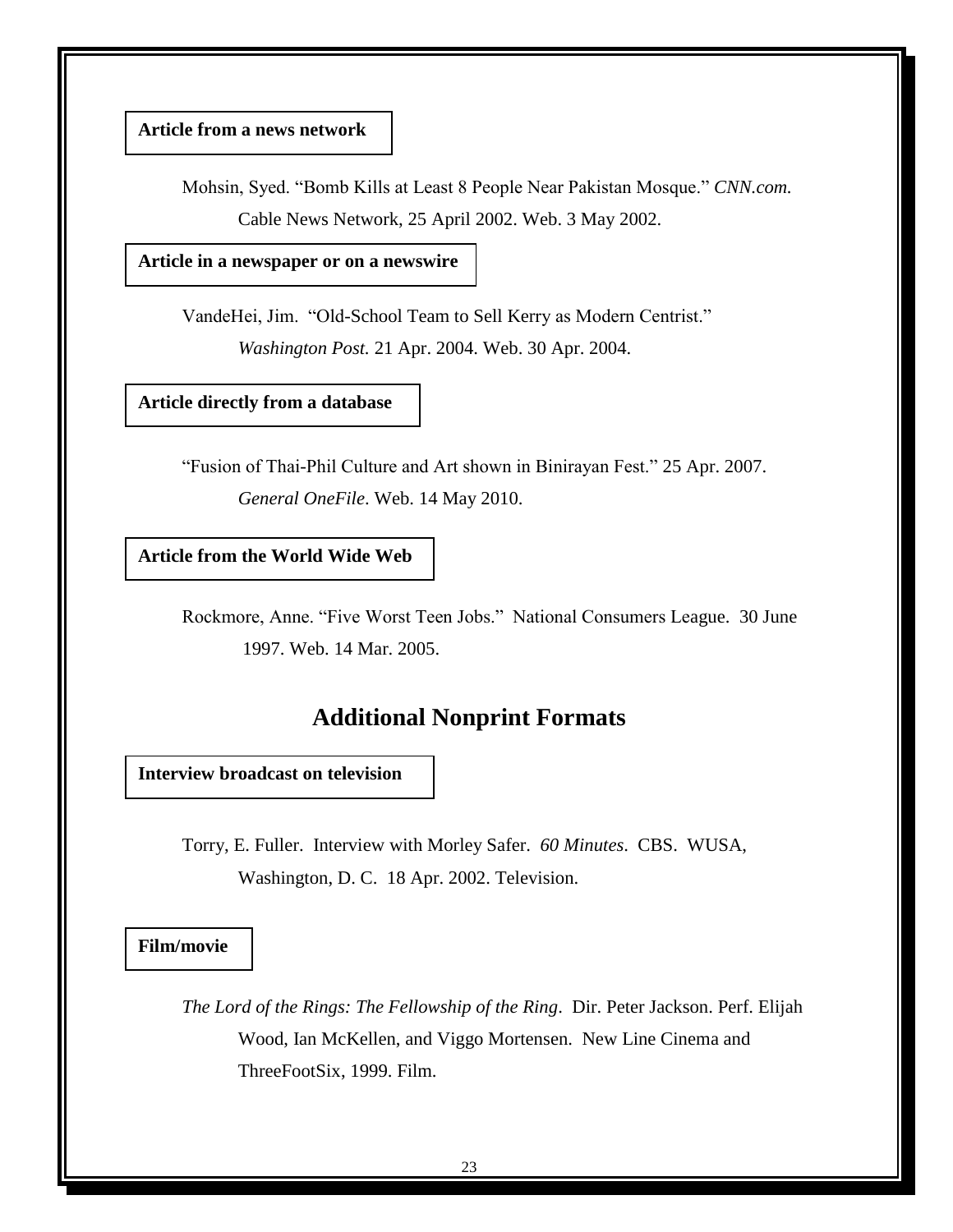# **Article from a news network**

Mohsin, Syed. "Bomb Kills at Least 8 People Near Pakistan Mosque." *CNN.com.* Cable News Network, 25 April 2002. Web. 3 May 2002.

**Article in a newspaper or on a newswire**

VandeHei, Jim. "Old-School Team to Sell Kerry as Modern Centrist." *Washington Post.* 21 Apr. 2004. Web. 30 Apr. 2004.

# **Article directly from a database**

―Fusion of Thai-Phil Culture and Art shown in Binirayan Fest.‖ 25 Apr. 2007. *General OneFile*. Web. 14 May 2010.

**Article from the World Wide Web**

Rockmore, Anne. "Five Worst Teen Jobs." National Consumers League. 30 June 1997. Web. 14 Mar. 2005.

# **Additional Nonprint Formats**

**Interview broadcast on television**

Torry, E. Fuller. Interview with Morley Safer. *60 Minutes*. CBS. WUSA, Washington, D. C. 18 Apr. 2002. Television.

**Film/movie**

*The Lord of the Rings: The Fellowship of the Ring*. Dir. Peter Jackson. Perf. Elijah Wood, Ian McKellen, and Viggo Mortensen. New Line Cinema and ThreeFootSix, 1999. Film.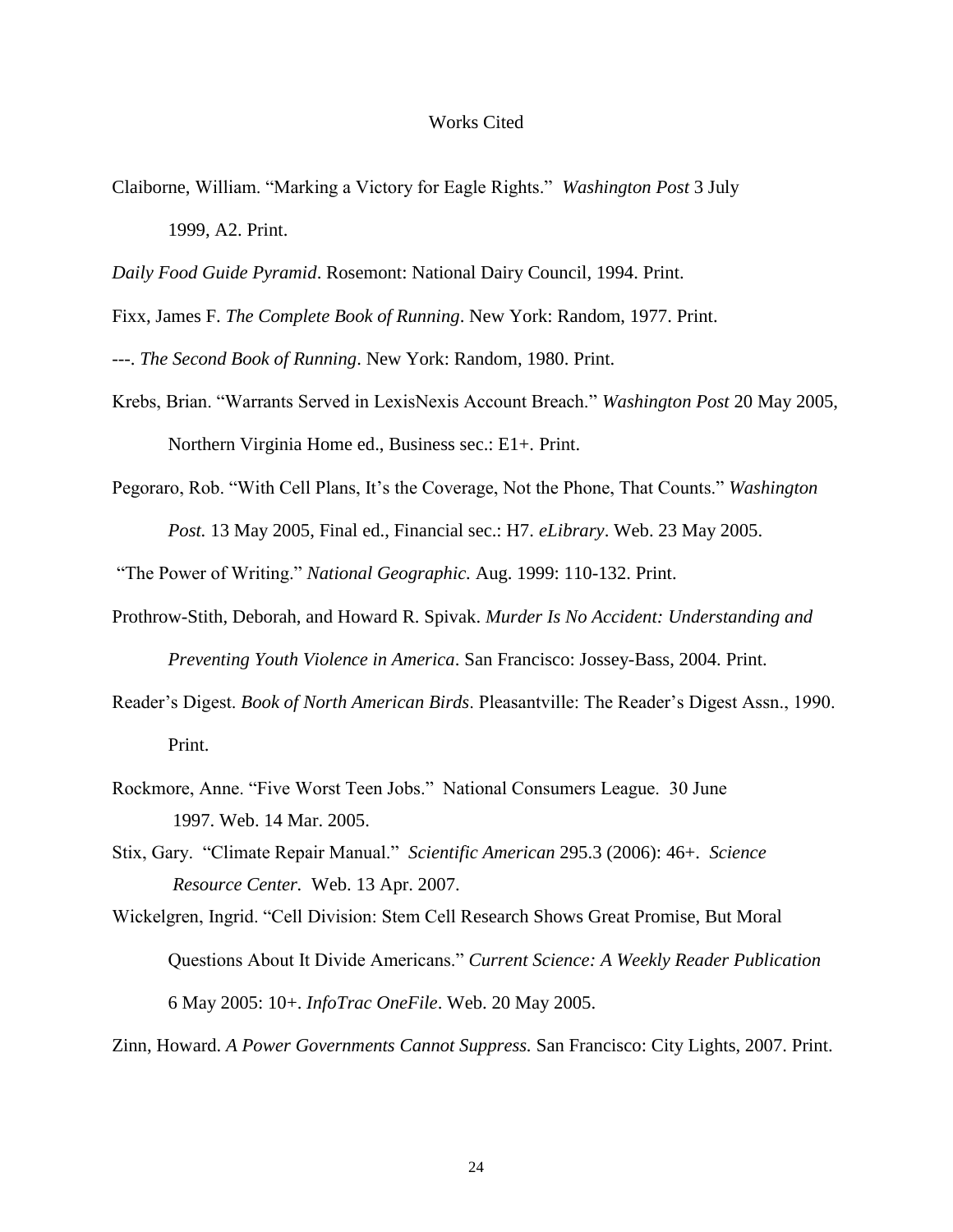#### Works Cited

Claiborne, William. "Marking a Victory for Eagle Rights." *Washington Post* 3 July 1999, A2. Print.

*Daily Food Guide Pyramid*. Rosemont: National Dairy Council, 1994. Print.

Fixx, James F. *The Complete Book of Running*. New York: Random, 1977. Print.

---. *The Second Book of Running*. New York: Random, 1980. Print.

- Krebs, Brian. "Warrants Served in LexisNexis Account Breach." *Washington Post* 20 May 2005, Northern Virginia Home ed., Business sec.: E1+. Print.
- Pegoraro, Rob. "With Cell Plans, It's the Coverage, Not the Phone, That Counts." *Washington Post.* 13 May 2005, Final ed., Financial sec.: H7. *eLibrary*. Web. 23 May 2005.

"The Power of Writing." *National Geographic.* Aug. 1999: 110-132. Print.

- Prothrow-Stith, Deborah, and Howard R. Spivak. *Murder Is No Accident: Understanding and Preventing Youth Violence in America*. San Francisco: Jossey-Bass, 2004. Print.
- Reader's Digest. *Book of North American Birds*. Pleasantville: The Reader's Digest Assn., 1990. Print.
- Rockmore, Anne. "Five Worst Teen Jobs." National Consumers League. 30 June 1997. Web. 14 Mar. 2005.
- Stix, Gary. "Climate Repair Manual." *Scientific American* 295.3 (2006): 46+. *Science Resource Center.* Web. 13 Apr. 2007.

Zinn, Howard. *A Power Governments Cannot Suppress.* San Francisco: City Lights, 2007. Print.

Wickelgren, Ingrid. "Cell Division: Stem Cell Research Shows Great Promise, But Moral Questions About It Divide Americans." *Current Science: A Weekly Reader Publication* 6 May 2005: 10+. *InfoTrac OneFile*. Web. 20 May 2005.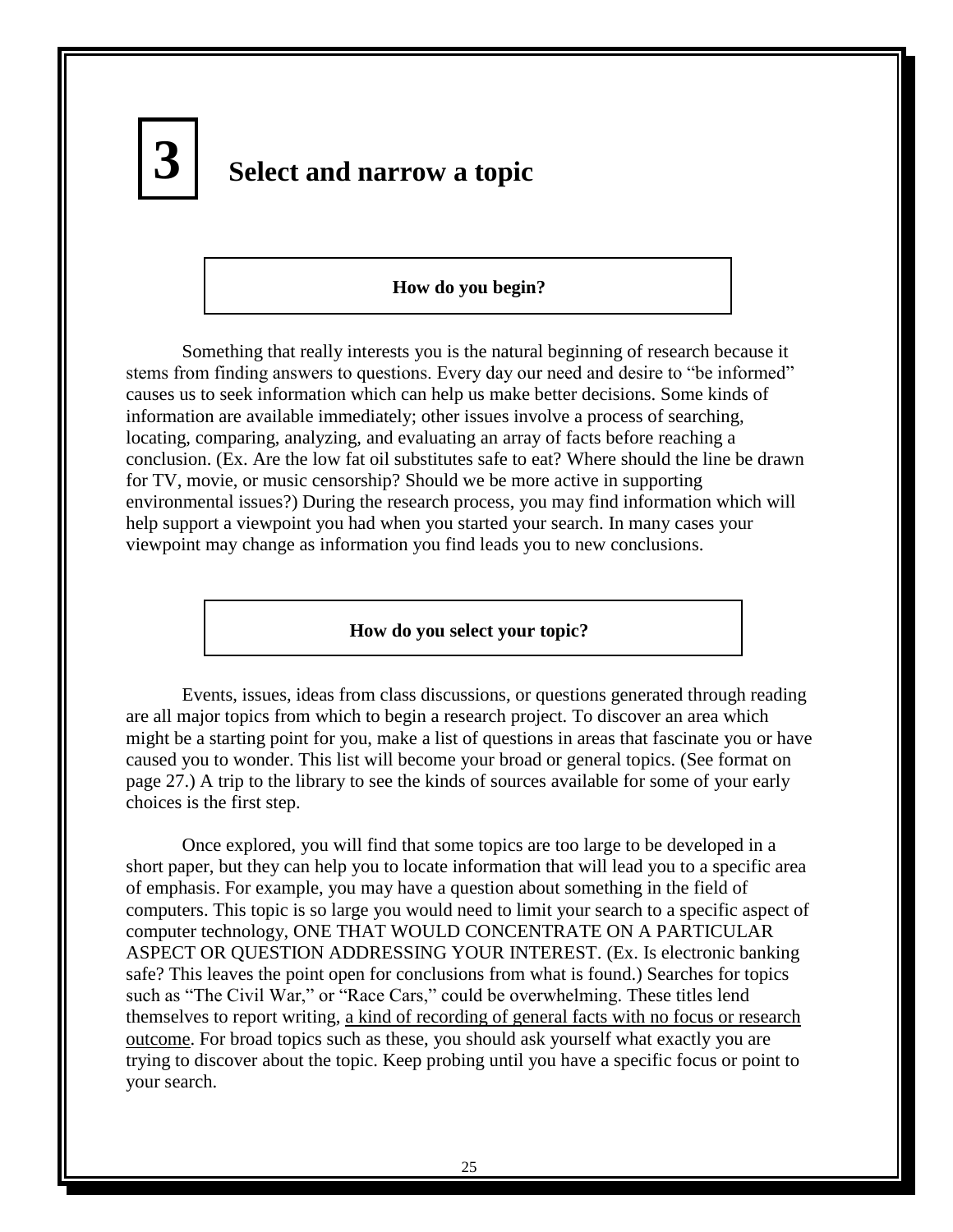

# **Select and narrow a topic**

#### **How do you begin?**

Something that really interests you is the natural beginning of research because it stems from finding answers to questions. Every day our need and desire to "be informed" causes us to seek information which can help us make better decisions. Some kinds of information are available immediately; other issues involve a process of searching, locating, comparing, analyzing, and evaluating an array of facts before reaching a conclusion. (Ex. Are the low fat oil substitutes safe to eat? Where should the line be drawn for TV, movie, or music censorship? Should we be more active in supporting environmental issues?) During the research process, you may find information which will help support a viewpoint you had when you started your search. In many cases your viewpoint may change as information you find leads you to new conclusions.

#### **How do you select your topic?**

Events, issues, ideas from class discussions, or questions generated through reading are all major topics from which to begin a research project. To discover an area which might be a starting point for you, make a list of questions in areas that fascinate you or have caused you to wonder. This list will become your broad or general topics. (See format on page 27.) A trip to the library to see the kinds of sources available for some of your early choices is the first step.

Once explored, you will find that some topics are too large to be developed in a short paper, but they can help you to locate information that will lead you to a specific area of emphasis. For example, you may have a question about something in the field of computers. This topic is so large you would need to limit your search to a specific aspect of computer technology, ONE THAT WOULD CONCENTRATE ON A PARTICULAR ASPECT OR QUESTION ADDRESSING YOUR INTEREST. (Ex. Is electronic banking safe? This leaves the point open for conclusions from what is found.) Searches for topics such as "The Civil War," or "Race Cars," could be overwhelming. These titles lend themselves to report writing, a kind of recording of general facts with no focus or research outcome. For broad topics such as these, you should ask yourself what exactly you are trying to discover about the topic. Keep probing until you have a specific focus or point to your search.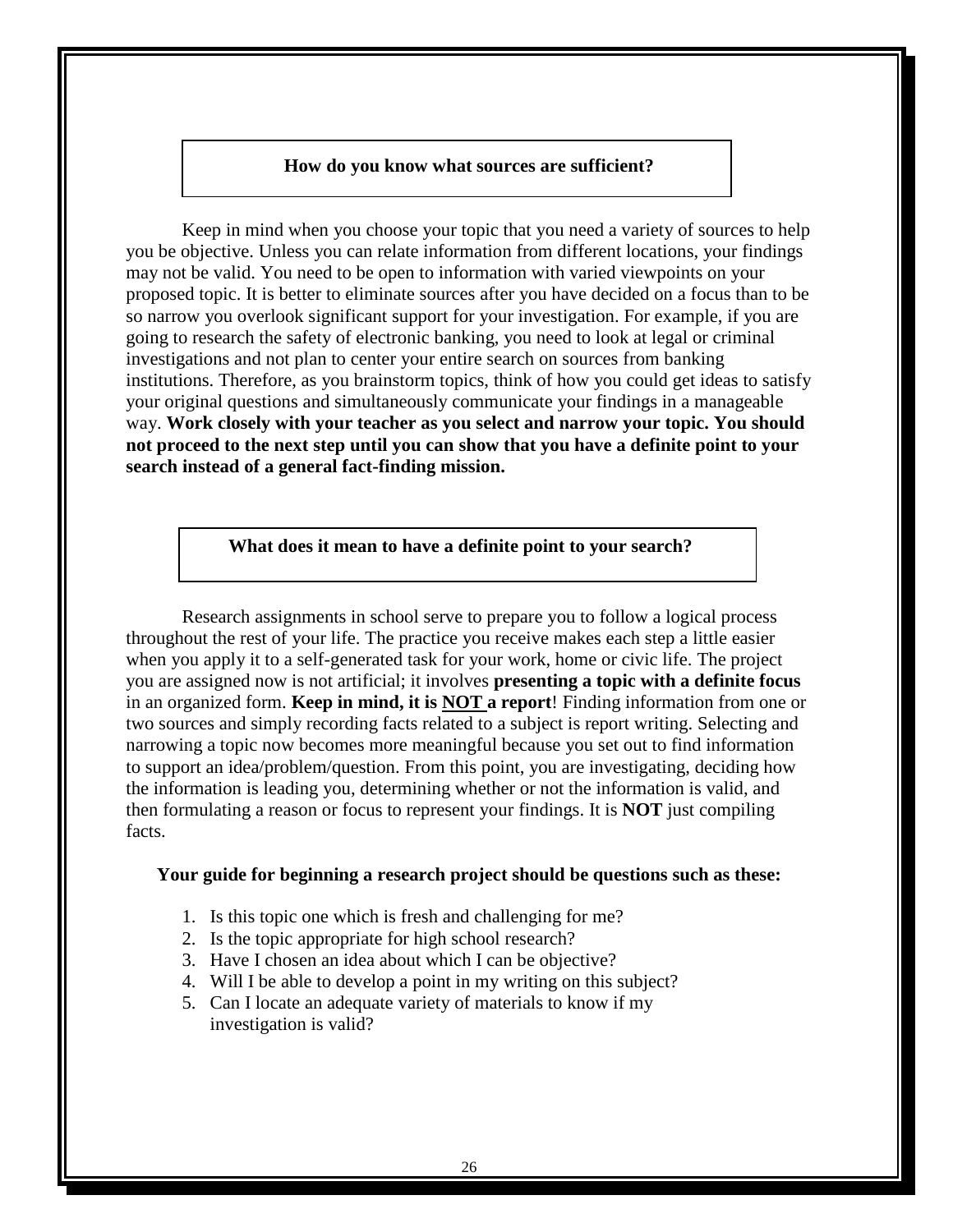#### **How do you know what sources are sufficient?**

Keep in mind when you choose your topic that you need a variety of sources to help you be objective. Unless you can relate information from different locations, your findings may not be valid. You need to be open to information with varied viewpoints on your proposed topic. It is better to eliminate sources after you have decided on a focus than to be so narrow you overlook significant support for your investigation. For example, if you are going to research the safety of electronic banking, you need to look at legal or criminal investigations and not plan to center your entire search on sources from banking institutions. Therefore, as you brainstorm topics, think of how you could get ideas to satisfy your original questions and simultaneously communicate your findings in a manageable way. **Work closely with your teacher as you select and narrow your topic. You should not proceed to the next step until you can show that you have a definite point to your search instead of a general fact-finding mission.**

#### **What does it mean to have a definite point to your search?**

Research assignments in school serve to prepare you to follow a logical process throughout the rest of your life. The practice you receive makes each step a little easier when you apply it to a self-generated task for your work, home or civic life. The project you are assigned now is not artificial; it involves **presenting a topic with a definite focus** in an organized form. **Keep in mind, it is NOT a report**! Finding information from one or two sources and simply recording facts related to a subject is report writing. Selecting and narrowing a topic now becomes more meaningful because you set out to find information to support an idea/problem/question. From this point, you are investigating, deciding how the information is leading you, determining whether or not the information is valid, and then formulating a reason or focus to represent your findings. It is **NOT** just compiling facts.

#### **Your guide for beginning a research project should be questions such as these:**

- 1. Is this topic one which is fresh and challenging for me?
- 2. Is the topic appropriate for high school research?
- 3. Have I chosen an idea about which I can be objective?
- 4. Will I be able to develop a point in my writing on this subject?
- 5. Can I locate an adequate variety of materials to know if my investigation is valid?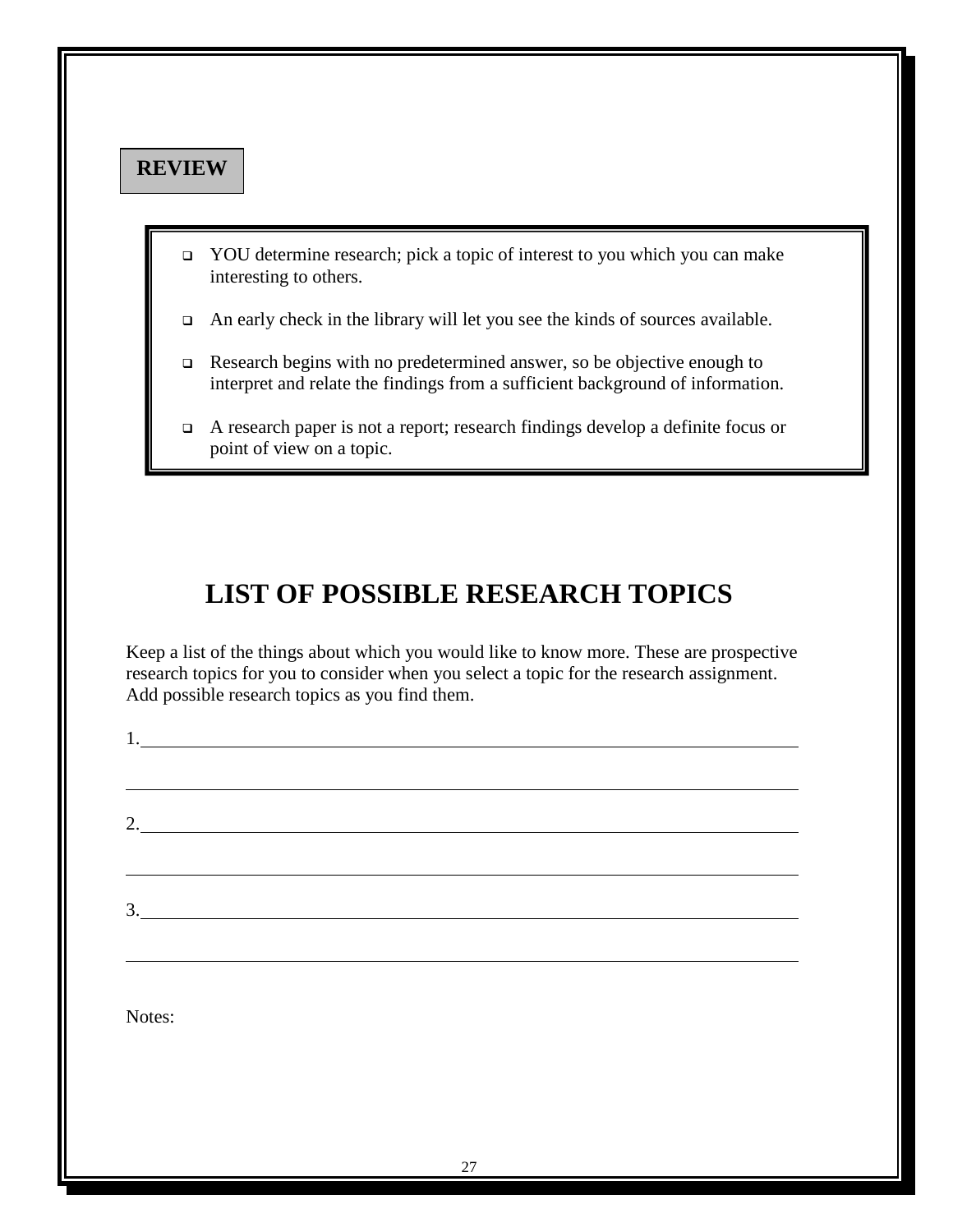# **REVIEW**

1.

- YOU determine research; pick a topic of interest to you which you can make interesting to others.
- An early check in the library will let you see the kinds of sources available.
- Research begins with no predetermined answer, so be objective enough to interpret and relate the findings from a sufficient background of information.
- A research paper is not a report; research findings develop a definite focus or point of view on a topic.

# **LIST OF POSSIBLE RESEARCH TOPICS**

Keep a list of the things about which you would like to know more. These are prospective research topics for you to consider when you select a topic for the research assignment. Add possible research topics as you find them.

| $\overline{2}$ |                                                   |  |  |
|----------------|---------------------------------------------------|--|--|
|                |                                                   |  |  |
| 3.             | <u> 1980 - Johann Barbara, martxa alemaniar a</u> |  |  |
|                |                                                   |  |  |
|                |                                                   |  |  |
| Notes:         |                                                   |  |  |
|                |                                                   |  |  |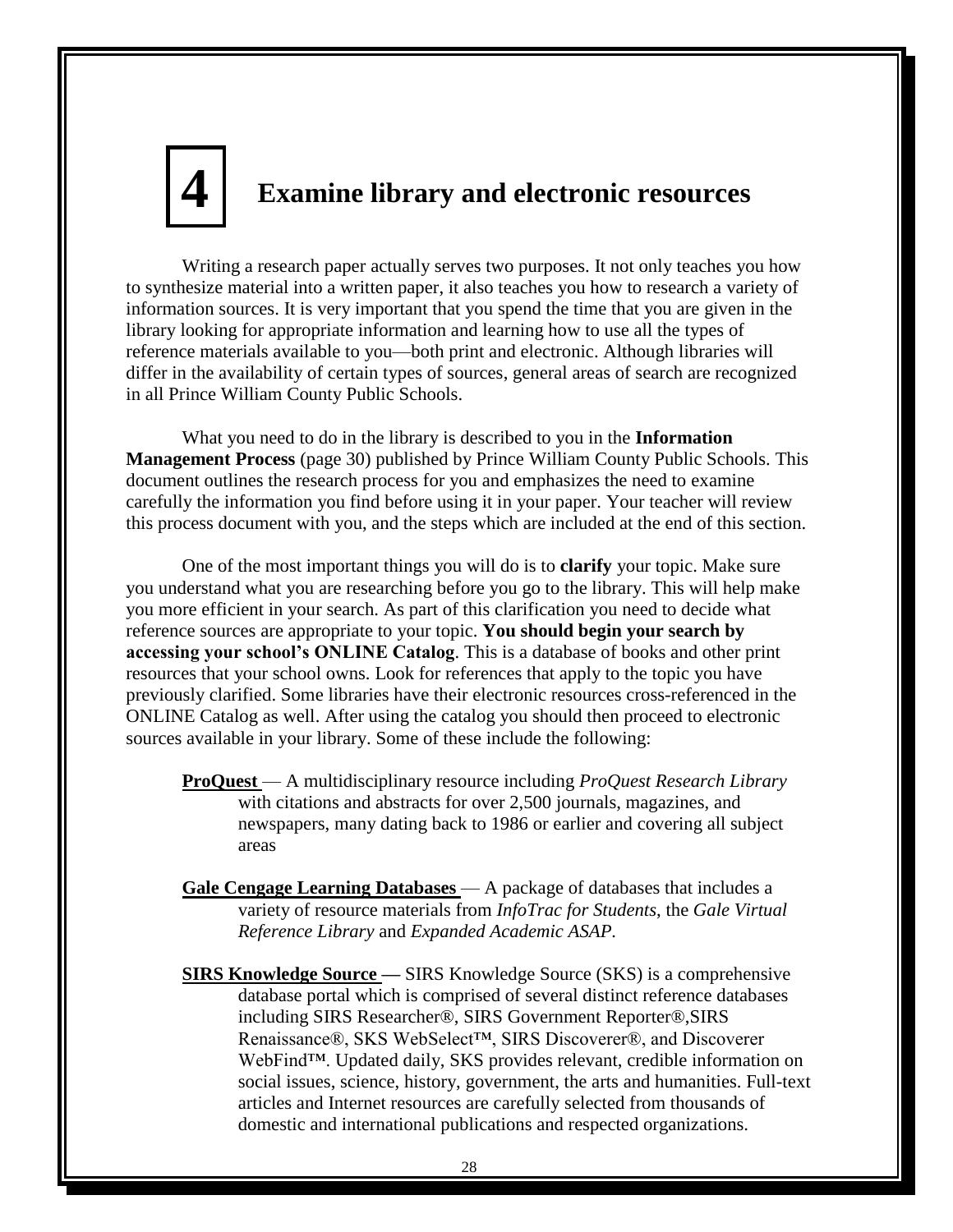# **Examine library and electronic resources 4**

Writing a research paper actually serves two purposes. It not only teaches you how to synthesize material into a written paper, it also teaches you how to research a variety of information sources. It is very important that you spend the time that you are given in the library looking for appropriate information and learning how to use all the types of reference materials available to you—both print and electronic. Although libraries will differ in the availability of certain types of sources, general areas of search are recognized in all Prince William County Public Schools.

What you need to do in the library is described to you in the **Information Management Process** (page 30) published by Prince William County Public Schools. This document outlines the research process for you and emphasizes the need to examine carefully the information you find before using it in your paper. Your teacher will review this process document with you, and the steps which are included at the end of this section.

One of the most important things you will do is to **clarify** your topic. Make sure you understand what you are researching before you go to the library. This will help make you more efficient in your search. As part of this clarification you need to decide what reference sources are appropriate to your topic. **You should begin your search by accessing your school's ONLINE Catalog**. This is a database of books and other print resources that your school owns. Look for references that apply to the topic you have previously clarified. Some libraries have their electronic resources cross-referenced in the ONLINE Catalog as well. After using the catalog you should then proceed to electronic sources available in your library. Some of these include the following:

- **ProQuest** A multidisciplinary resource including *ProQuest Research Library*  with citations and abstracts for over 2,500 journals, magazines, and newspapers, many dating back to 1986 or earlier and covering all subject areas
- **Gale Cengage Learning Databases** A package of databases that includes a variety of resource materials from *InfoTrac for Students*, the *Gale Virtual Reference Library* and *Expanded Academic ASAP.*
- **SIRS Knowledge Source —** SIRS Knowledge Source (SKS) is a comprehensive database portal which is comprised of several distinct reference databases including SIRS Researcher®, SIRS Government Reporter®,SIRS Renaissance®, SKS WebSelect™, SIRS Discoverer®, and Discoverer WebFind™. Updated daily, SKS provides relevant, credible information on social issues, science, history, government, the arts and humanities. Full-text articles and Internet resources are carefully selected from thousands of domestic and international publications and respected organizations.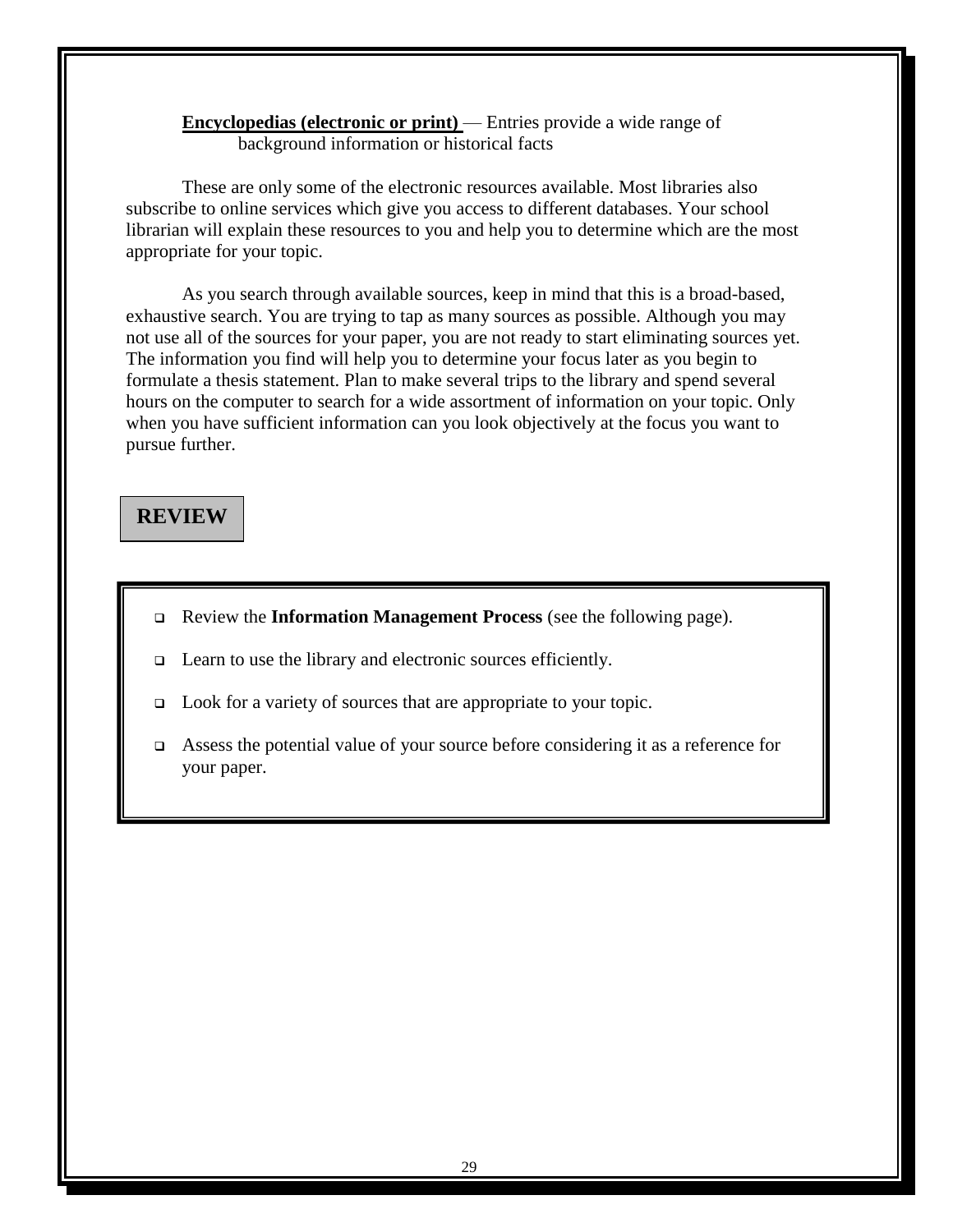**Encyclopedias (electronic or print)** — Entries provide a wide range of background information or historical facts

These are only some of the electronic resources available. Most libraries also subscribe to online services which give you access to different databases. Your school librarian will explain these resources to you and help you to determine which are the most appropriate for your topic.

As you search through available sources, keep in mind that this is a broad-based, exhaustive search. You are trying to tap as many sources as possible. Although you may not use all of the sources for your paper, you are not ready to start eliminating sources yet. The information you find will help you to determine your focus later as you begin to formulate a thesis statement. Plan to make several trips to the library and spend several hours on the computer to search for a wide assortment of information on your topic. Only when you have sufficient information can you look objectively at the focus you want to pursue further.

# **REVIEW**

- Review the **Information Management Process** (see the following page).
- □ Learn to use the library and electronic sources efficiently.
- Look for a variety of sources that are appropriate to your topic.
- Assess the potential value of your source before considering it as a reference for your paper.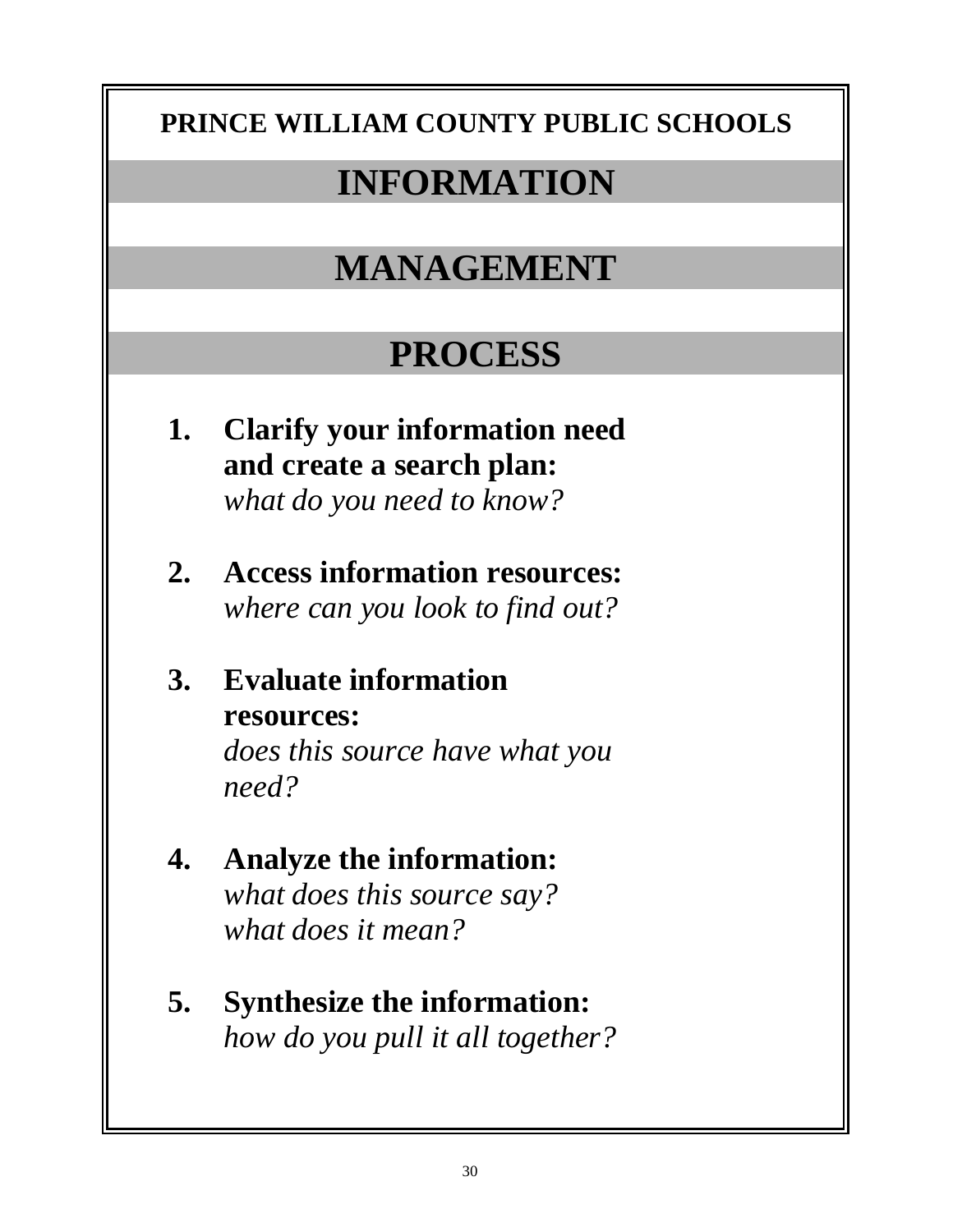# **PRINCE WILLIAM COUNTY PUBLIC SCHOOLS**

# **INFORMATION**

# **MANAGEMENT**

# **PROCESS**

- **1. Clarify your information need and create a search plan:**  *what do you need to know?*
- **2. Access information resources:**  *where can you look to find out?*
- **3. Evaluate information resources:**  *does this source have what you*

*need?* 

- **4. Analyze the information:**  *what does this source say? what does it mean?*
- **5. Synthesize the information:**  *how do you pull it all together?*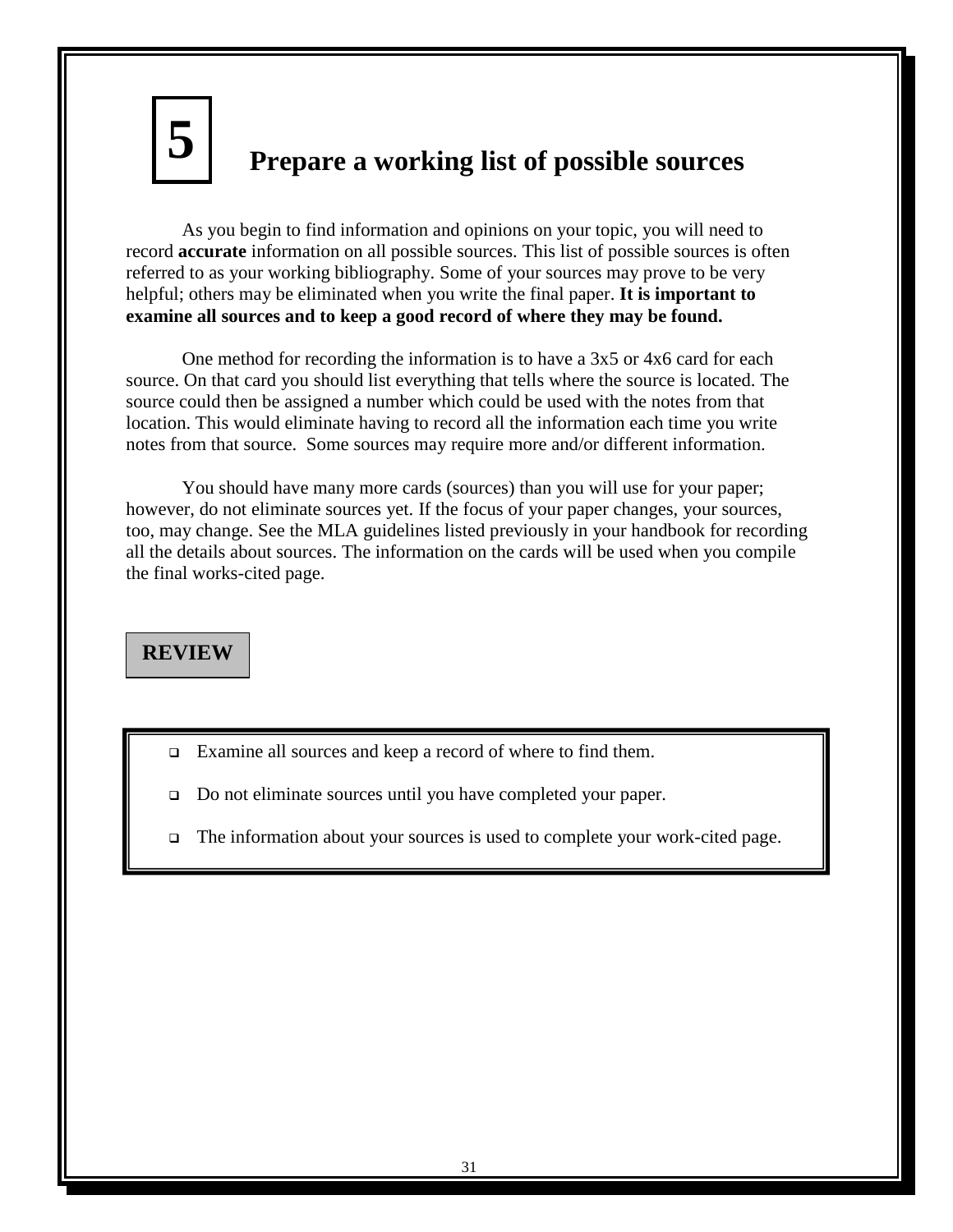**5**

# **Prepare a working list of possible sources**

As you begin to find information and opinions on your topic, you will need to record **accurate** information on all possible sources. This list of possible sources is often referred to as your working bibliography. Some of your sources may prove to be very helpful; others may be eliminated when you write the final paper. **It is important to examine all sources and to keep a good record of where they may be found.**

One method for recording the information is to have a 3x5 or 4x6 card for each source. On that card you should list everything that tells where the source is located. The source could then be assigned a number which could be used with the notes from that location. This would eliminate having to record all the information each time you write notes from that source.Some sources may require more and/or different information.

You should have many more cards (sources) than you will use for your paper; however, do not eliminate sources yet. If the focus of your paper changes, your sources, too, may change. See the MLA guidelines listed previously in your handbook for recording all the details about sources. The information on the cards will be used when you compile the final works-cited page.

# **REVIEW**

- Examine all sources and keep a record of where to find them.
- □ Do not eliminate sources until you have completed your paper.
- The information about your sources is used to complete your work-cited page.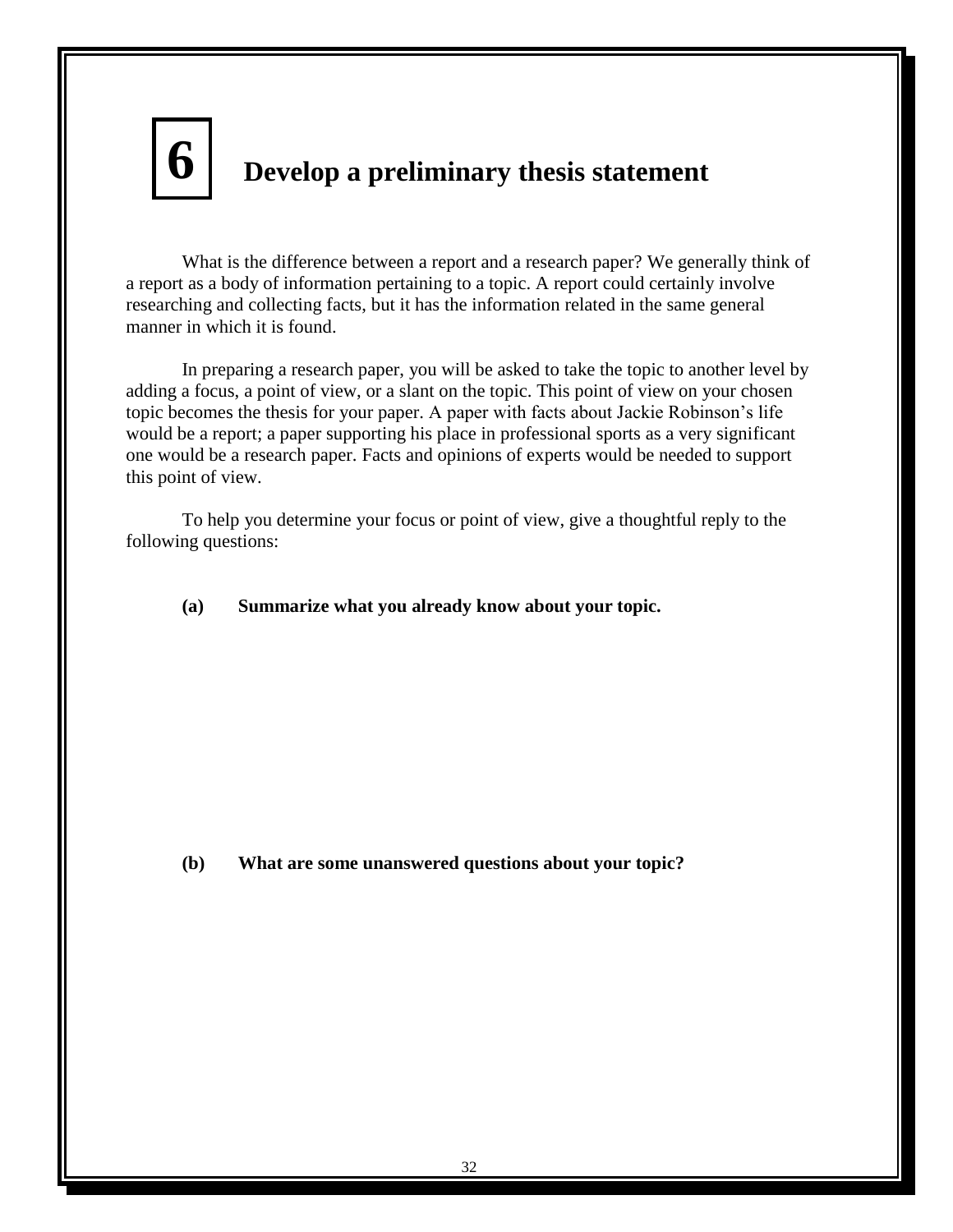# **Develop a preliminary thesis statement 6**

What is the difference between a report and a research paper? We generally think of a report as a body of information pertaining to a topic. A report could certainly involve researching and collecting facts, but it has the information related in the same general manner in which it is found.

In preparing a research paper, you will be asked to take the topic to another level by adding a focus, a point of view, or a slant on the topic. This point of view on your chosen topic becomes the thesis for your paper. A paper with facts about Jackie Robinson's life would be a report; a paper supporting his place in professional sports as a very significant one would be a research paper. Facts and opinions of experts would be needed to support this point of view.

To help you determine your focus or point of view, give a thoughtful reply to the following questions:

**(a) Summarize what you already know about your topic.**

**(b) What are some unanswered questions about your topic?**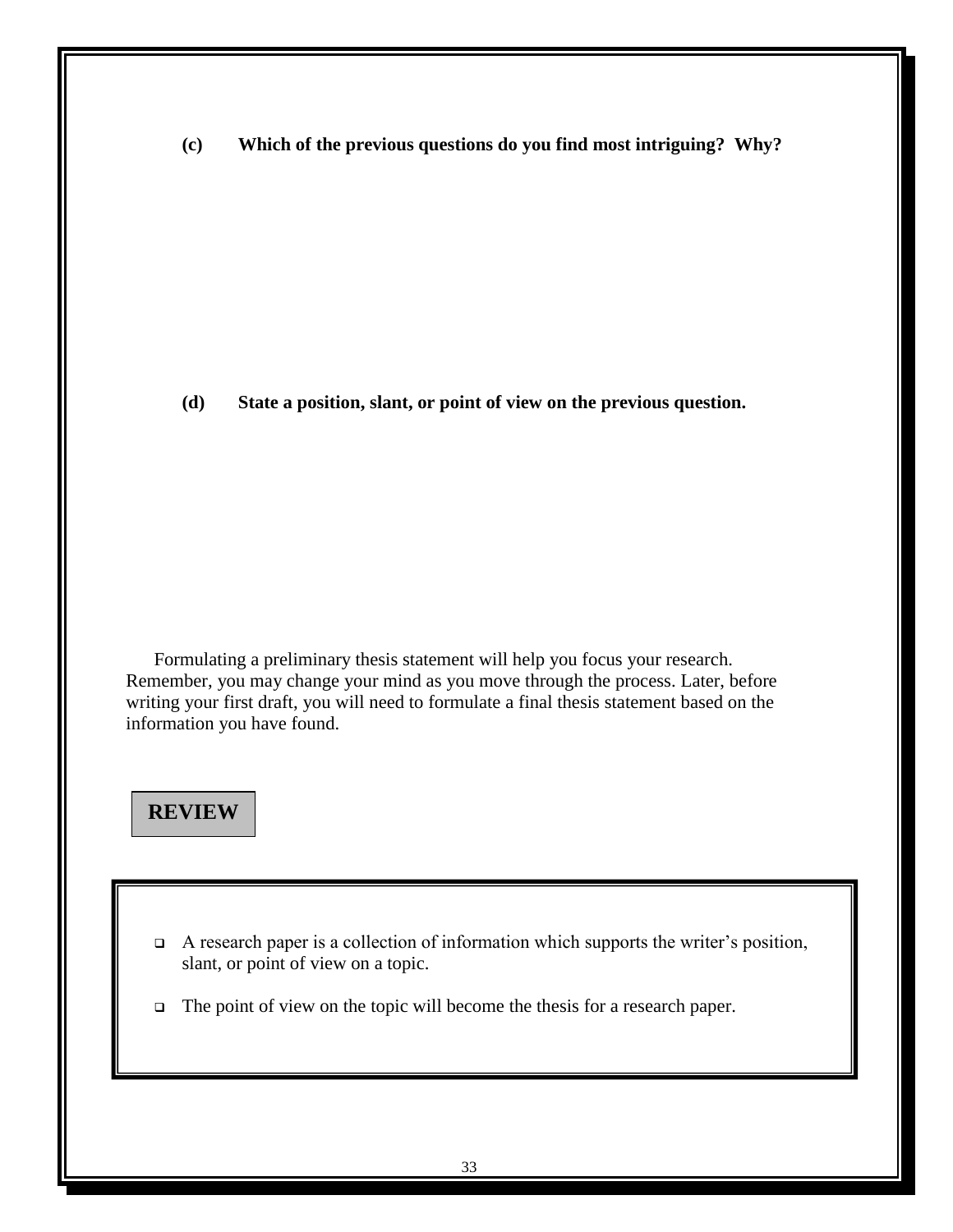**(c) Which of the previous questions do you find most intriguing? Why?**

**(d) State a position, slant, or point of view on the previous question.**

Formulating a preliminary thesis statement will help you focus your research. Remember, you may change your mind as you move through the process. Later, before writing your first draft, you will need to formulate a final thesis statement based on the information you have found.

# **REVIEW**

- $\Box$  A research paper is a collection of information which supports the writer's position, slant, or point of view on a topic.
- The point of view on the topic will become the thesis for a research paper.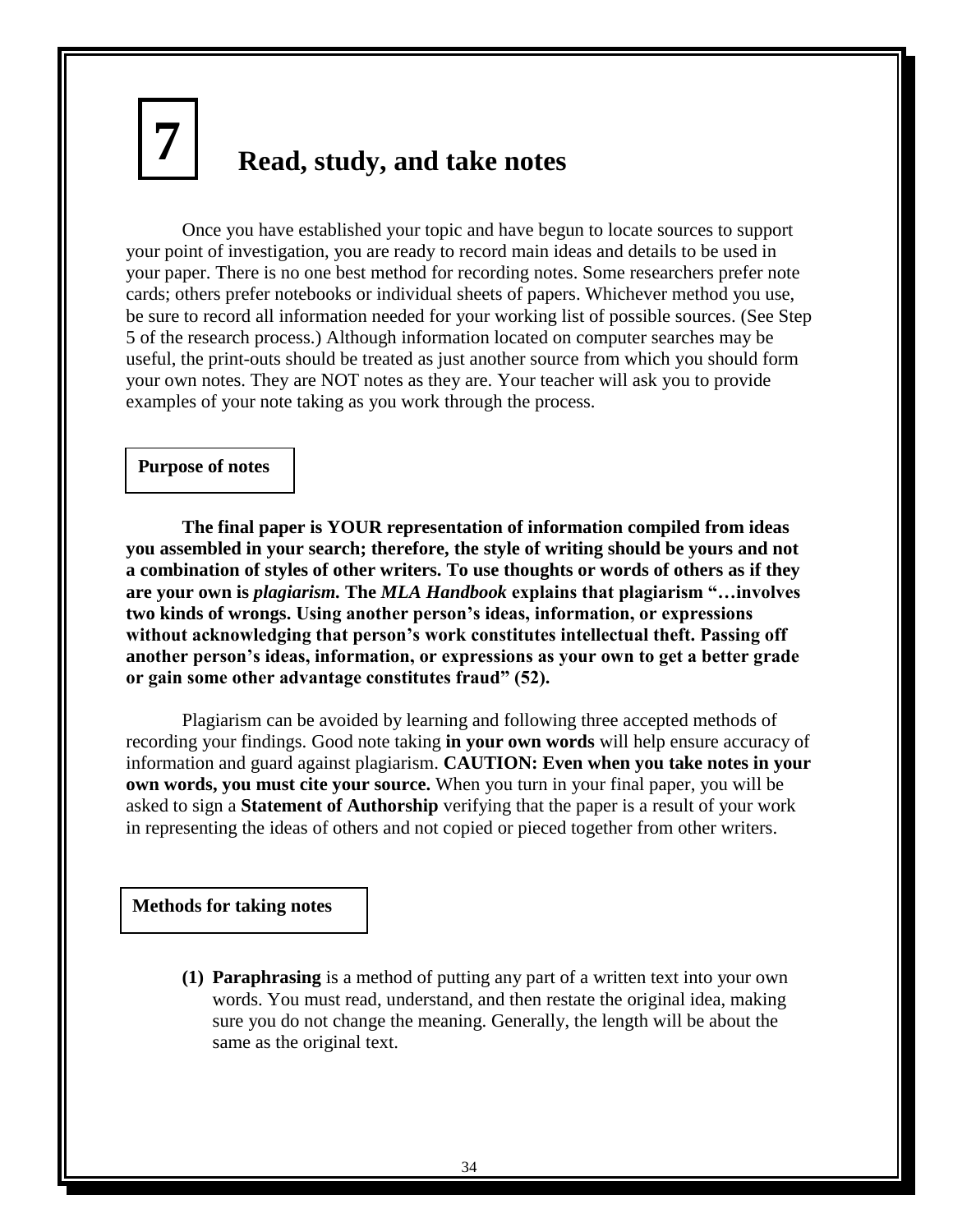# **Read, study, and take notes 7**

Once you have established your topic and have begun to locate sources to support your point of investigation, you are ready to record main ideas and details to be used in your paper. There is no one best method for recording notes. Some researchers prefer note cards; others prefer notebooks or individual sheets of papers. Whichever method you use, be sure to record all information needed for your working list of possible sources. (See Step 5 of the research process.) Although information located on computer searches may be useful, the print-outs should be treated as just another source from which you should form your own notes. They are NOT notes as they are. Your teacher will ask you to provide examples of your note taking as you work through the process.

### **Purpose of notes**

**The final paper is YOUR representation of information compiled from ideas you assembled in your search; therefore, the style of writing should be yours and not a combination of styles of other writers. To use thoughts or words of others as if they are your own is** *plagiarism.* **The** *MLA Handbook* **explains that plagiarism ―…involves two kinds of wrongs. Using another person's ideas, information, or expressions without acknowledging that person's work constitutes intellectual theft. Passing off another person's ideas, information, or expressions as your own to get a better grade or gain some other advantage constitutes fraud‖ (52).**

Plagiarism can be avoided by learning and following three accepted methods of recording your findings. Good note taking **in your own words** will help ensure accuracy of information and guard against plagiarism. **CAUTION: Even when you take notes in your own words, you must cite your source.** When you turn in your final paper, you will be asked to sign a **Statement of Authorship** verifying that the paper is a result of your work in representing the ideas of others and not copied or pieced together from other writers.

#### **Methods for taking notes**

**(1) Paraphrasing** is a method of putting any part of a written text into your own words. You must read, understand, and then restate the original idea, making sure you do not change the meaning. Generally, the length will be about the same as the original text.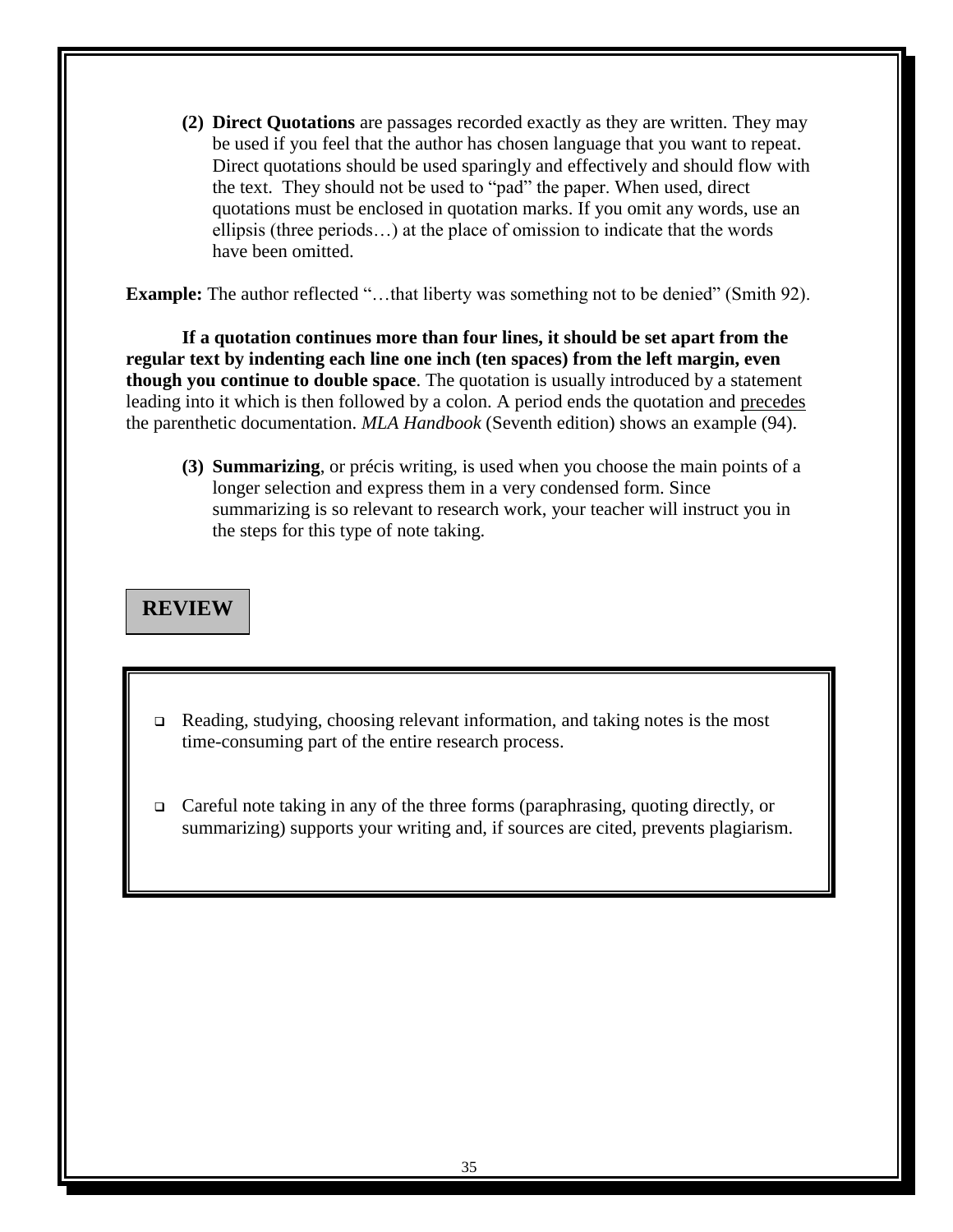**(2) Direct Quotations** are passages recorded exactly as they are written. They may be used if you feel that the author has chosen language that you want to repeat. Direct quotations should be used sparingly and effectively and should flow with the text. They should not be used to "pad" the paper. When used, direct quotations must be enclosed in quotation marks. If you omit any words, use an ellipsis (three periods…) at the place of omission to indicate that the words have been omitted.

**Example:** The author reflected "...that liberty was something not to be denied" (Smith 92).

**If a quotation continues more than four lines, it should be set apart from the regular text by indenting each line one inch (ten spaces) from the left margin, even though you continue to double space**. The quotation is usually introduced by a statement leading into it which is then followed by a colon. A period ends the quotation and precedes the parenthetic documentation. *MLA Handbook* (Seventh edition) shows an example (94).

**(3) Summarizing**, or précis writing, is used when you choose the main points of a longer selection and express them in a very condensed form. Since summarizing is so relevant to research work, your teacher will instruct you in the steps for this type of note taking.

# **REVIEW**

- Reading, studying, choosing relevant information, and taking notes is the most time-consuming part of the entire research process.
- $\Box$  Careful note taking in any of the three forms (paraphrasing, quoting directly, or summarizing) supports your writing and, if sources are cited, prevents plagiarism.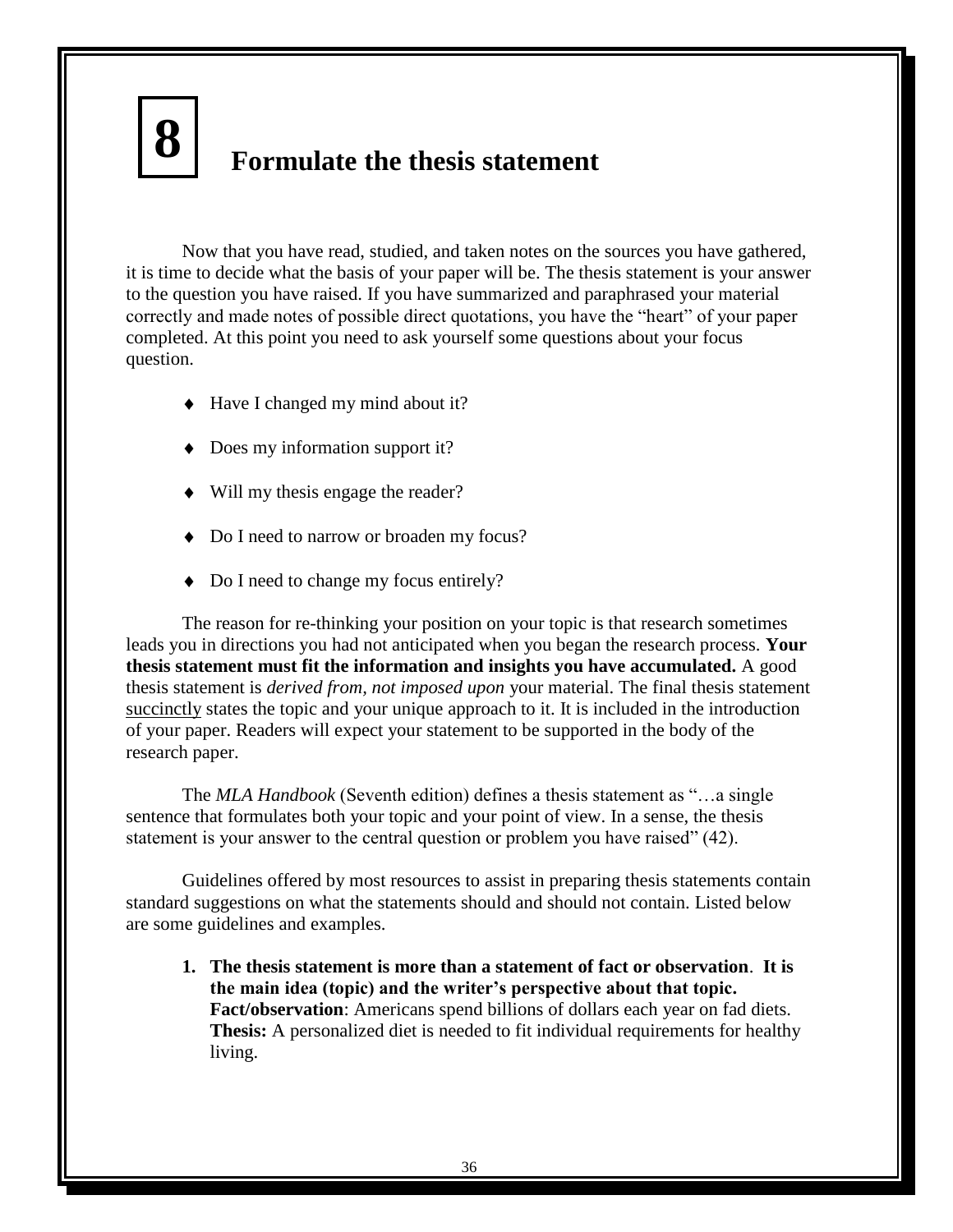# **Formulate the thesis statement**

Now that you have read, studied, and taken notes on the sources you have gathered, it is time to decide what the basis of your paper will be. The thesis statement is your answer to the question you have raised. If you have summarized and paraphrased your material correctly and made notes of possible direct quotations, you have the "heart" of your paper completed. At this point you need to ask yourself some questions about your focus question.

◆ Have I changed my mind about it?

**8**

- ◆ Does my information support it?
- Will my thesis engage the reader?
- Do I need to narrow or broaden my focus?
- Do I need to change my focus entirely?

The reason for re-thinking your position on your topic is that research sometimes leads you in directions you had not anticipated when you began the research process. **Your thesis statement must fit the information and insights you have accumulated.** A good thesis statement is *derived from, not imposed upon* your material. The final thesis statement succinctly states the topic and your unique approach to it. It is included in the introduction of your paper. Readers will expect your statement to be supported in the body of the research paper.

The *MLA Handbook* (Seventh edition) defines a thesis statement as "...a single sentence that formulates both your topic and your point of view. In a sense, the thesis statement is your answer to the central question or problem you have raised" (42).

Guidelines offered by most resources to assist in preparing thesis statements contain standard suggestions on what the statements should and should not contain. Listed below are some guidelines and examples.

**1. The thesis statement is more than a statement of fact or observation**. **It is the main idea (topic) and the writer's perspective about that topic. Fact/observation**: Americans spend billions of dollars each year on fad diets. **Thesis:** A personalized diet is needed to fit individual requirements for healthy living.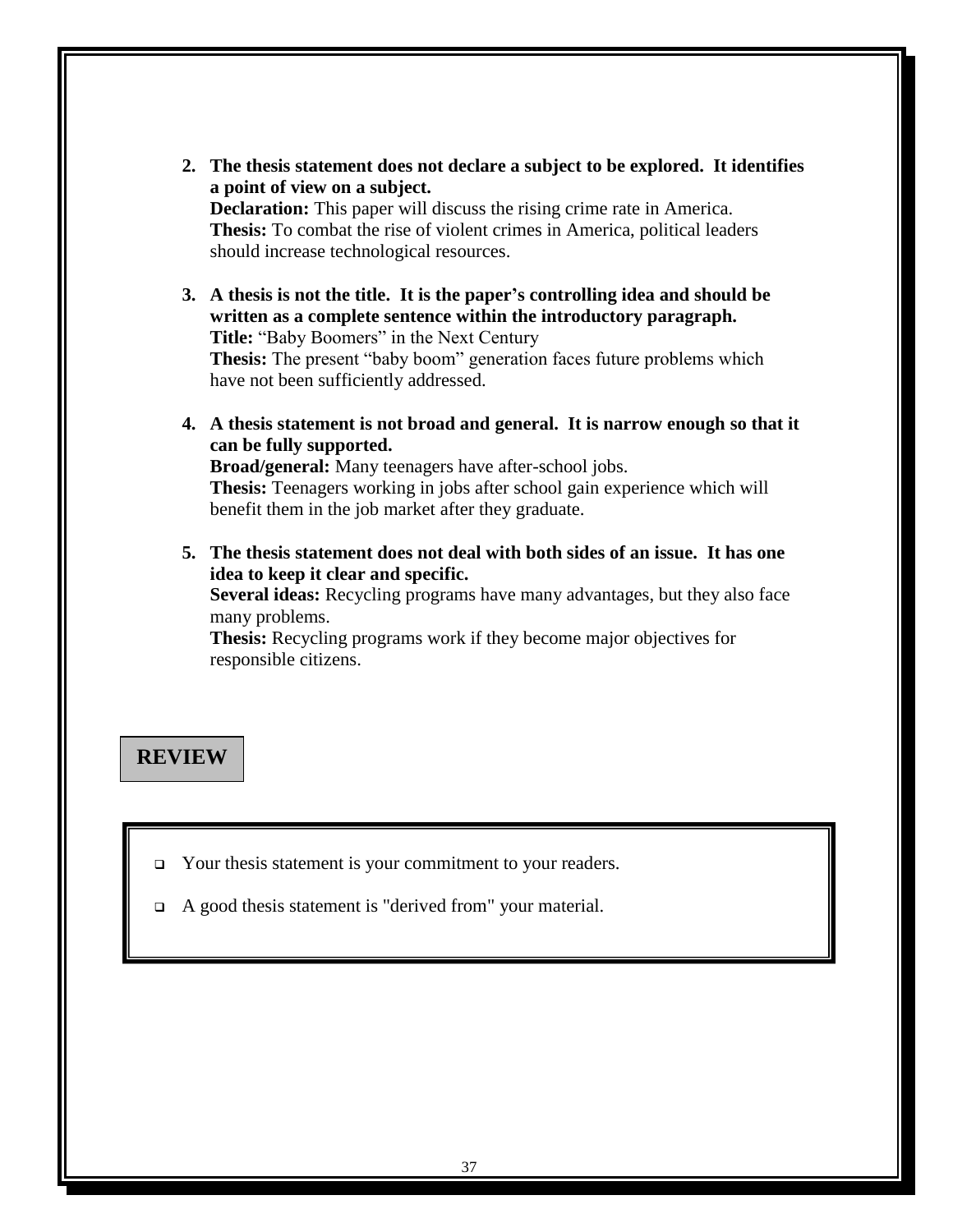**2. The thesis statement does not declare a subject to be explored. It identifies a point of view on a subject.**

**Declaration:** This paper will discuss the rising crime rate in America. **Thesis:** To combat the rise of violent crimes in America, political leaders should increase technological resources.

**3. A thesis is not the title. It is the paper's controlling idea and should be written as a complete sentence within the introductory paragraph. Title:** "Baby Boomers" in the Next Century **Thesis:** The present "baby boom" generation faces future problems which

have not been sufficiently addressed.

**4. A thesis statement is not broad and general. It is narrow enough so that it can be fully supported.**

**Broad/general:** Many teenagers have after-school jobs. **Thesis:** Teenagers working in jobs after school gain experience which will benefit them in the job market after they graduate.

**5. The thesis statement does not deal with both sides of an issue. It has one idea to keep it clear and specific.**

**Several ideas:** Recycling programs have many advantages, but they also face many problems.

**Thesis:** Recycling programs work if they become major objectives for responsible citizens.

# **REVIEW**

- Your thesis statement is your commitment to your readers.
- A good thesis statement is "derived from" your material.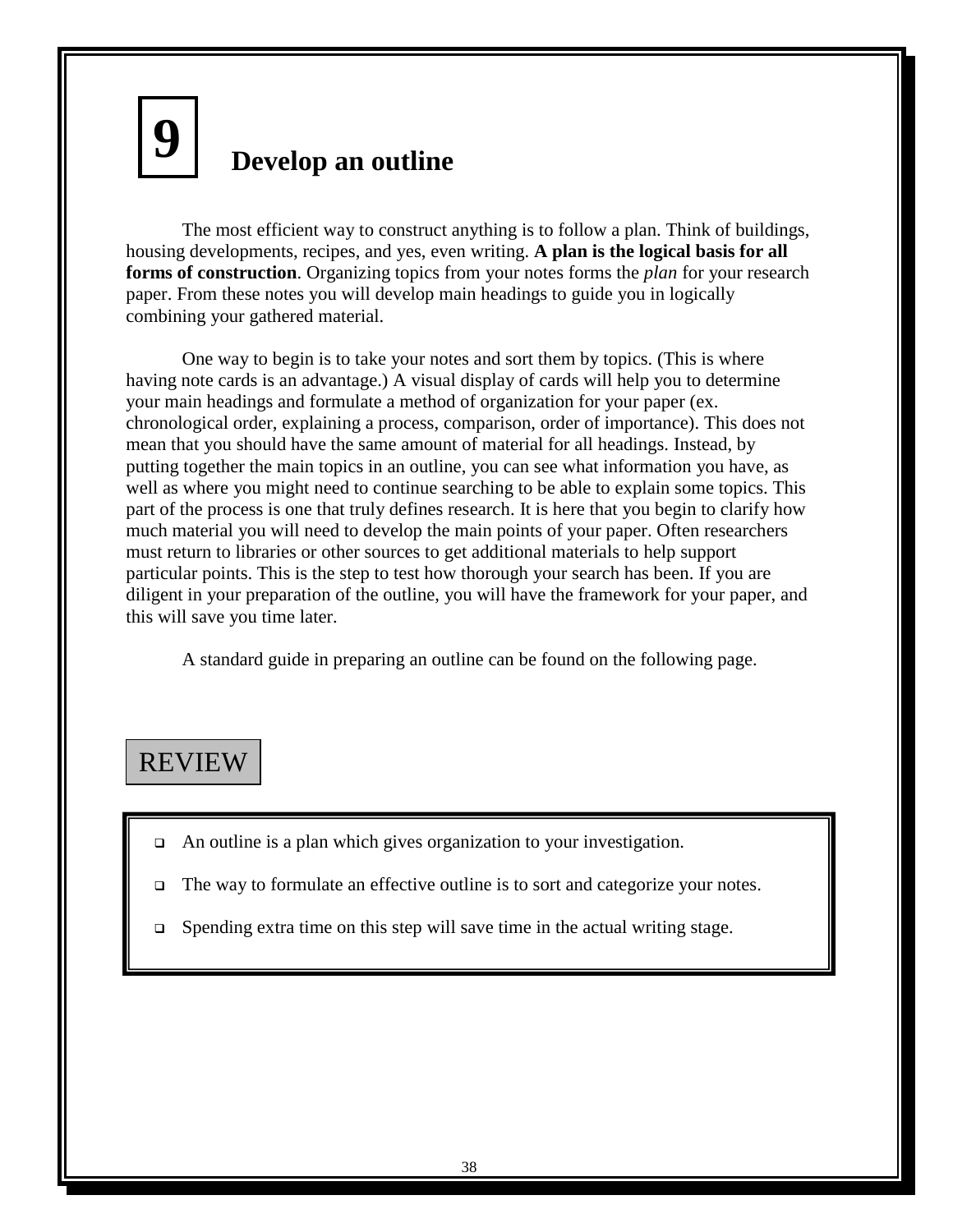# **Develop an outline 9**

The most efficient way to construct anything is to follow a plan. Think of buildings, housing developments, recipes, and yes, even writing. **A plan is the logical basis for all forms of construction**. Organizing topics from your notes forms the *plan* for your research paper. From these notes you will develop main headings to guide you in logically combining your gathered material.

One way to begin is to take your notes and sort them by topics. (This is where having note cards is an advantage.) A visual display of cards will help you to determine your main headings and formulate a method of organization for your paper (ex. chronological order, explaining a process, comparison, order of importance). This does not mean that you should have the same amount of material for all headings. Instead, by putting together the main topics in an outline, you can see what information you have, as well as where you might need to continue searching to be able to explain some topics. This part of the process is one that truly defines research. It is here that you begin to clarify how much material you will need to develop the main points of your paper. Often researchers must return to libraries or other sources to get additional materials to help support particular points. This is the step to test how thorough your search has been. If you are diligent in your preparation of the outline, you will have the framework for your paper, and this will save you time later.

A standard guide in preparing an outline can be found on the following page.

# REVIEW

- □ An outline is a plan which gives organization to your investigation.
- The way to formulate an effective outline is to sort and categorize your notes.
- $\Box$  Spending extra time on this step will save time in the actual writing stage.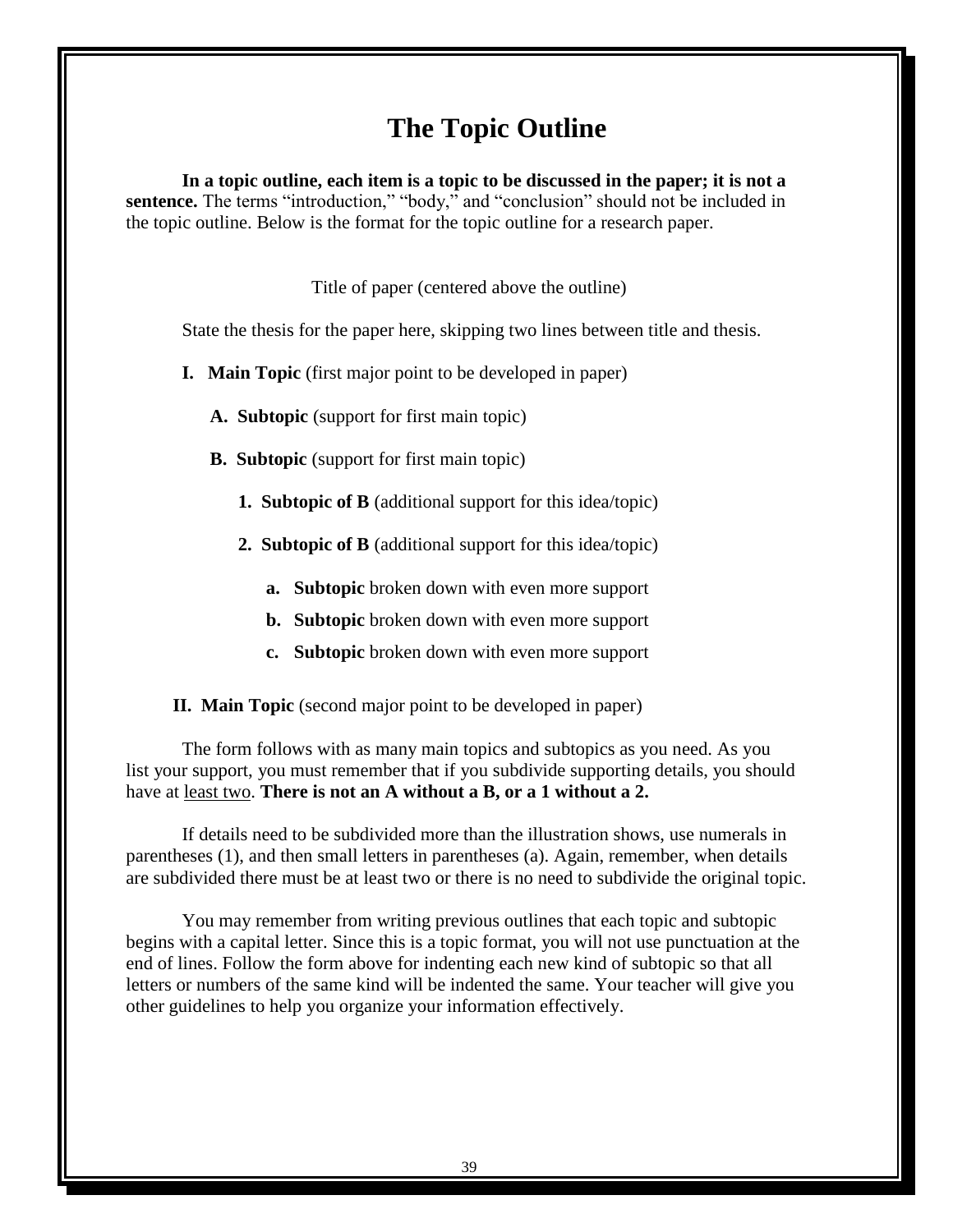# **The Topic Outline**

**In a topic outline, each item is a topic to be discussed in the paper; it is not a**  sentence. The terms "introduction," "body," and "conclusion" should not be included in the topic outline. Below is the format for the topic outline for a research paper.

Title of paper (centered above the outline)

State the thesis for the paper here, skipping two lines between title and thesis.

**I. Main Topic** (first major point to be developed in paper)

**A. Subtopic** (support for first main topic)

**B. Subtopic** (support for first main topic)

- **1. Subtopic of B** (additional support for this idea/topic)
- **2. Subtopic of B** (additional support for this idea/topic)
	- **a. Subtopic** broken down with even more support
	- **b. Subtopic** broken down with even more support
	- **c. Subtopic** broken down with even more support

 **II. Main Topic** (second major point to be developed in paper)

The form follows with as many main topics and subtopics as you need. As you list your support, you must remember that if you subdivide supporting details, you should have at least two. **There is not an A without a B, or a 1 without a 2.**

If details need to be subdivided more than the illustration shows, use numerals in parentheses (1), and then small letters in parentheses (a). Again, remember, when details are subdivided there must be at least two or there is no need to subdivide the original topic.

You may remember from writing previous outlines that each topic and subtopic begins with a capital letter. Since this is a topic format, you will not use punctuation at the end of lines. Follow the form above for indenting each new kind of subtopic so that all letters or numbers of the same kind will be indented the same. Your teacher will give you other guidelines to help you organize your information effectively.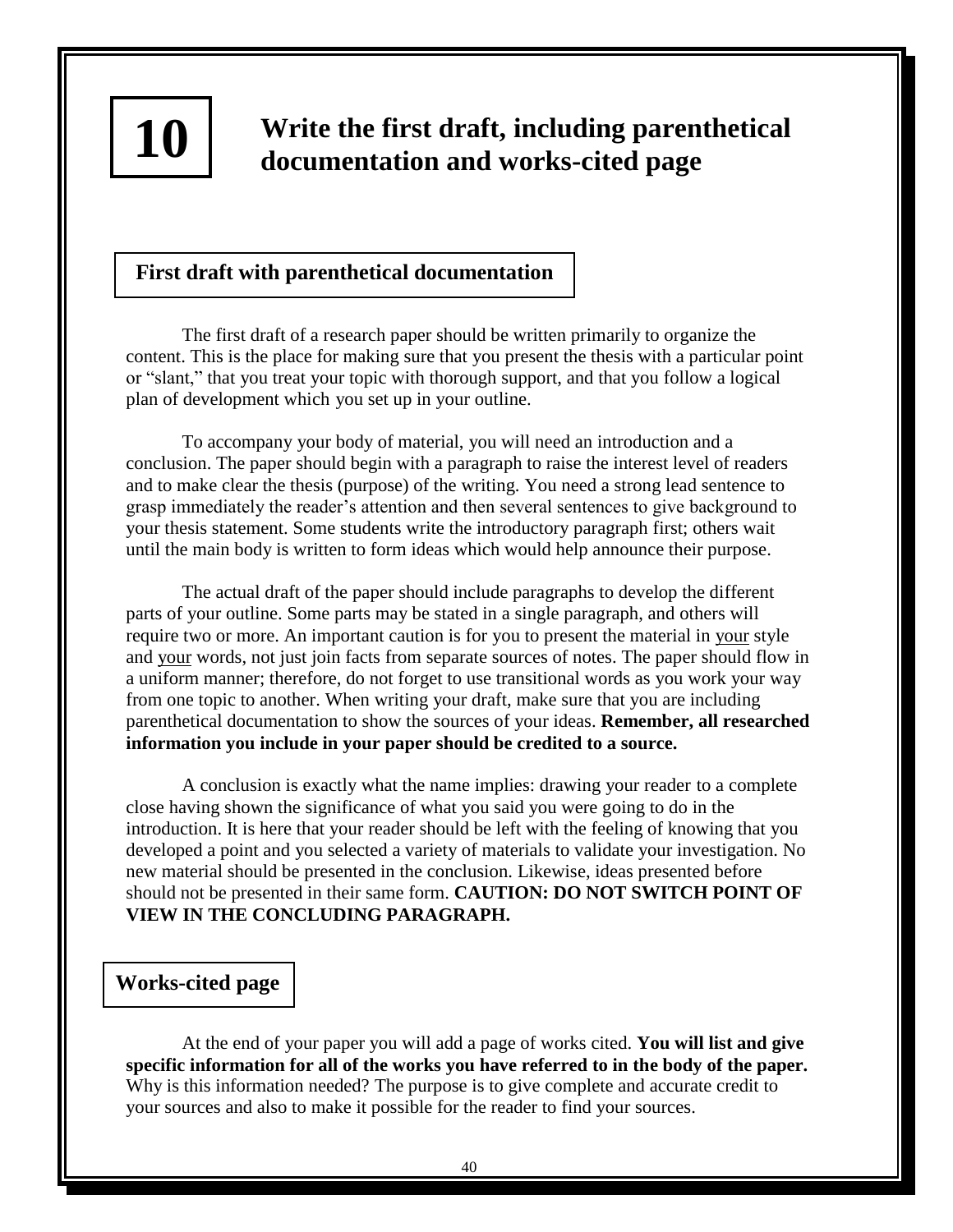

# **Write the first draft, including parenthetical documentation and works-cited page**

# **First draft with parenthetical documentation**

The first draft of a research paper should be written primarily to organize the content. This is the place for making sure that you present the thesis with a particular point or "slant," that you treat your topic with thorough support, and that you follow a logical plan of development which you set up in your outline.

To accompany your body of material, you will need an introduction and a conclusion. The paper should begin with a paragraph to raise the interest level of readers and to make clear the thesis (purpose) of the writing. You need a strong lead sentence to grasp immediately the reader's attention and then several sentences to give background to your thesis statement. Some students write the introductory paragraph first; others wait until the main body is written to form ideas which would help announce their purpose.

The actual draft of the paper should include paragraphs to develop the different parts of your outline. Some parts may be stated in a single paragraph, and others will require two or more. An important caution is for you to present the material in your style and your words, not just join facts from separate sources of notes. The paper should flow in a uniform manner; therefore, do not forget to use transitional words as you work your way from one topic to another. When writing your draft, make sure that you are including parenthetical documentation to show the sources of your ideas. **Remember, all researched information you include in your paper should be credited to a source.**

A conclusion is exactly what the name implies: drawing your reader to a complete close having shown the significance of what you said you were going to do in the introduction. It is here that your reader should be left with the feeling of knowing that you developed a point and you selected a variety of materials to validate your investigation. No new material should be presented in the conclusion. Likewise, ideas presented before should not be presented in their same form. **CAUTION: DO NOT SWITCH POINT OF VIEW IN THE CONCLUDING PARAGRAPH.**

# **Works-cited page**

At the end of your paper you will add a page of works cited. **You will list and give specific information for all of the works you have referred to in the body of the paper.**  Why is this information needed? The purpose is to give complete and accurate credit to your sources and also to make it possible for the reader to find your sources.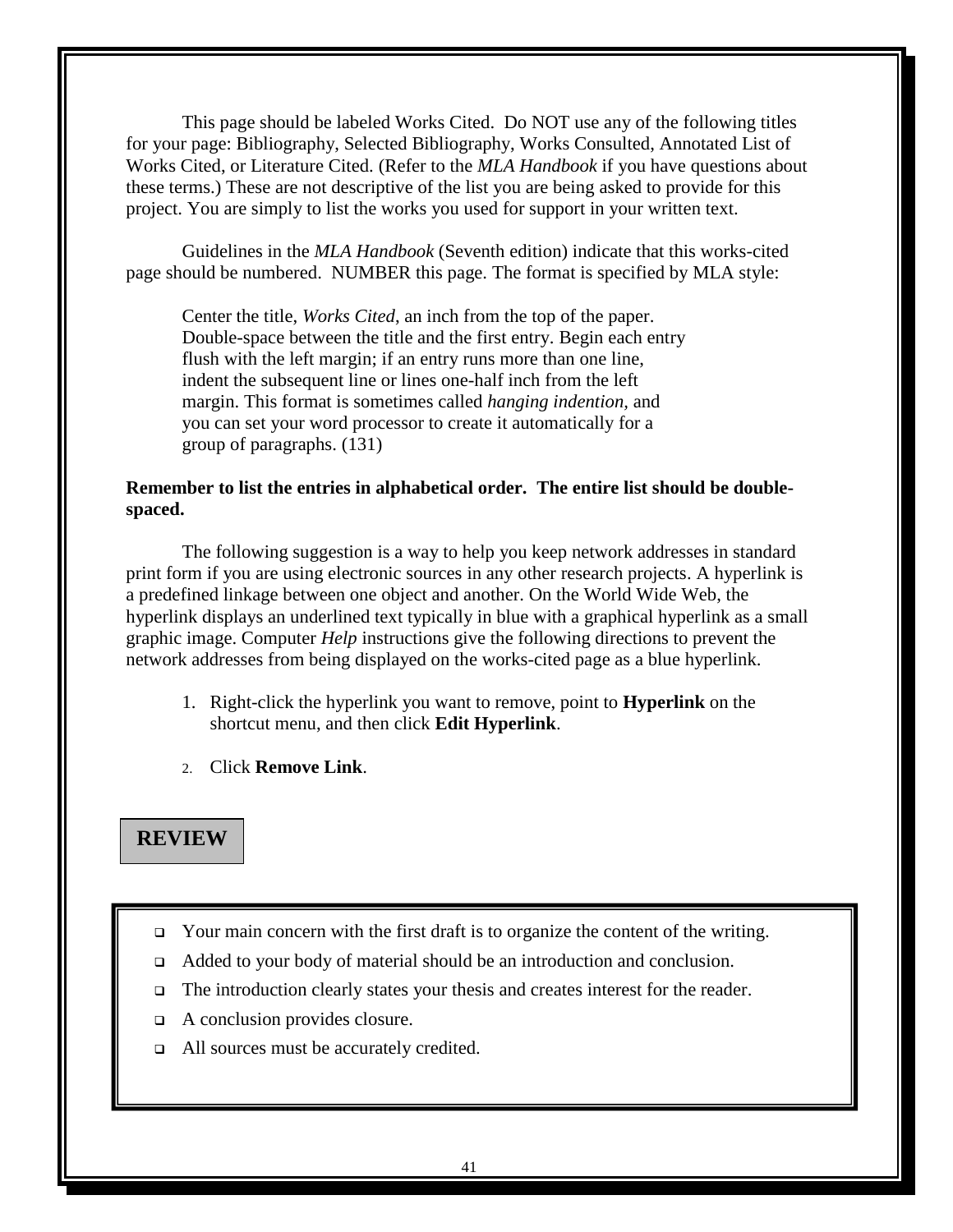This page should be labeled Works Cited. Do NOT use any of the following titles for your page: Bibliography, Selected Bibliography, Works Consulted, Annotated List of Works Cited, or Literature Cited. (Refer to the *MLA Handbook* if you have questions about these terms.) These are not descriptive of the list you are being asked to provide for this project. You are simply to list the works you used for support in your written text.

Guidelines in the *MLA Handbook* (Seventh edition) indicate that this works-cited page should be numbered. NUMBER this page. The format is specified by MLA style:

Center the title, *Works Cited*, an inch from the top of the paper. Double-space between the title and the first entry. Begin each entry flush with the left margin; if an entry runs more than one line, indent the subsequent line or lines one-half inch from the left margin. This format is sometimes called *hanging indention,* and you can set your word processor to create it automatically for a group of paragraphs. (131)

# **Remember to list the entries in alphabetical order. The entire list should be doublespaced.**

The following suggestion is a way to help you keep network addresses in standard print form if you are using electronic sources in any other research projects. A hyperlink is a predefined linkage between one object and another. On the World Wide Web, the hyperlink displays an underlined text typically in blue with a graphical hyperlink as a small graphic image. Computer *Help* instructions give the following directions to prevent the network addresses from being displayed on the works-cited page as a blue hyperlink.

- 1. Right-click the hyperlink you want to remove, point to **Hyperlink** on the shortcut menu, and then click **Edit Hyperlink**.
- 2. Click **Remove Link**.

# **REVIEW**

- $\Box$  Your main concern with the first draft is to organize the content of the writing.
- Added to your body of material should be an introduction and conclusion.
- The introduction clearly states your thesis and creates interest for the reader.
- A conclusion provides closure.
- □ All sources must be accurately credited.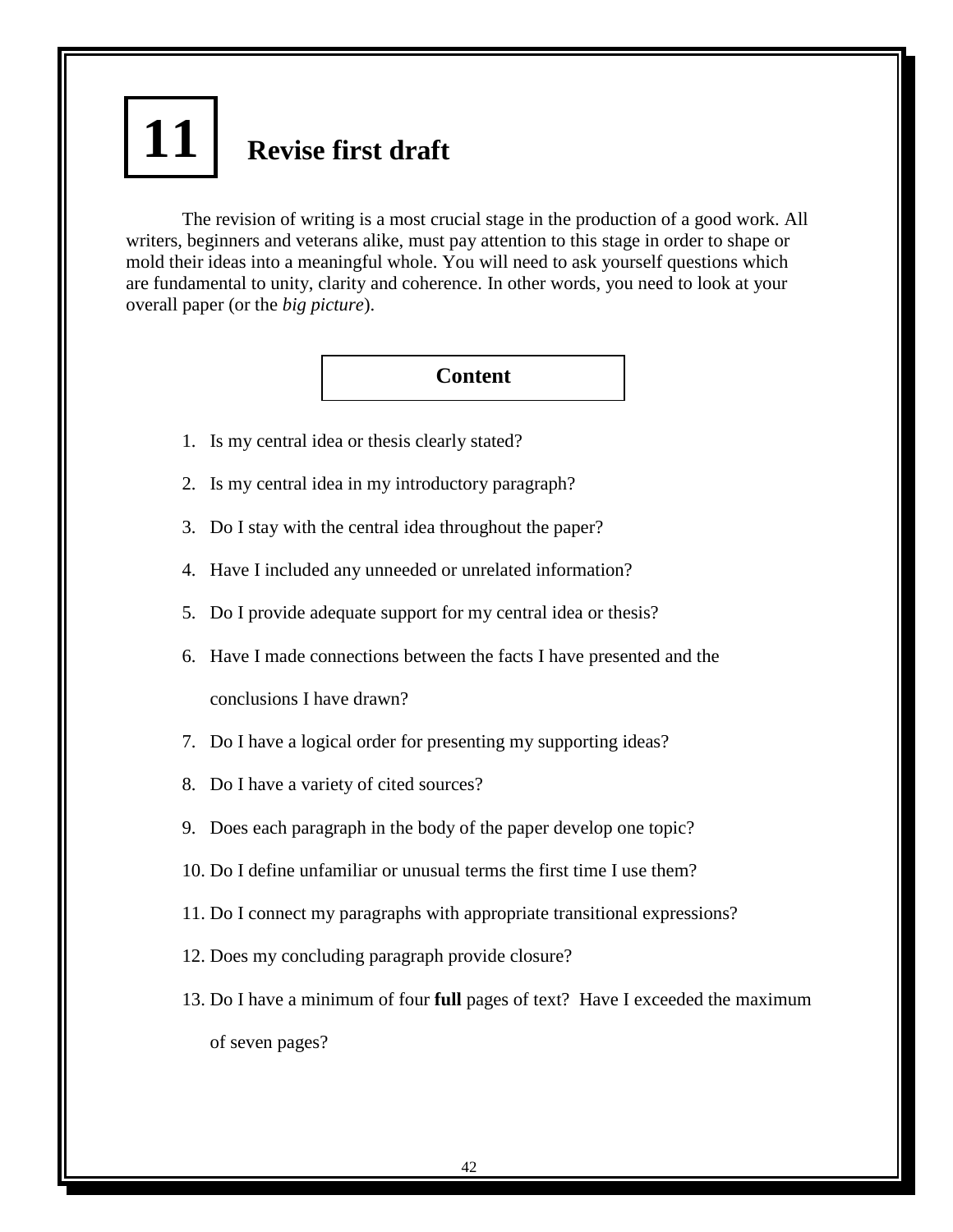# **Revise first draft 11**

The revision of writing is a most crucial stage in the production of a good work. All writers, beginners and veterans alike, must pay attention to this stage in order to shape or mold their ideas into a meaningful whole. You will need to ask yourself questions which are fundamental to unity, clarity and coherence. In other words, you need to look at your overall paper (or the *big picture*).

**Content**

- 1. Is my central idea or thesis clearly stated?
- 2. Is my central idea in my introductory paragraph?
- 3. Do I stay with the central idea throughout the paper?
- 4. Have I included any unneeded or unrelated information?
- 5. Do I provide adequate support for my central idea or thesis?
- 6. Have I made connections between the facts I have presented and the

conclusions I have drawn?

- 7. Do I have a logical order for presenting my supporting ideas?
- 8. Do I have a variety of cited sources?
- 9. Does each paragraph in the body of the paper develop one topic?
- 10. Do I define unfamiliar or unusual terms the first time I use them?
- 11. Do I connect my paragraphs with appropriate transitional expressions?
- 12. Does my concluding paragraph provide closure?
- 13. Do I have a minimum of four **full** pages of text? Have I exceeded the maximum of seven pages?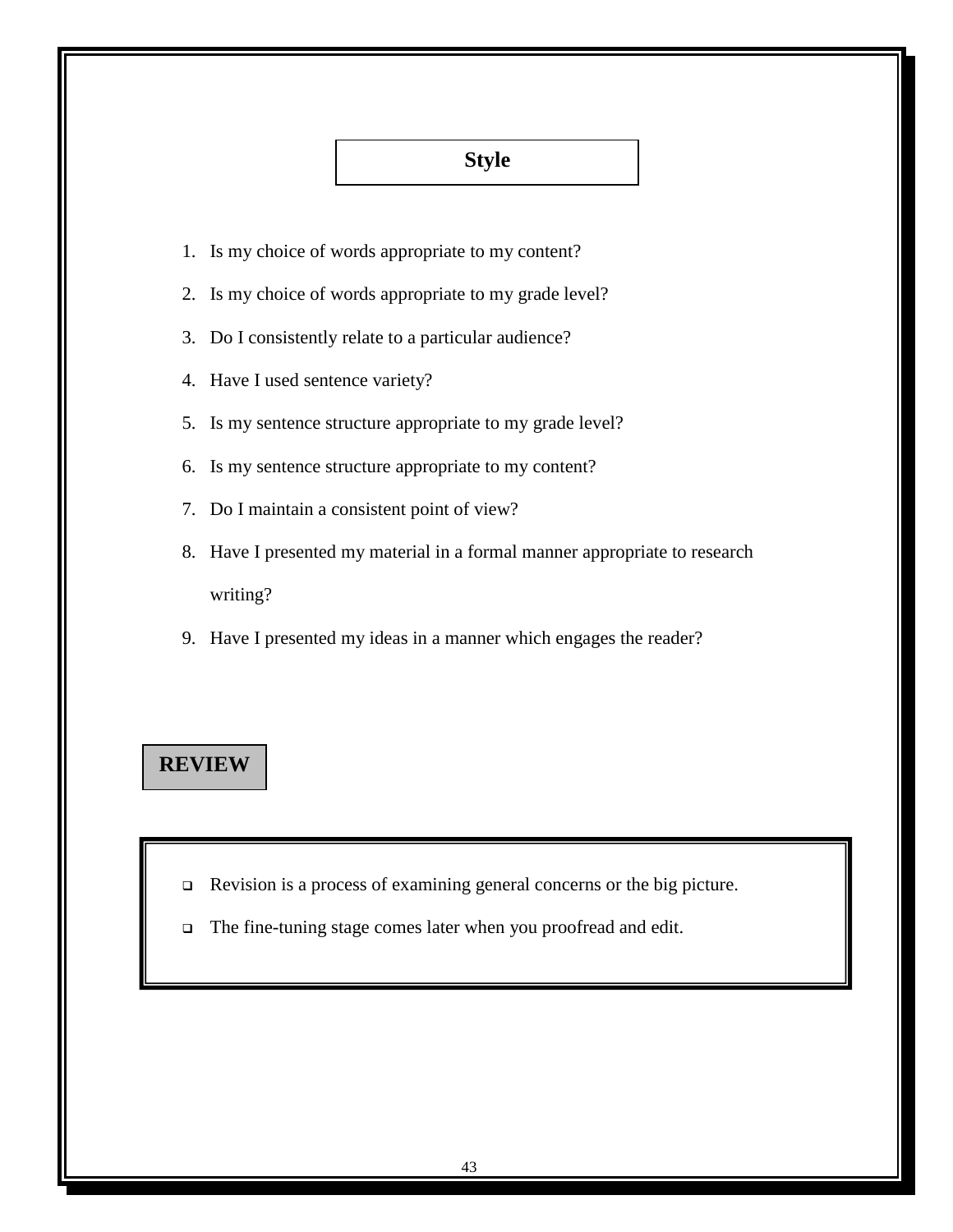# **Style**

- 1. Is my choice of words appropriate to my content?
- 2. Is my choice of words appropriate to my grade level?
- 3. Do I consistently relate to a particular audience?
- 4. Have I used sentence variety?
- 5. Is my sentence structure appropriate to my grade level?
- 6. Is my sentence structure appropriate to my content?
- 7. Do I maintain a consistent point of view?
- 8. Have I presented my material in a formal manner appropriate to research writing?
- 9. Have I presented my ideas in a manner which engages the reader?

# **REVIEW**

- Revision is a process of examining general concerns or the big picture.
- The fine-tuning stage comes later when you proofread and edit.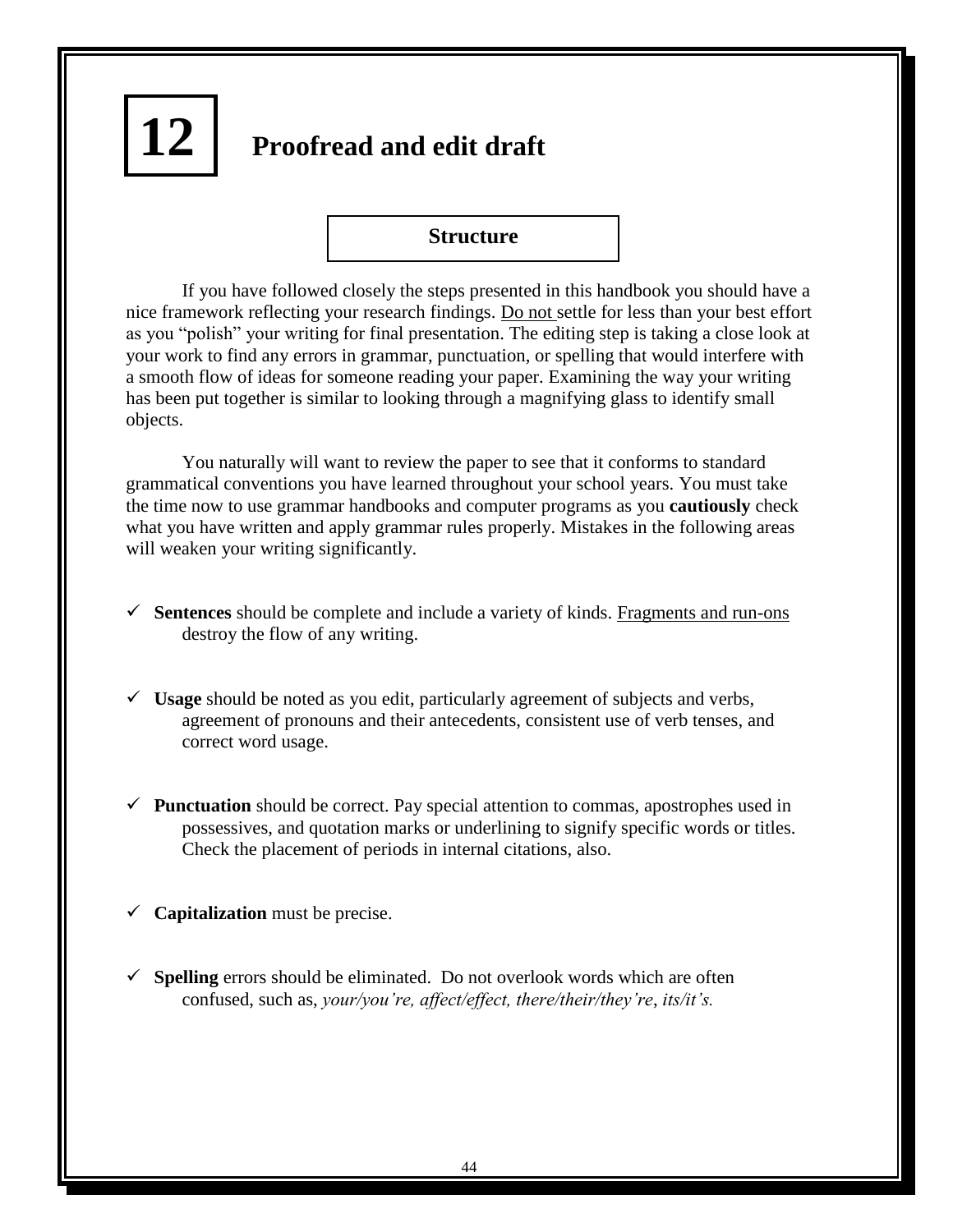# **Proofread and edit draft 12**

# **Structure**

If you have followed closely the steps presented in this handbook you should have a nice framework reflecting your research findings. Do not settle for less than your best effort as you "polish" your writing for final presentation. The editing step is taking a close look at your work to find any errors in grammar, punctuation, or spelling that would interfere with a smooth flow of ideas for someone reading your paper. Examining the way your writing has been put together is similar to looking through a magnifying glass to identify small objects.

You naturally will want to review the paper to see that it conforms to standard grammatical conventions you have learned throughout your school years. You must take the time now to use grammar handbooks and computer programs as you **cautiously** check what you have written and apply grammar rules properly. Mistakes in the following areas will weaken your writing significantly.

- **Sentences** should be complete and include a variety of kinds. Fragments and run-ons destroy the flow of any writing.
- **Usage** should be noted as you edit, particularly agreement of subjects and verbs, agreement of pronouns and their antecedents, consistent use of verb tenses, and correct word usage.
- **Punctuation** should be correct. Pay special attention to commas, apostrophes used in possessives, and quotation marks or underlining to signify specific words or titles. Check the placement of periods in internal citations, also.
- $\checkmark$  **Capitalization** must be precise.
- $\checkmark$  **Spelling** errors should be eliminated. Do not overlook words which are often confused, such as, *your/you're, affect/effect, there/their/they're*, *its/it's.*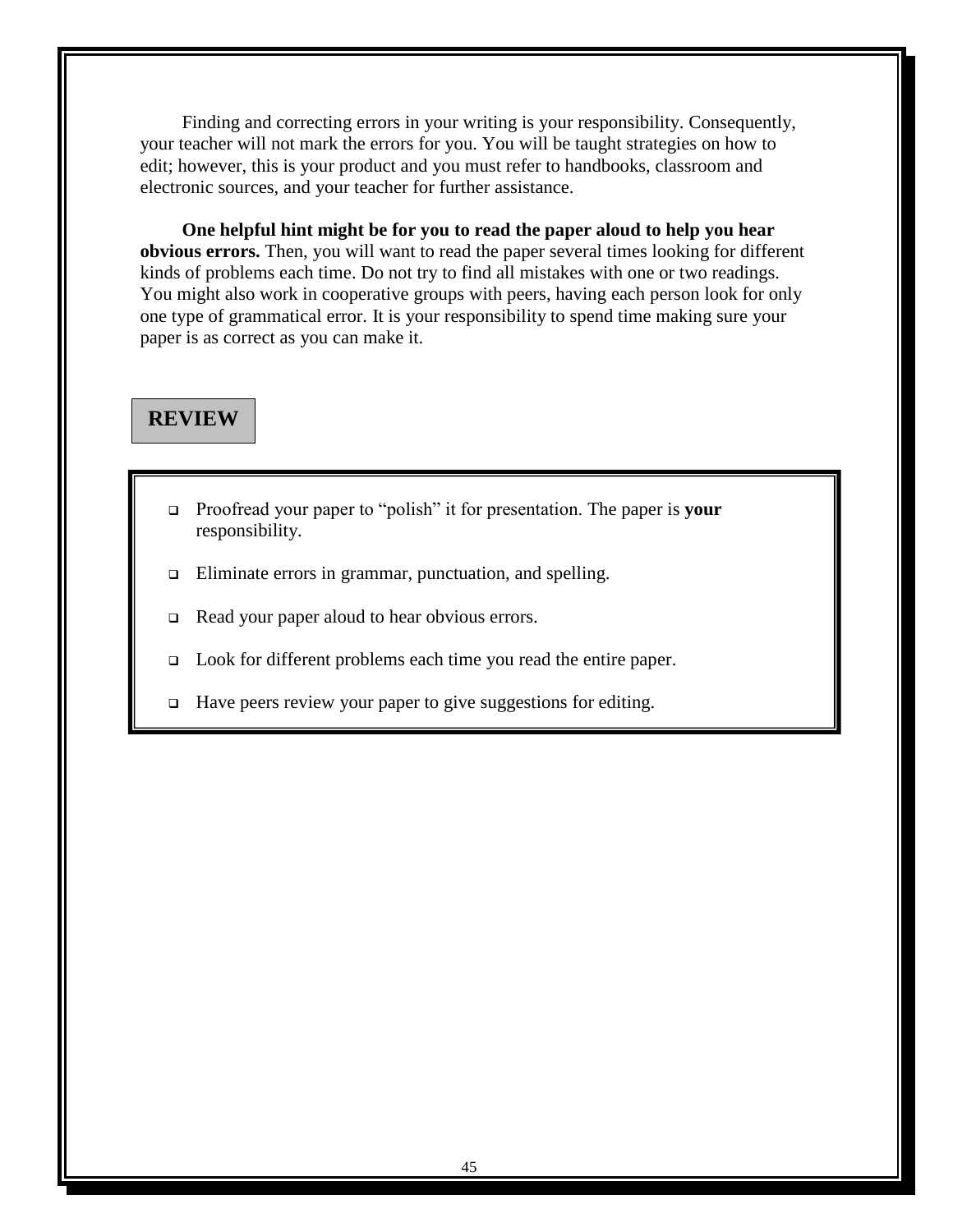Finding and correcting errors in your writing is your responsibility. Consequently, your teacher will not mark the errors for you. You will be taught strategies on how to edit; however, this is your product and you must refer to handbooks, classroom and electronic sources, and your teacher for further assistance.

**One helpful hint might be for you to read the paper aloud to help you hear obvious errors.** Then, you will want to read the paper several times looking for different kinds of problems each time. Do not try to find all mistakes with one or two readings. You might also work in cooperative groups with peers, having each person look for only one type of grammatical error. It is your responsibility to spend time making sure your paper is as correct as you can make it.

# **REVIEW**

- □ Proofread your paper to "polish" it for presentation. The paper is **your** responsibility.
- Eliminate errors in grammar, punctuation, and spelling.
- Read your paper aloud to hear obvious errors.
- Look for different problems each time you read the entire paper.
- $\Box$  Have peers review your paper to give suggestions for editing.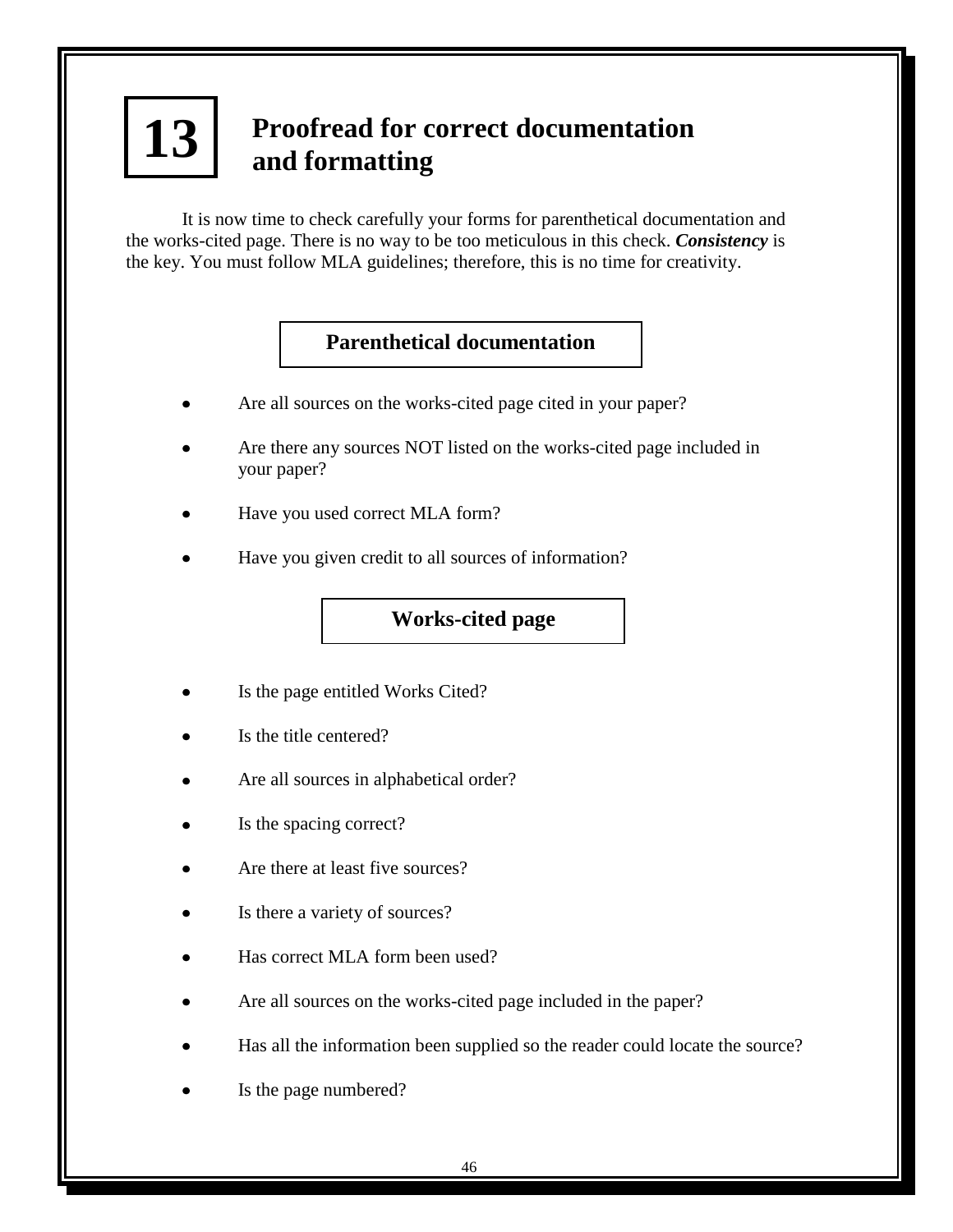# **Proofread for correct documentation and formatting 13**

It is now time to check carefully your forms for parenthetical documentation and the works-cited page. There is no way to be too meticulous in this check. *Consistency* is the key. You must follow MLA guidelines; therefore, this is no time for creativity.

# **Parenthetical documentation**

- Are all sources on the works-cited page cited in your paper?
- Are there any sources NOT listed on the works-cited page included in your paper?
- Have you used correct MLA form?
- Have you given credit to all sources of information?

# **Works-cited page**

- Is the page entitled Works Cited?
- Is the title centered?
- Are all sources in alphabetical order?
- Is the spacing correct?
- Are there at least five sources?
- Is there a variety of sources?
- Has correct MLA form been used?
- Are all sources on the works-cited page included in the paper?
- Has all the information been supplied so the reader could locate the source?
- Is the page numbered?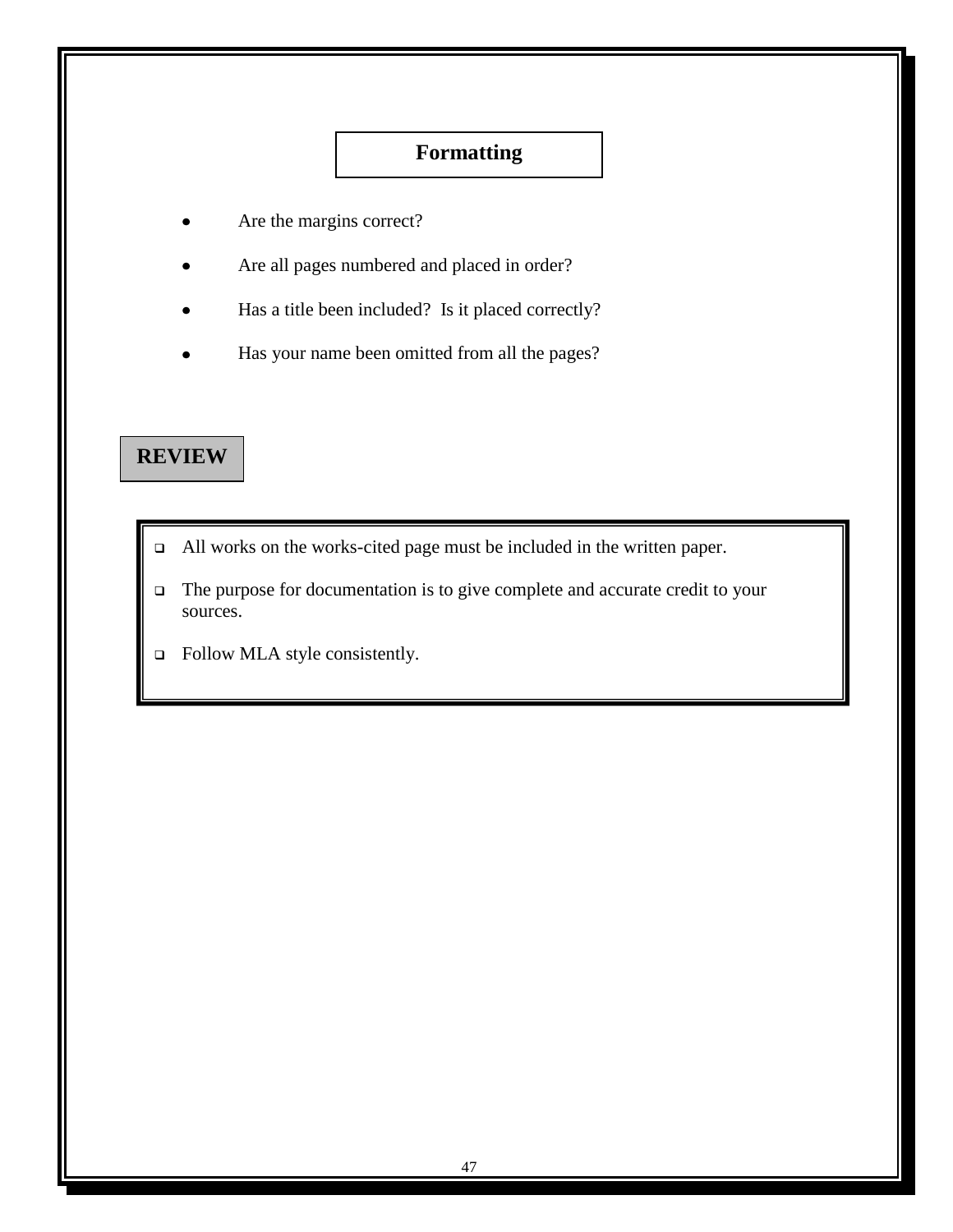# **Formatting**

- Are the margins correct?
- Are all pages numbered and placed in order?
- Has a title been included? Is it placed correctly?
- Has your name been omitted from all the pages?

# **REVIEW**

- All works on the works-cited page must be included in the written paper.
- The purpose for documentation is to give complete and accurate credit to your sources.
- □ Follow MLA style consistently.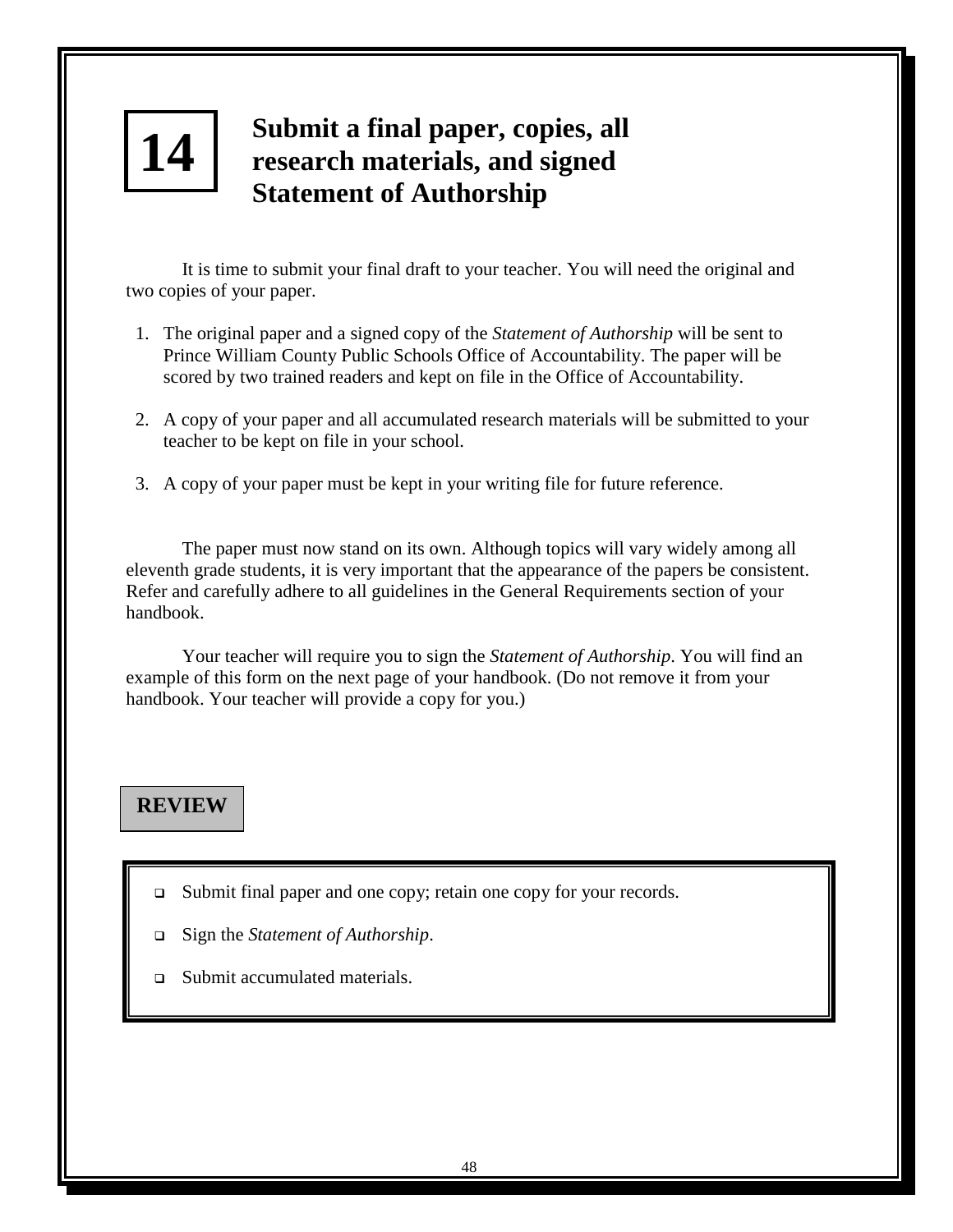# **14 4**

# **Submit a final paper, copies, all research materials, and signed Statement of Authorship**

It is time to submit your final draft to your teacher. You will need the original and two copies of your paper.

- 1. The original paper and a signed copy of the *Statement of Authorship* will be sent to Prince William County Public Schools Office of Accountability. The paper will be scored by two trained readers and kept on file in the Office of Accountability.
- 2. A copy of your paper and all accumulated research materials will be submitted to your teacher to be kept on file in your school.
- 3. A copy of your paper must be kept in your writing file for future reference.

The paper must now stand on its own. Although topics will vary widely among all eleventh grade students, it is very important that the appearance of the papers be consistent. Refer and carefully adhere to all guidelines in the General Requirements section of your handbook.

Your teacher will require you to sign the *Statement of Authorship*. You will find an example of this form on the next page of your handbook. (Do not remove it from your handbook. Your teacher will provide a copy for you.)

# **REVIEW**

- Submit final paper and one copy; retain one copy for your records.
- Sign the *Statement of Authorship*.
- □ Submit accumulated materials.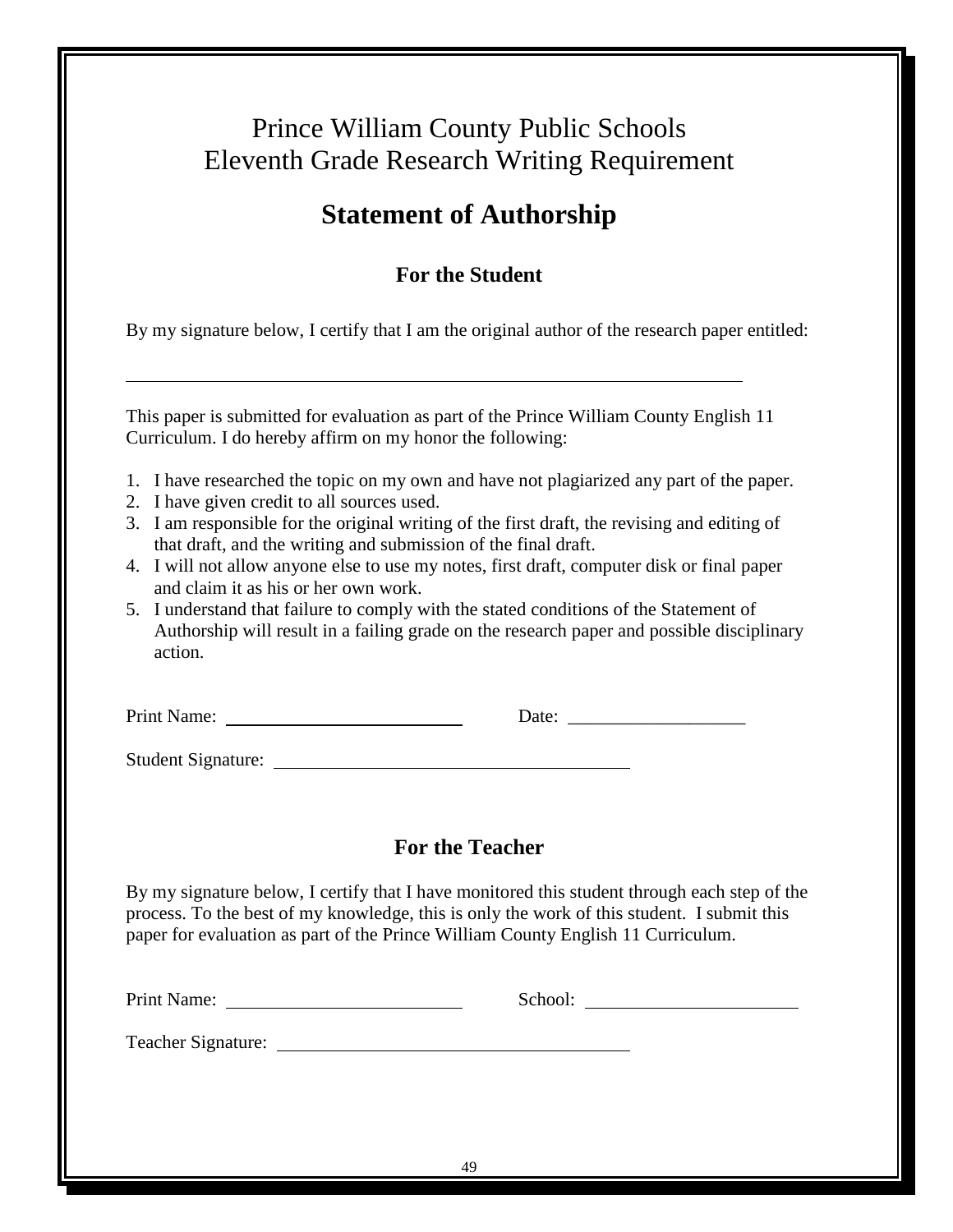# Prince William County Public Schools Eleventh Grade Research Writing Requirement

# **Statement of Authorship**

# **For the Student**

By my signature below, I certify that I am the original author of the research paper entitled:

This paper is submitted for evaluation as part of the Prince William County English 11 Curriculum. I do hereby affirm on my honor the following:

- 1. I have researched the topic on my own and have not plagiarized any part of the paper.
- 2. I have given credit to all sources used.
- 3. I am responsible for the original writing of the first draft, the revising and editing of that draft, and the writing and submission of the final draft.
- 4. I will not allow anyone else to use my notes, first draft, computer disk or final paper and claim it as his or her own work.
- 5. I understand that failure to comply with the stated conditions of the Statement of Authorship will result in a failing grade on the research paper and possible disciplinary action.

| Print Name:               | Date: |  |
|---------------------------|-------|--|
|                           |       |  |
| <b>Student Signature:</b> |       |  |

# **For the Teacher**

By my signature below, I certify that I have monitored this student through each step of the process. To the best of my knowledge, this is only the work of this student. I submit this paper for evaluation as part of the Prince William County English 11 Curriculum.

School: School:  $\sum_{n=1}^{\infty}$ 

Teacher Signature: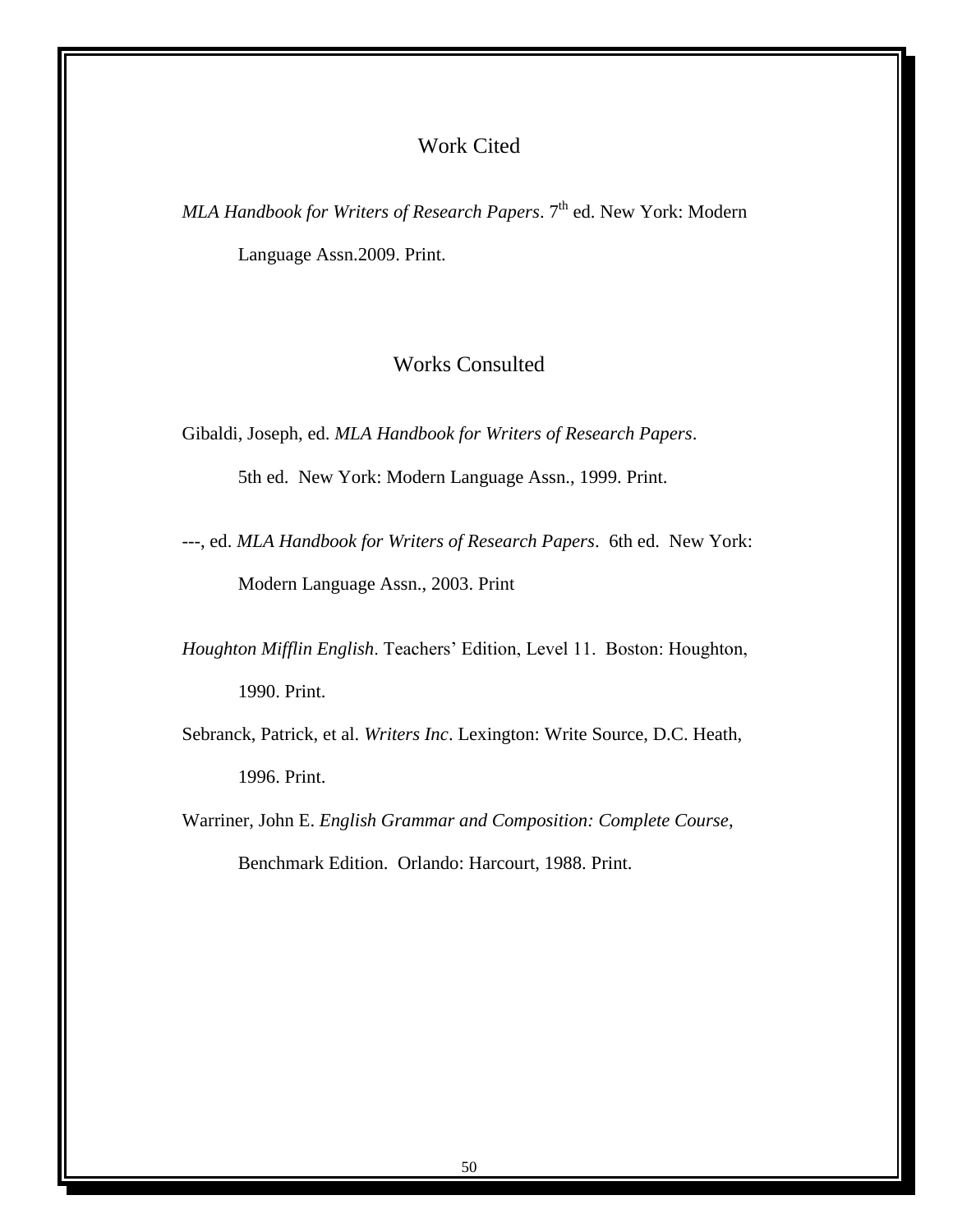# Work Cited

*MLA Handbook for Writers of Research Papers*. 7<sup>th</sup> ed. New York: Modern Language Assn.2009. Print.

# Works Consulted

Gibaldi, Joseph, ed. *MLA Handbook for Writers of Research Papers*.

5th ed. New York: Modern Language Assn., 1999. Print.

---, ed. *MLA Handbook for Writers of Research Papers*. 6th ed. New York: Modern Language Assn., 2003. Print

*Houghton Mifflin English*. Teachers' Edition, Level 11. Boston: Houghton, 1990. Print.

Sebranck, Patrick, et al. *Writers Inc*. Lexington: Write Source, D.C. Heath, 1996. Print.

Warriner, John E. *English Grammar and Composition: Complete Course*, Benchmark Edition. Orlando: Harcourt, 1988. Print.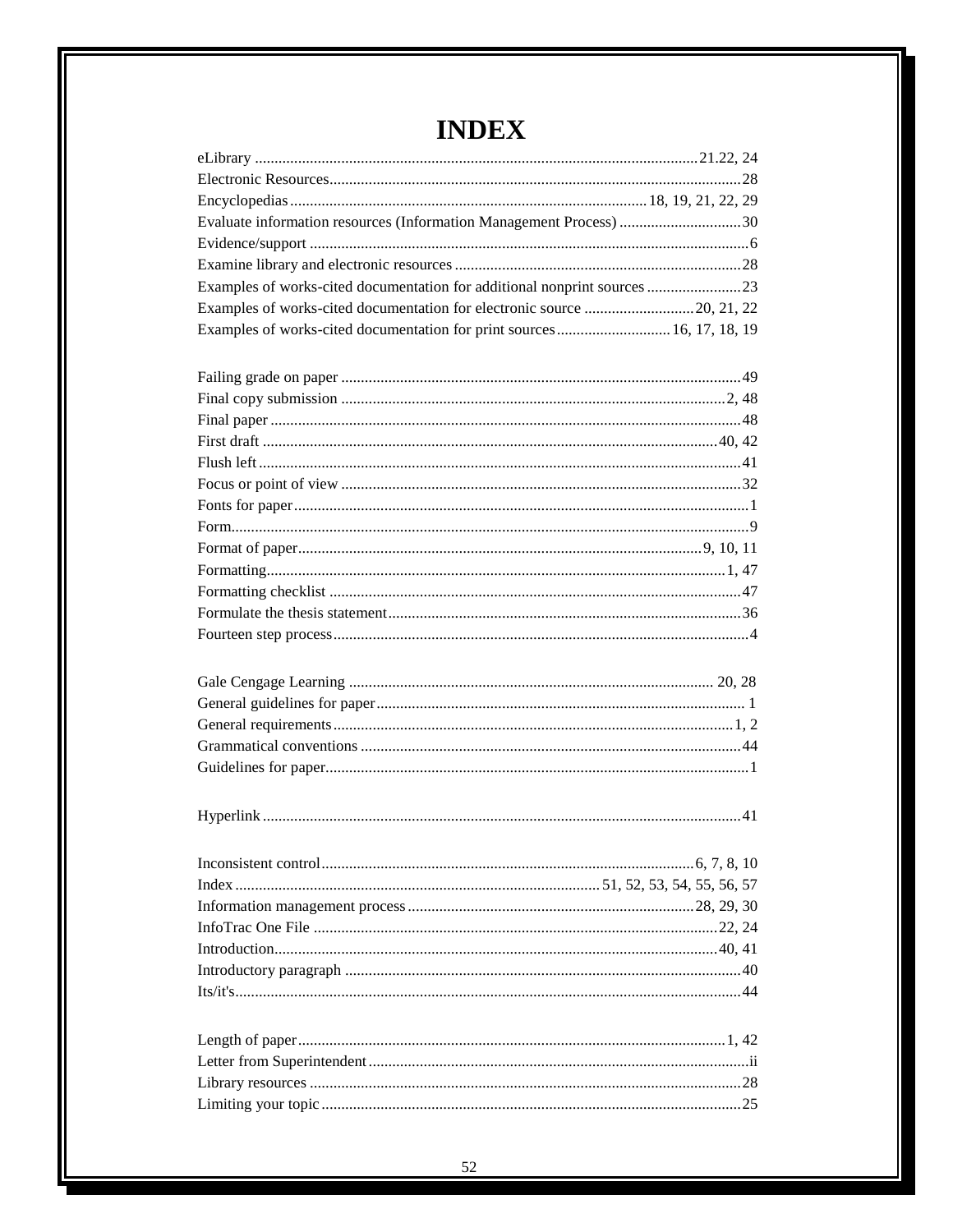| Evaluate information resources (Information Management Process) 30       |  |
|--------------------------------------------------------------------------|--|
|                                                                          |  |
|                                                                          |  |
| Examples of works-cited documentation for additional nonprint sources 23 |  |
| Examples of works-cited documentation for electronic source 20, 21, 22   |  |
| Examples of works-cited documentation for print sources  16, 17, 18, 19  |  |
|                                                                          |  |
|                                                                          |  |
|                                                                          |  |
|                                                                          |  |
|                                                                          |  |
|                                                                          |  |
|                                                                          |  |
|                                                                          |  |
|                                                                          |  |
|                                                                          |  |
|                                                                          |  |
|                                                                          |  |
|                                                                          |  |
|                                                                          |  |
|                                                                          |  |
|                                                                          |  |
|                                                                          |  |
|                                                                          |  |
|                                                                          |  |
|                                                                          |  |
|                                                                          |  |
|                                                                          |  |
|                                                                          |  |
|                                                                          |  |
|                                                                          |  |
|                                                                          |  |
|                                                                          |  |
|                                                                          |  |
|                                                                          |  |
|                                                                          |  |
|                                                                          |  |
|                                                                          |  |
|                                                                          |  |
|                                                                          |  |
|                                                                          |  |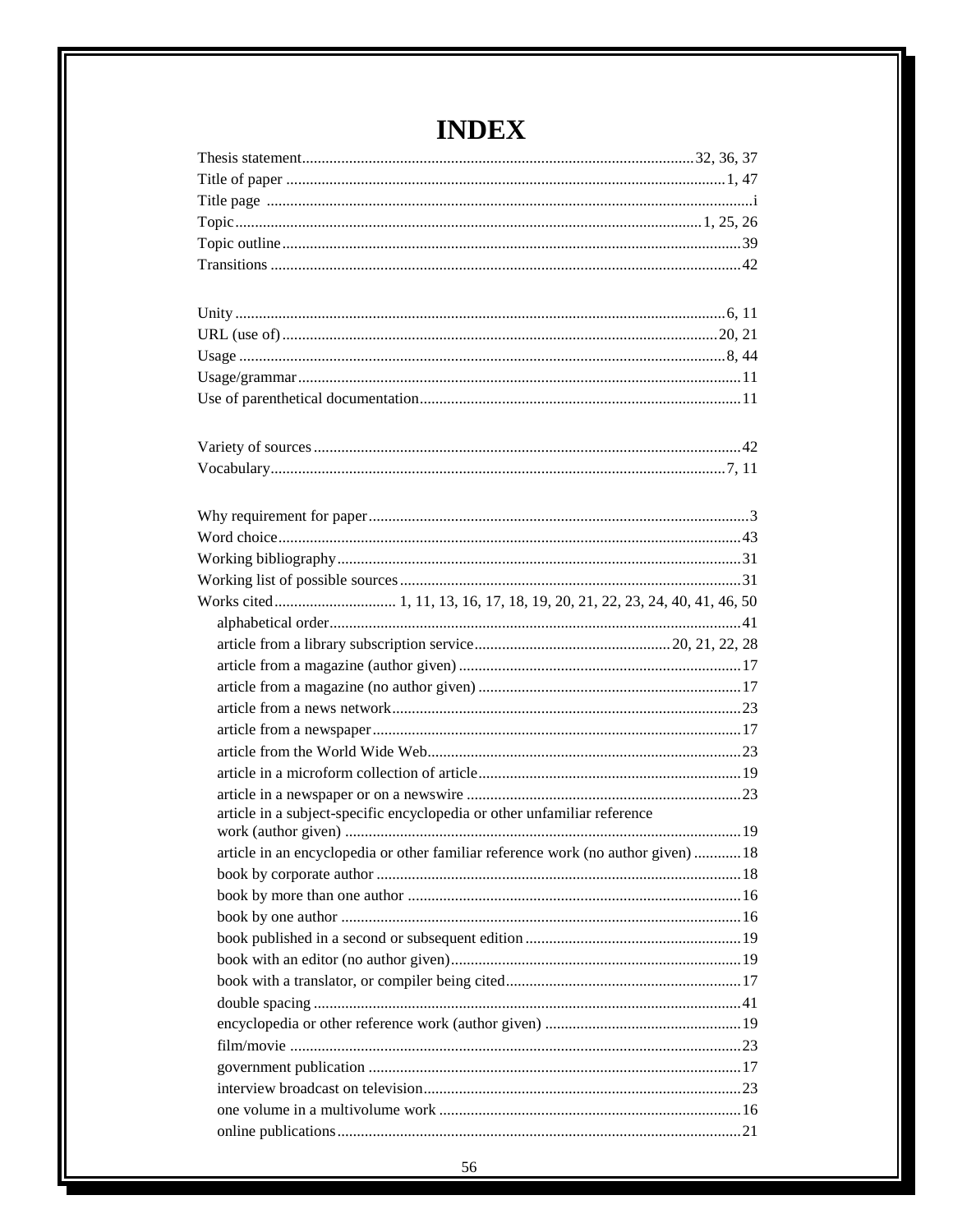| article in a subject-specific encyclopedia or other unfamiliar reference          |  |
|-----------------------------------------------------------------------------------|--|
|                                                                                   |  |
| article in an encyclopedia or other familiar reference work (no author given)  18 |  |
|                                                                                   |  |
|                                                                                   |  |
|                                                                                   |  |
|                                                                                   |  |
|                                                                                   |  |
|                                                                                   |  |
|                                                                                   |  |
|                                                                                   |  |
|                                                                                   |  |
|                                                                                   |  |
|                                                                                   |  |
|                                                                                   |  |
|                                                                                   |  |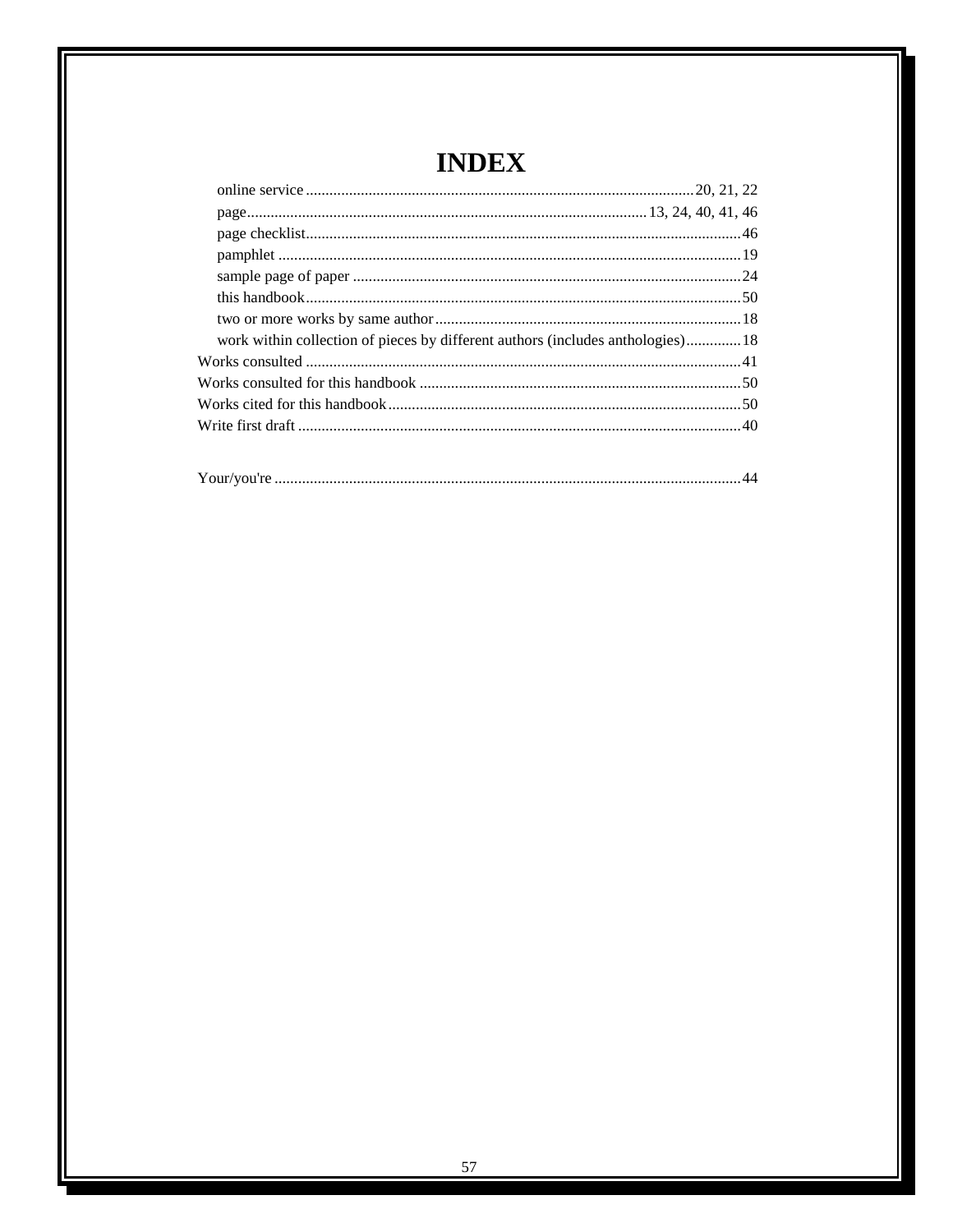| work within collection of pieces by different authors (includes anthologies)18 |  |
|--------------------------------------------------------------------------------|--|
|                                                                                |  |
|                                                                                |  |
|                                                                                |  |
|                                                                                |  |
|                                                                                |  |
|                                                                                |  |